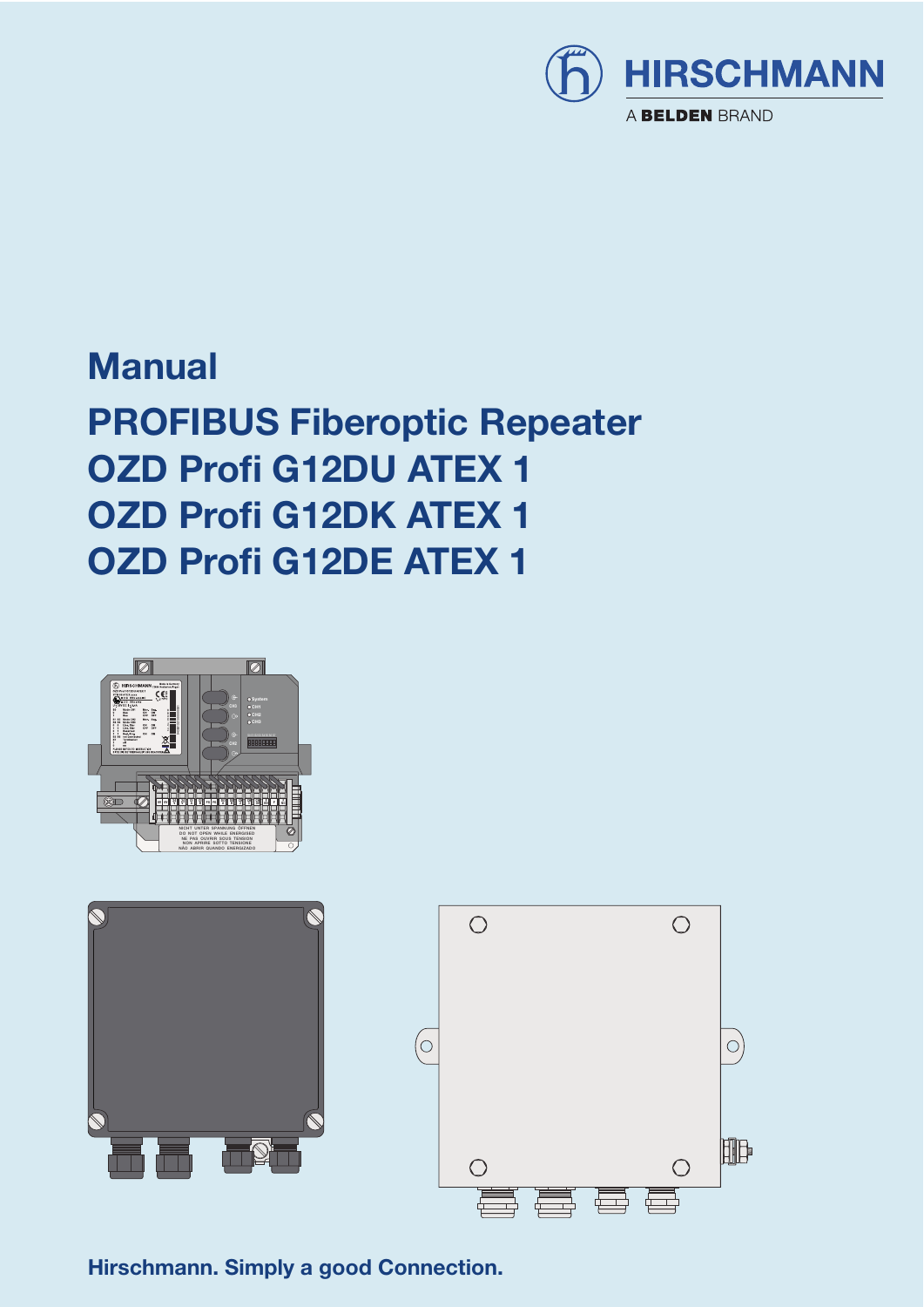

# **Manual PROFIBUS Fiberoptic Repeater OZD Profi G12DU ATEX 1 OZD Profi G12DK ATEX 1 OZD Profi G12DE ATEX 1**





**Hirschmann. Simply a good Connection.**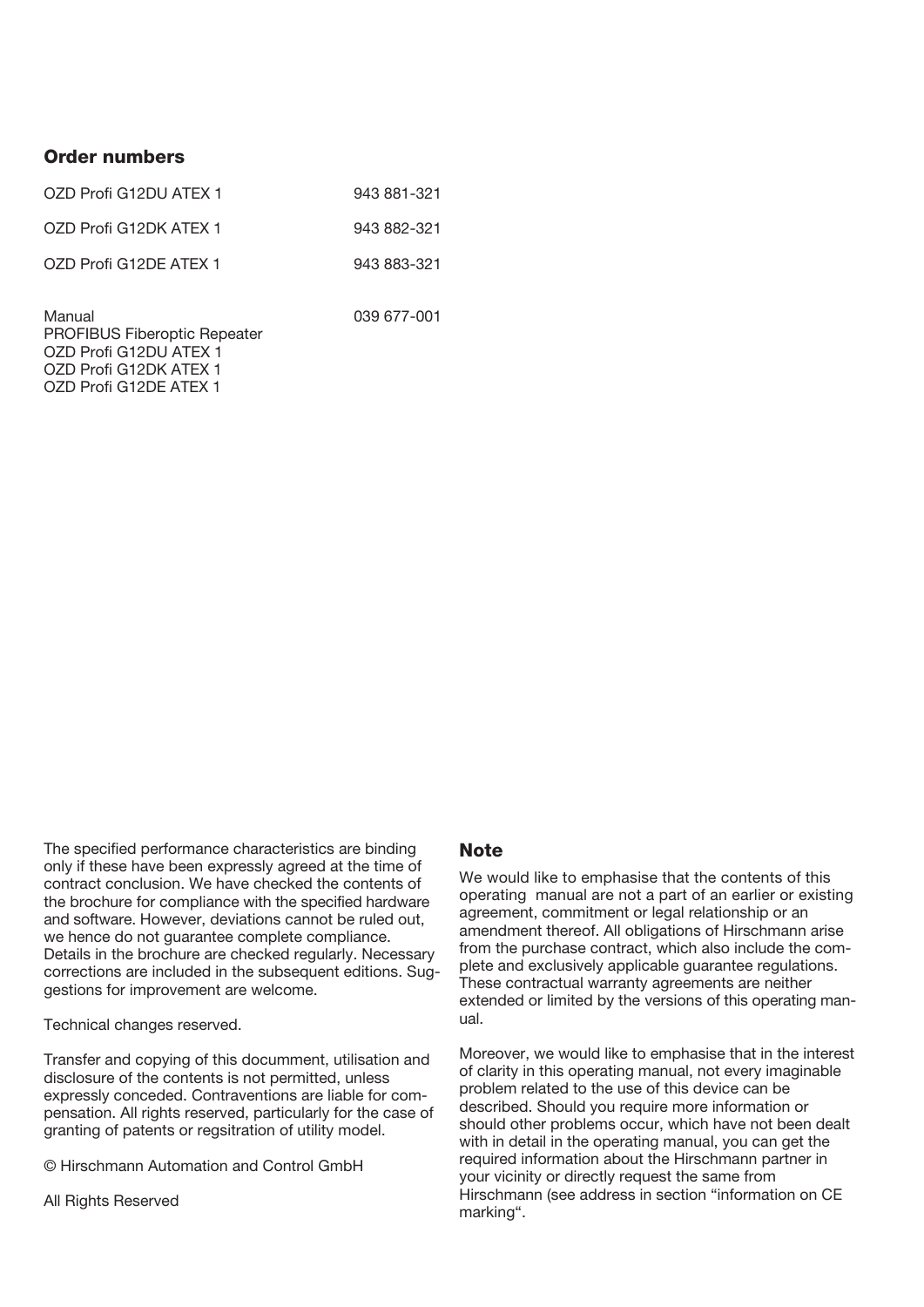# **Order numbers**

| OZD Profi G12DU ATEX 1                                                                                                      | 943 881-321 |
|-----------------------------------------------------------------------------------------------------------------------------|-------------|
| OZD Profi G12DK ATEX 1                                                                                                      | 943 882-321 |
| OZD Profi G12DE ATEX 1                                                                                                      | 943 883-321 |
| Manual<br><b>PROFIBUS Fiberoptic Repeater</b><br>OZD Profi G12DU ATEX 1<br>OZD Profi G12DK ATEX 1<br>OZD Profi G12DE ATEX 1 | 039 677-001 |

The specified performance characteristics are binding only if these have been expressly agreed at the time of contract conclusion. We have checked the contents of the brochure for compliance with the specified hardware and software. However, deviations cannot be ruled out. we hence do not guarantee complete compliance. Details in the brochure are checked regularly. Necessary corrections are included in the subsequent editions. Suggestions for improvement are welcome.

Technical changes reserved.

Transfer and copying of this documment, utilisation and disclosure of the contents is not permitted, unless expressly conceded. Contraventions are liable for compensation. All rights reserved, particularly for the case of granting of patents or regsitration of utility model.

© Hirschmann Automation and Control GmbH

All Rights Reserved

## **Note**

We would like to emphasise that the contents of this operating manual are not a part of an earlier or existing agreement, commitment or legal relationship or an amendment thereof. All obligations of Hirschmann arise from the purchase contract, which also include the complete and exclusively applicable guarantee regulations. These contractual warranty agreements are neither extended or limited by the versions of this operating manual.

Moreover, we would like to emphasise that in the interest of clarity in this operating manual, not every imaginable problem related to the use of this device can be described. Should you require more information or should other problems occur, which have not been dealt with in detail in the operating manual, you can get the required information about the Hirschmann partner in your vicinity or directly request the same from Hirschmann (see address in section "information on CE marking".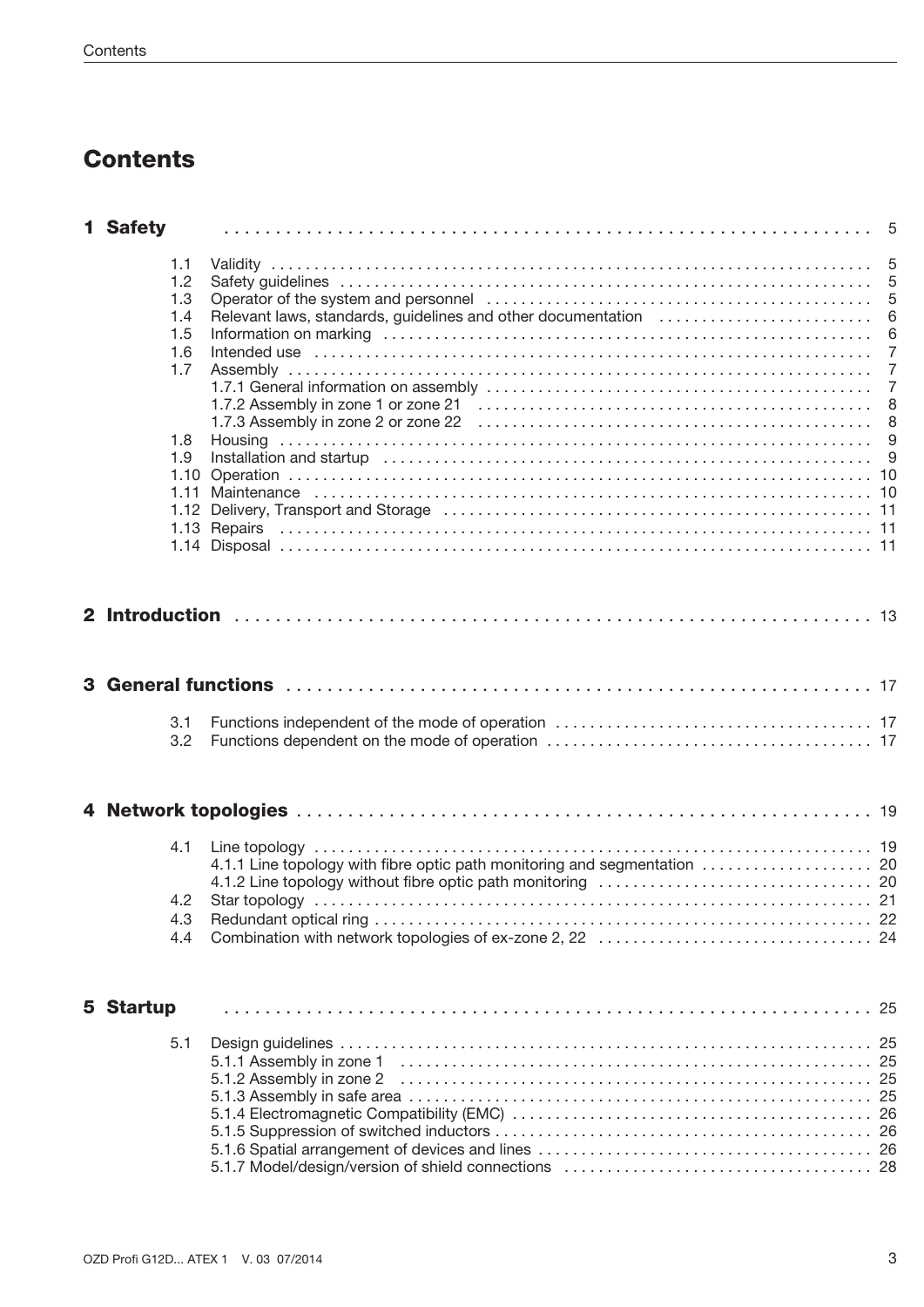# **Contents**

| 1 Safety  |                                        |                                                                                  |  |
|-----------|----------------------------------------|----------------------------------------------------------------------------------|--|
|           | 1.1<br>1.2<br>1.3<br>1.4<br>1.5<br>1.6 | 5<br>5<br>Relevant laws, standards, guidelines and other documentation<br>6<br>6 |  |
|           | 1.7                                    |                                                                                  |  |
|           | 1.8<br>1.9                             | 9                                                                                |  |
|           |                                        |                                                                                  |  |
|           |                                        |                                                                                  |  |
|           |                                        |                                                                                  |  |
|           | 3.1<br>3.2                             |                                                                                  |  |
|           |                                        |                                                                                  |  |
|           | 4.1<br>4.2<br>4.3<br>4.4               |                                                                                  |  |
| 5 Startup |                                        |                                                                                  |  |
|           | 5.1                                    | 26                                                                               |  |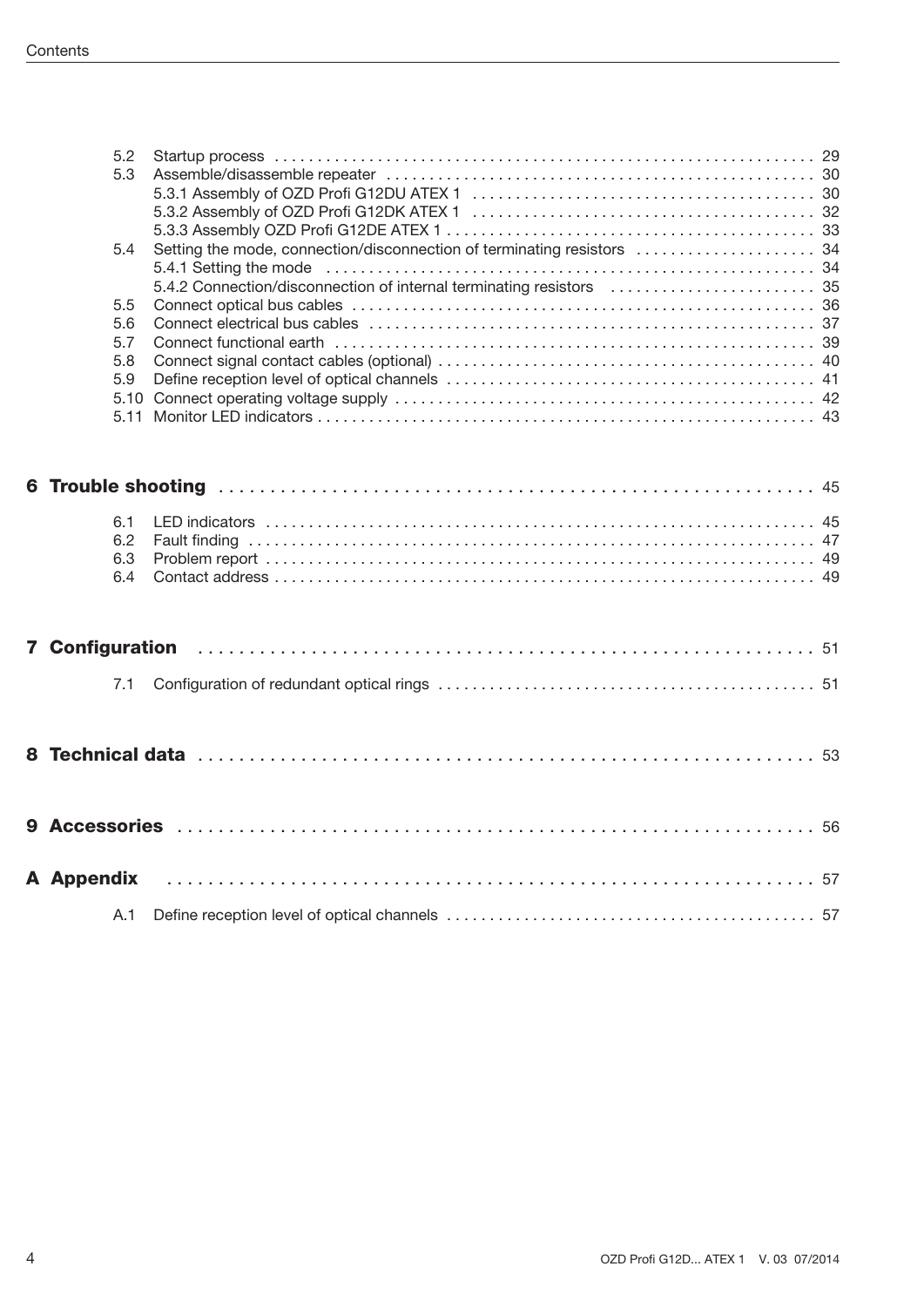|  | 5.2<br>5.3               |                                                                      |  |
|--|--------------------------|----------------------------------------------------------------------|--|
|  | 5.4                      | 5.4.2 Connection/disconnection of internal terminating resistors  35 |  |
|  | 5.5                      |                                                                      |  |
|  | 5.6                      |                                                                      |  |
|  | 5.7                      |                                                                      |  |
|  | 5.8<br>5.9               |                                                                      |  |
|  |                          |                                                                      |  |
|  |                          |                                                                      |  |
|  |                          |                                                                      |  |
|  | 6.1<br>6.2<br>6.3<br>6.4 |                                                                      |  |
|  |                          |                                                                      |  |
|  | 7.1                      |                                                                      |  |
|  |                          |                                                                      |  |
|  |                          |                                                                      |  |
|  |                          |                                                                      |  |
|  | A.1                      |                                                                      |  |
|  |                          |                                                                      |  |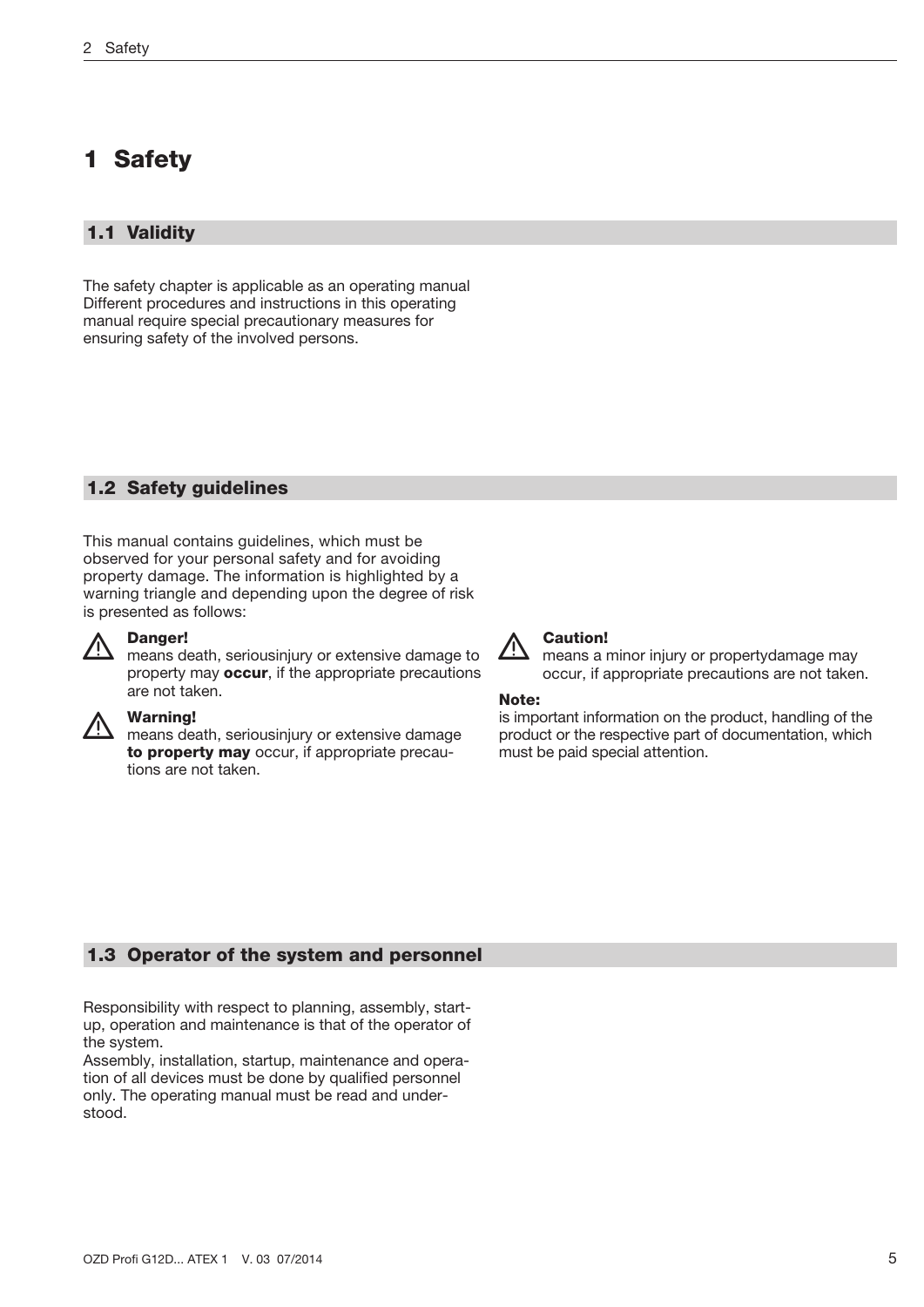# **1 Safety**

# **1.1 Validity**

The safety chapter is applicable as an operating manual Different procedures and instructions in this operating manual require special precautionary measures for ensuring safety of the involved persons.

# **1.2 Safety guidelines**

This manual contains guidelines, which must be observed for your personal safety and for avoiding property damage. The information is highlighted by a warning triangle and depending upon the degree of risk is presented as follows:



# Danger!

means death, seriousinjury or extensive damage to property may **occur**, if the appropriate precautions are not taken.

# z **Warning!**

means death, seriousinjury or extensive damage **to property may** occur, if appropriate precautions are not taken.



# **Caution!**

means a minor injury or property damage may occur, if appropriate precautions are not taken.

#### **Note:**

is important information on the product, handling of the product or the respective part of documentation, which must be paid special attention.

# **1.3 Operator of the system and personnel**

Responsibility with respect to planning, assembly, startup, operation and maintenance is that of the operator of the system.

Assembly, installation, startup, maintenance and operation of all devices must be done by qualified personnel only. The operating manual must be read and understood.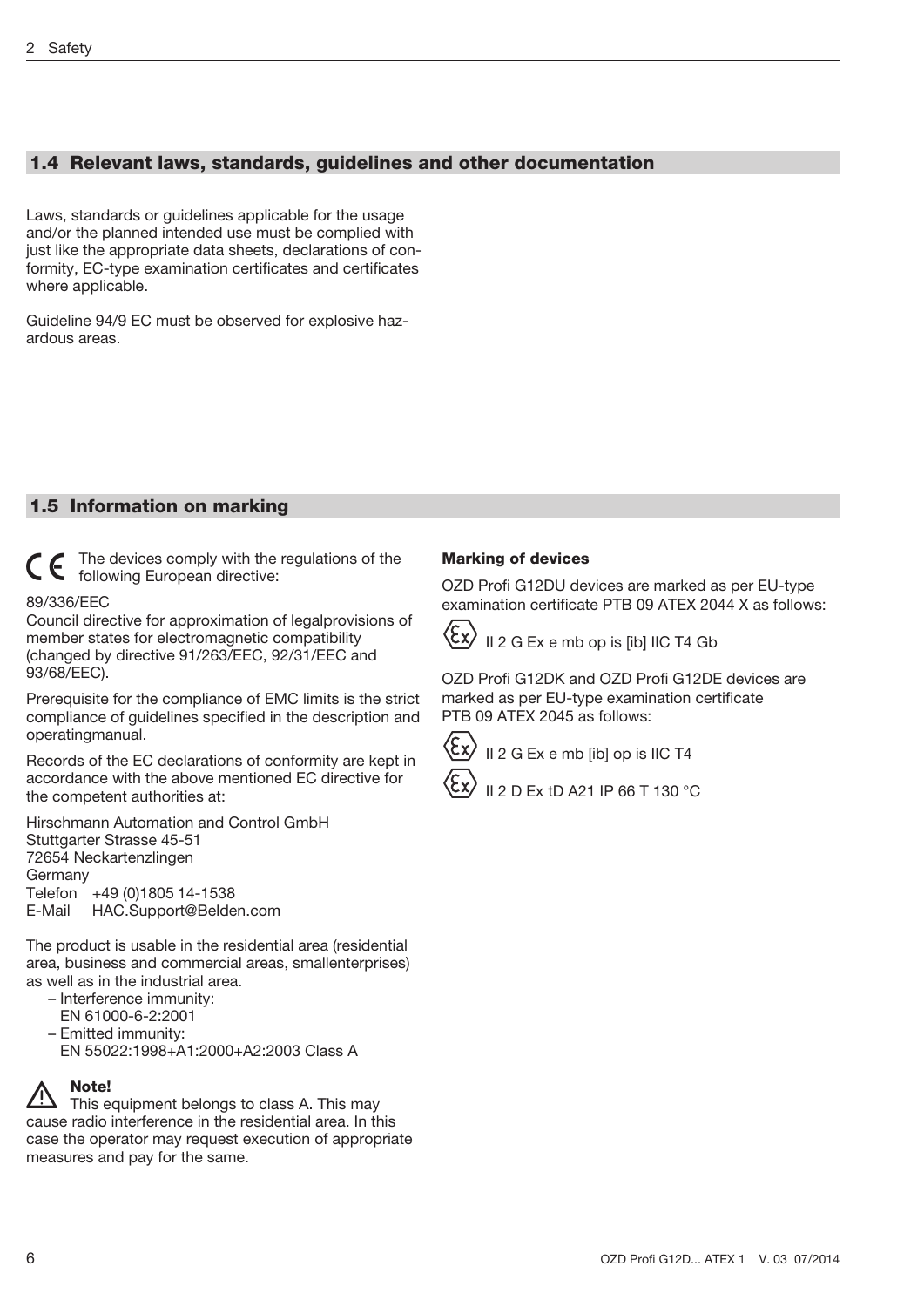# **1.4 Relevant laws, standards, guidelines and other documentation**

Laws, standards or guidelines applicable for the usage and/or the planned intended use must be complied with just like the appropriate data sheets, declarations of conformity, EC-type examination certificates and certificates where applicable.

Guideline 94/9 EC must be observed for explosive hazardous areas.

# **1.5 Information on marking**

 $\mathcal{C} \in \mathcal{C}$  The devices comply with the regulations of the following European directive:

# 89/336/EEC

Council directive for approximation of legal provisions of member states for electromagnetic compatibility (changed by directive 91/263/EEC, 92/31/EEC and 93/68/EEC).

Prerequisite for the compliance of EMC limits is the strict compliance of guidelines specified in the description and operating manual.

Records of the EC declarations of conformity are kept in accordance with the above mentioned EC directive for the competent authorities at:

Hirschmann Automation and Control GmbH Stuttgarter Strasse 45-51 72654 Neckartenzlingen Germany Telefon +49 (0)1805 14-1538 E-Mail HAC.Support@Belden.com

The product is usable in the residential area (residential area, business and commercial areas, smallenterprises) as well as in the industrial area.

- Interference immunity:
- EN 61000-6-2:2001
- Emitted immunity: EN 55022:1998+A1:2000+A2:2003 Class A

**A Note!**<br>This equipment belongs to class A. This may cause radio interference in the residential area. In this case the operator may request execution of appropriate measures and pay for the same.

# **Marking of devices**

OZD Profi G12DU devices are marked as per EU-type examination certificate PTB 09 ATEX 2044 X as follows:



II 2 G Ex e mb op is [ib] IIC T4 Gb

OZD Profi G12DK and OZD Profi G12DE devices are marked as per EU-type examination certificate PTB 09 ATEX 2045 as follows:



 $\langle \xi x \rangle$  II 2 G Ex e mb [ib] op is IIC T4

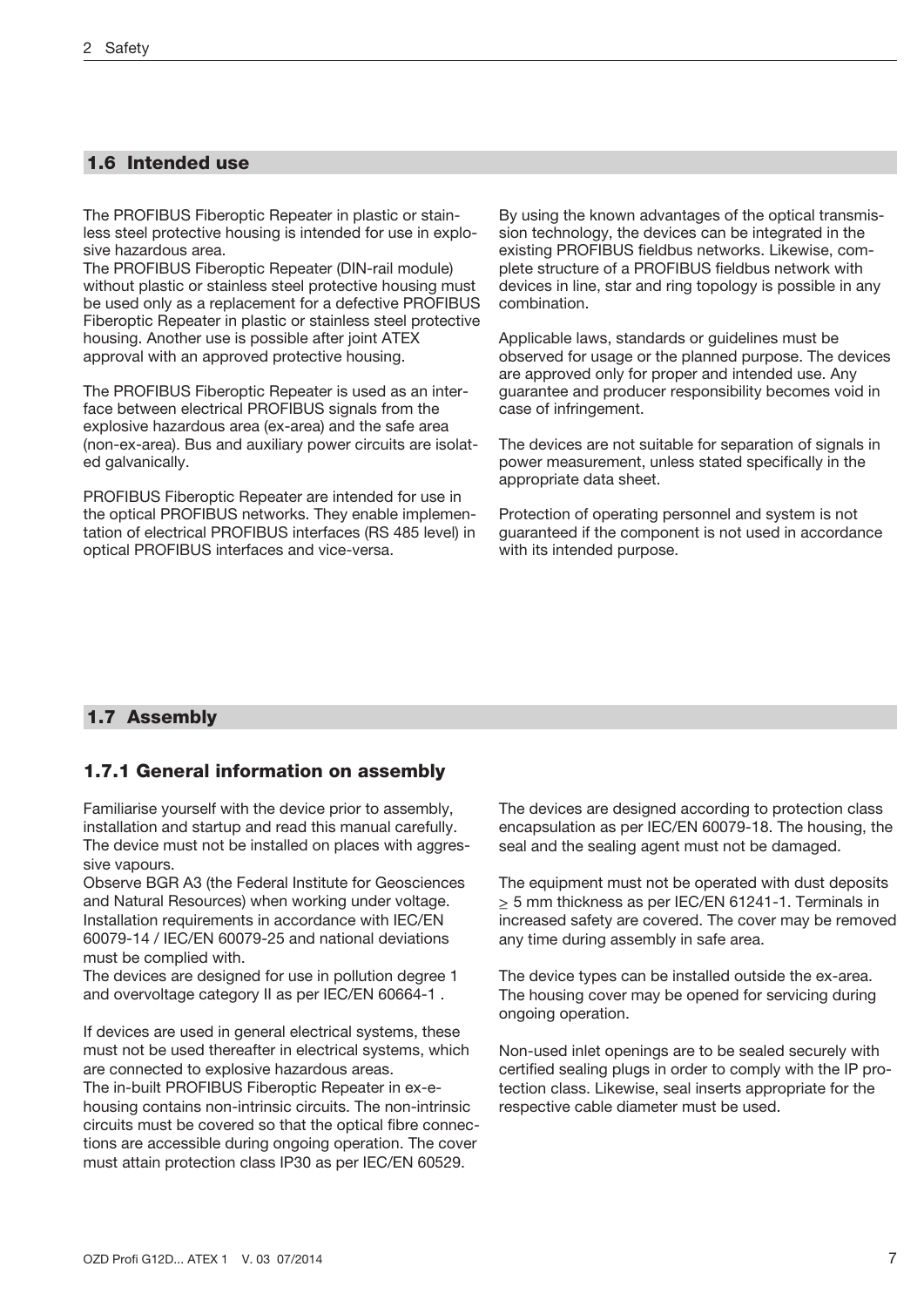# **1.6 Intended use**

The PROFIBUS Fiberoptic Repeater in plastic or stainless steel protective housing is intended for use in explosive hazardous area.

The PROFIBUS Fiberoptic Repeater (DIN-rail module) without plastic or stainless steel protective housing must be used only as a replacement for a defective PROFIBUS Fiberoptic Repeater in plastic or stainless steel protective housing. Another use is possible after joint ATEX approval with an approved protective housing.

The PROFIBUS Fiberoptic Repeater is used as an inter face between electrical PROFIBUS signals from the explosive hazardous area (ex-area) and the safe area (non-ex-area). Bus and auxiliary power circuits are isolated galvanically.

PROFIBUS Fiberoptic Repeater are intended for use in the optical PROFIBUS networks. They enable implementation of electrical PROFIBUS interfaces (RS 485 level) in optical PROFIBUS interfaces and vice-versa.

By using the known advantages of the optical transmission technology, the devices can be integrated in the existing PROFIBUS fieldbus networks. Likewise, complete structure of a PROFIBUS fieldbus network with devices in line, star and ring topology is possible in any combination.

Applicable laws, standards or guidelines must be observed for usage or the planned purpose. The devices are approved only for proper and intended use. Any guarantee and producer responsibility becomes void in case of infringement.

The devices are not suitable for separation of signals in power measurement, unless stated specifically in the appropriate data sheet.

Protection of operating personnel and system is not guaranteed if the component is not used in accordance with its intended purpose.

# **1.7 Assembly**

# **1.7.1 General information on assembly**

Familiarise yourself with the device prior to assembly, installation and startup and read this manual carefully. The device must not be installed on places with aggressive vapours.

Observe BGR A3 (the Federal Institute for Geosciences and Natural Resources) when working under voltage. Installation requirements in accordance with IEC/EN 60079-14 / IEC/EN 60079-25 and national deviations must be complied with.

The devices are designed for use in pollution degree 1 and overvoltage category II as per IEC/EN 60664-1 .

If devices are used in general electrical systems, these must not be used thereafter in electrical systems, which are connected to explosive hazardous areas.

The in-built PROFIBUS Fiberoptic Repeater in ex-ehousing contains non-intrinsic circuits. The non-intrinsic circuits must be covered so that the optical fibre connections are accessible during ongoing operation. The cover must attain protection class IP30 as per IEC/EN 60529.

The devices are designed according to protection class encapsulation as per IEC/EN 60079-18. The housing, the seal and the sealing agent must not be damaged.

The equipment must not be operated with dust deposits  $\geq$  5 mm thickness as per IEC/EN 61241-1. Terminals in increased safety are covered. The cover may be removed any time during assembly in safe area.

The device types can be installed outside the ex-area. The housing cover may be opened for servicing during ongoing operation.

Non-used inlet openings are to be sealed securely with certified sealing plugs in order to comply with the IP protection class. Likewise, seal inserts appropriate for the respective cable diameter must be used.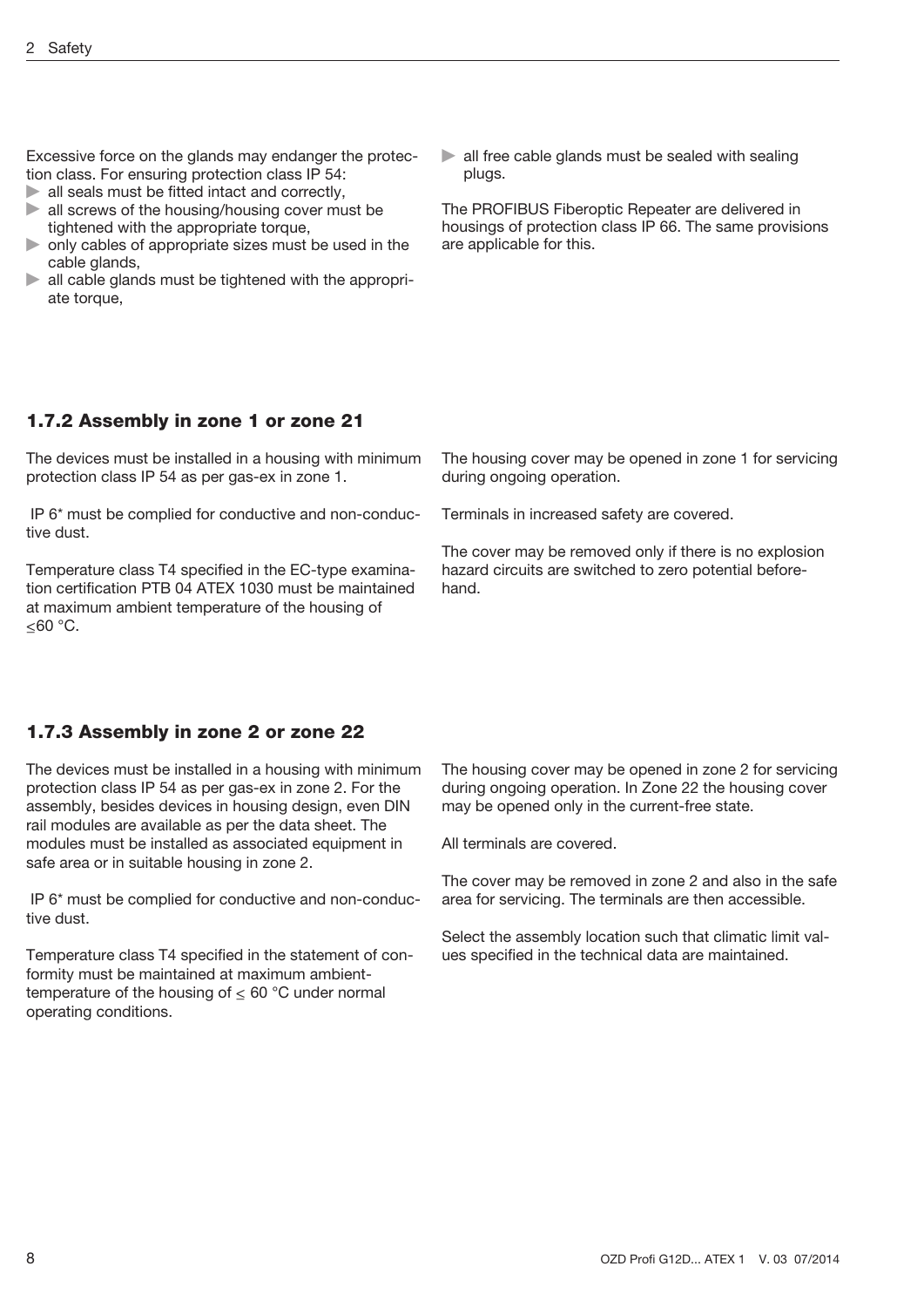Excessive force on the glands may endanger the protection class. For ensuring protection class IP 54:

all seals must be fitted intact and correctly,

- all screws of the housing/housing cover must be tightened with the appropriate torque,
- **IDE only cables of appropriate sizes must be used in the** cable glands.
- all cable glands must be tightened with the appropriate torque,
- $\triangleright$  all free cable glands must be sealed with sealing plugs.

The PROFIBUS Fiberoptic Repeater are delivered in housings of protection class IP 66. The same provisions are applicable for this.

# **1.7.2 Assembly in zone 1 or zone 21**

The devices must be installed in a housing with minimum protection class IP 54 as per gas-ex in zone 1.

IP 6\* must be complied for conductive and non-conductive dust.

Temperature class T4 specified in the EC-type examination certification PTB 04 ATEX 1030 must be maintained at maximum ambient temperature of the housing of  $<$  60  $^{\circ}$ C.

The housing cover may be opened in zone 1 for servicing during ongoing operation.

Terminals in increased safety are covered.

The cover may be removed only if there is no explosion hazard circuits are switched to zero potential beforehand.

# **1.7.3 Assembly in zone 2 or zone 22**

The devices must be installed in a housing with minimum protection class IP 54 as per gas-ex in zone 2. For the assembly, besides devices in housing design, even DIN rail modules are available as per the data sheet. The modules must be installed as associated equipment in safe area or in suitable housing in zone 2.

IP 6\* must be complied for conductive and non-conductive dust.

Temperature class T4 specified in the statement of conformity must be maintained at maximum ambienttemperature of the housing of  $\leq 60$  °C under normal operating conditions.

The housing cover may be opened in zone 2 for servicing during ongoing operation. In Zone 22 the housing cover may be opened only in the current-free state.

All terminals are covered.

The cover may be removed in zone 2 and also in the safe area for servicing. The terminals are then accessible.

Select the assembly location such that climatic limit values specified in the technical data are maintained.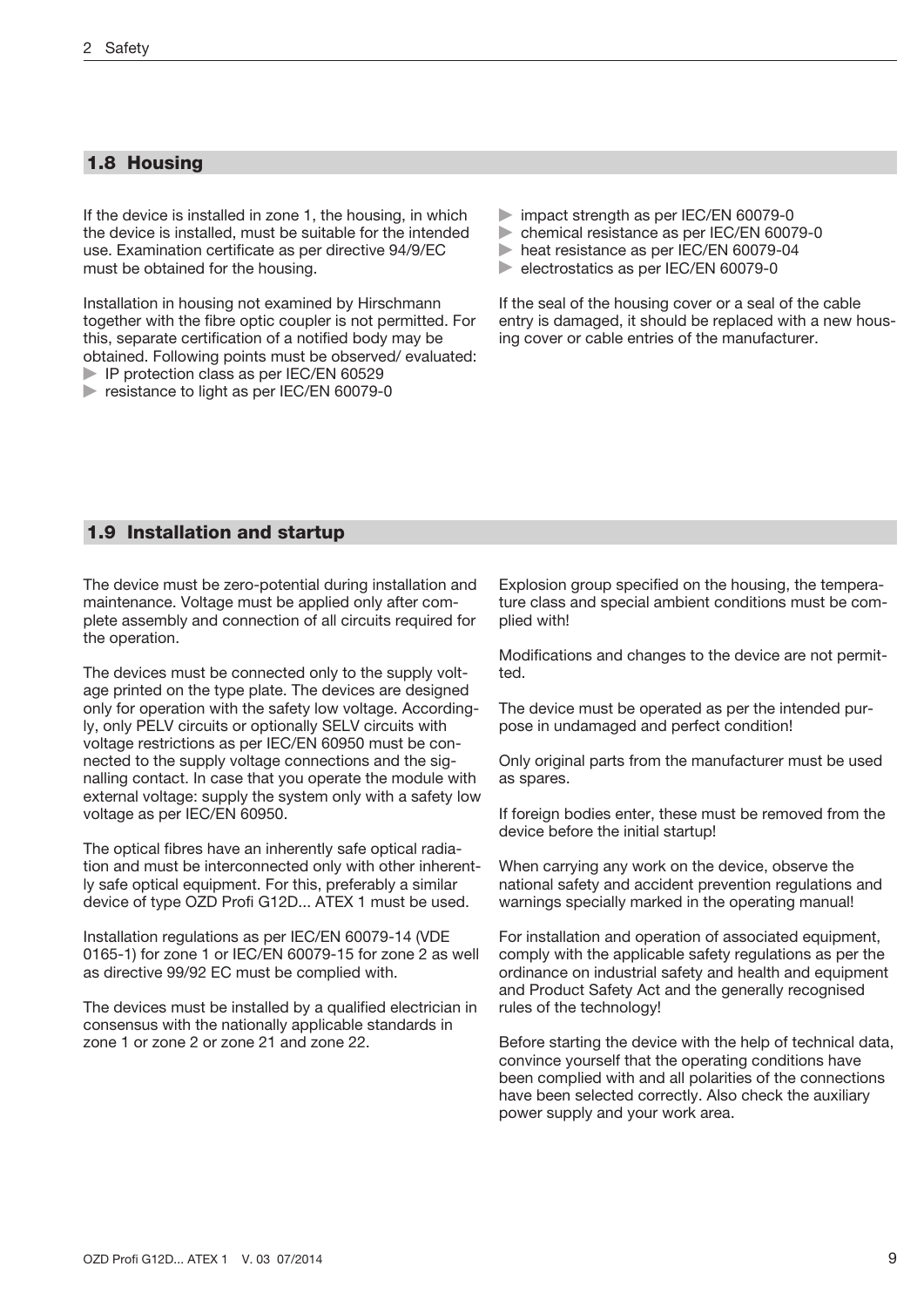# **1.8 Housing**

If the device is installed in zone 1, the housing, in which the device is installed, must be suitable for the intended use. Examination certificate as per directive 94/9/EC must be obtained for the housing.

Installation in housing not examined by Hirschmann together with the fibre optic coupler is not permitted. For this, separate certification of a notified body may be obtained. Following points must be observed/ evaluated: **IP protection class as per IEC/EN 60529** 

**Exercistance to light as per IEC/EN 60079-0** 

- impact strength as per IEC/EN 60079-0
- chemical resistance as per IEC/EN 60079-0
- heat resistance as per IEC/EN 60079-04
- electrostatics as per IEC/EN 60079-0

If the seal of the housing cover or a seal of the cable entry is damaged, it should be replaced with a new housing cover or cable entries of the manufacturer.

# **1.9 Installation and startup**

The device must be zero-potential during installation and maintenance. Voltage must be applied only after complete assembly and connection of all circuits required for the operation.

The devices must be connected only to the supply voltage printed on the type plate. The devices are designed only for operation with the safety low voltage. Accordingly, only PELV circuits or optionally SELV circuits with voltage restrictions as per IEC/EN 60950 must be connected to the supply voltage connections and the signalling contact. In case that you operate the module with external voltage: supply the system only with a safety low voltage as per IEC/EN 60950.

The optical fibres have an inherently safe optical radiation and must be interconnected only with other inherently safe optical equipment. For this, preferably a similar device of type OZD Profi G12D... ATEX 1 must be used.

Installation regulations as per IEC/EN 60079-14 (VDE 0165-1) for zone 1 or IEC/EN 60079-15 for zone 2 as well as directive 99/92 EC must be complied with.

The devices must be installed by a qualified electrician in consensus with the nationally applicable standards in zone 1 or zone 2 or zone 21 and zone 22.

Explosion group specified on the housing, the temperature class and special ambient conditions must be complied with!

Modifications and changes to the device are not permitted.

The device must be operated as per the intended purpose in undamaged and perfect condition!

Only original parts from the manufacturer must be used as spares.

If foreign bodies enter, these must be removed from the device before the initial startup!

When carrying any work on the device, observe the national safety and accident prevention regulations and warnings specially marked in the operating manual!

For installation and operation of associated equipment, comply with the applicable safety regulations as per the ordinance on industrial safety and health and equipment and Product Safety Act and the generally recognised rules of the technology!

Before starting the device with the help of technical data, convince yourself that the operating conditions have been complied with and all polarities of the connections have been selected correctly. Also check the auxiliary power supply and your work area.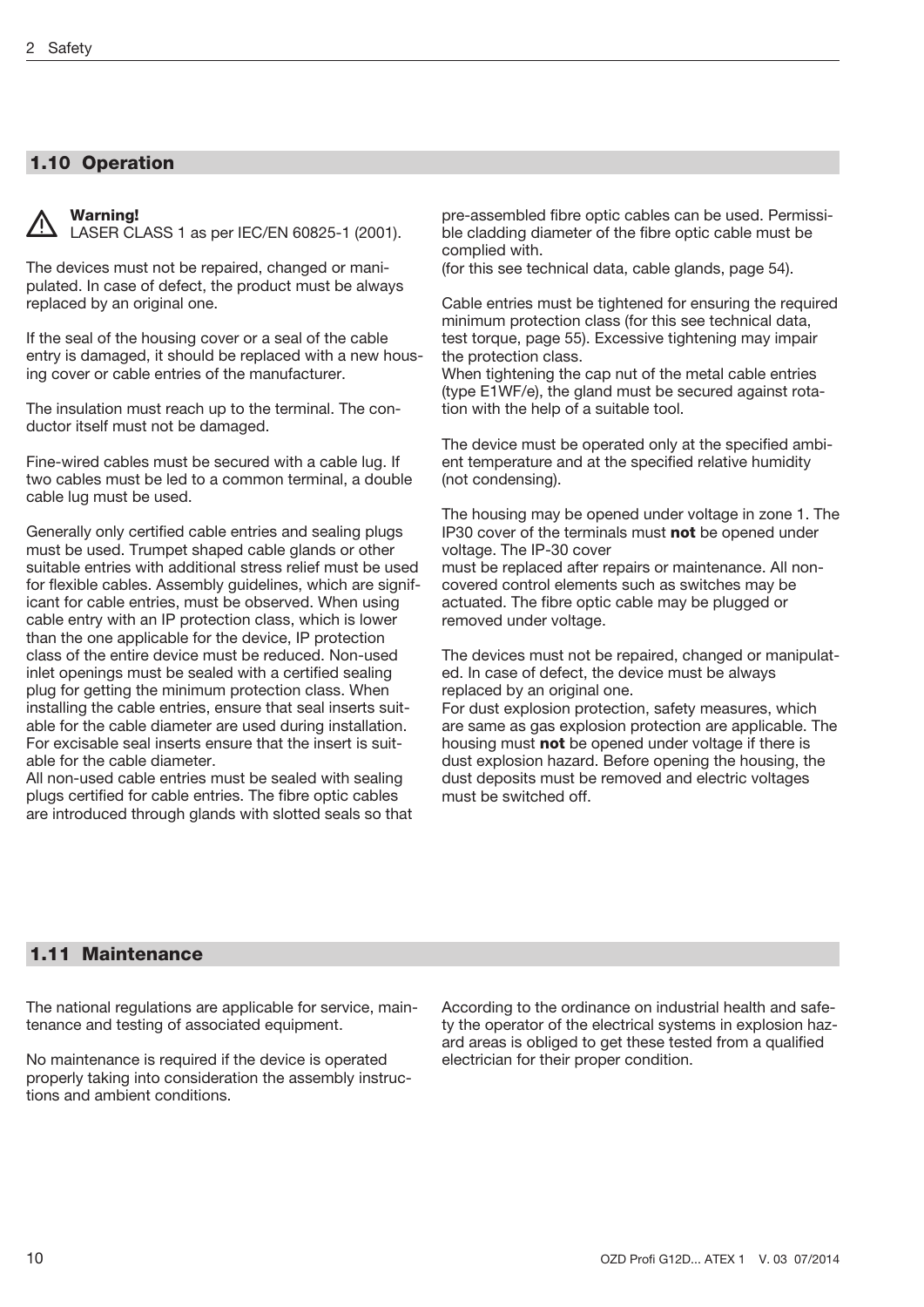# **1.10 Operation**

**Marning!**<br>
LASER CLASS 1 as per IEC/EN 60825-1 (2001).

The devices must not be repaired, changed or manipulated. In case of defect, the product must be always replaced by an original one.

If the seal of the housing cover or a seal of the cable entry is damaged, it should be replaced with a new housing cover or cable entries of the manufacturer.

The insulation must reach up to the terminal. The conductor itself must not be damaged.

Fine-wired cables must be secured with a cable lug. If two cables must be led to a common terminal, a double cable lug must be used.

Generally only certified cable entries and sealing plugs must be used. Trumpet shaped cable glands or other suitable entries with additional stress relief must be used for flexible cables. Assembly guidelines, which are significant for cable entries, must be observed. When using cable entry with an IP protection class, which is lower than the one applicable for the device, IP protection class of the entire device must be reduced. Non-used inlet openings must be sealed with a certified sealing plug for getting the minimum protection class. When installing the cable entries, ensure that seal inserts suitable for the cable diameter are used during installation. For excisable seal inserts ensure that the insert is suitable for the cable diameter.

All non-used cable entries must be sealed with sealing plugs certified for cable entries. The fibre optic cables are introduced through glands with slotted seals so that

pre-assembled fibre optic cables can be used. Permissible cladding diameter of the fibre optic cable must be complied with.

(for this see technical data, cable glands, page 54).

Cable entries must be tightened for ensuring the required minimum protection class (for this see technical data, test torque, page 55). Excessive tightening may impair the protection class.

When tightening the cap nut of the metal cable entries (type E1WF/e), the gland must be secured against rotation with the help of a suitable tool.

The device must be operated only at the specified ambient temperature and at the specified relative humidity (not condensing).

The housing may be opened under voltage in zone 1. The IP30 cover of the terminals must **not** be opened under voltage. The IP-30 cover

must be replaced after repairs or maintenance. All noncovered control elements such as switches may be actuated. The fibre optic cable may be plugged or removed under voltage.

The devices must not be repaired, changed or manipulated. In case of defect, the device must be always replaced by an original one.

For dust explosion protection, safety measures, which are same as gas explosion protection are applicable. The housing must **not** be opened under voltage if there is dust explosion hazard. Before opening the housing, the dust deposits must be removed and electric voltages must be switched off.

# **1.11 Maintenance**

The national regulations are applicable for service, maintenance and testing of associated equipment.

No maintenance is required if the device is operated properly taking into consideration the assembly instructions and ambient conditions.

According to the ordinance on industrial health and safety the operator of the electrical systems in explosion hazard areas is obliged to get these tested from a qualified electrician for their proper condition.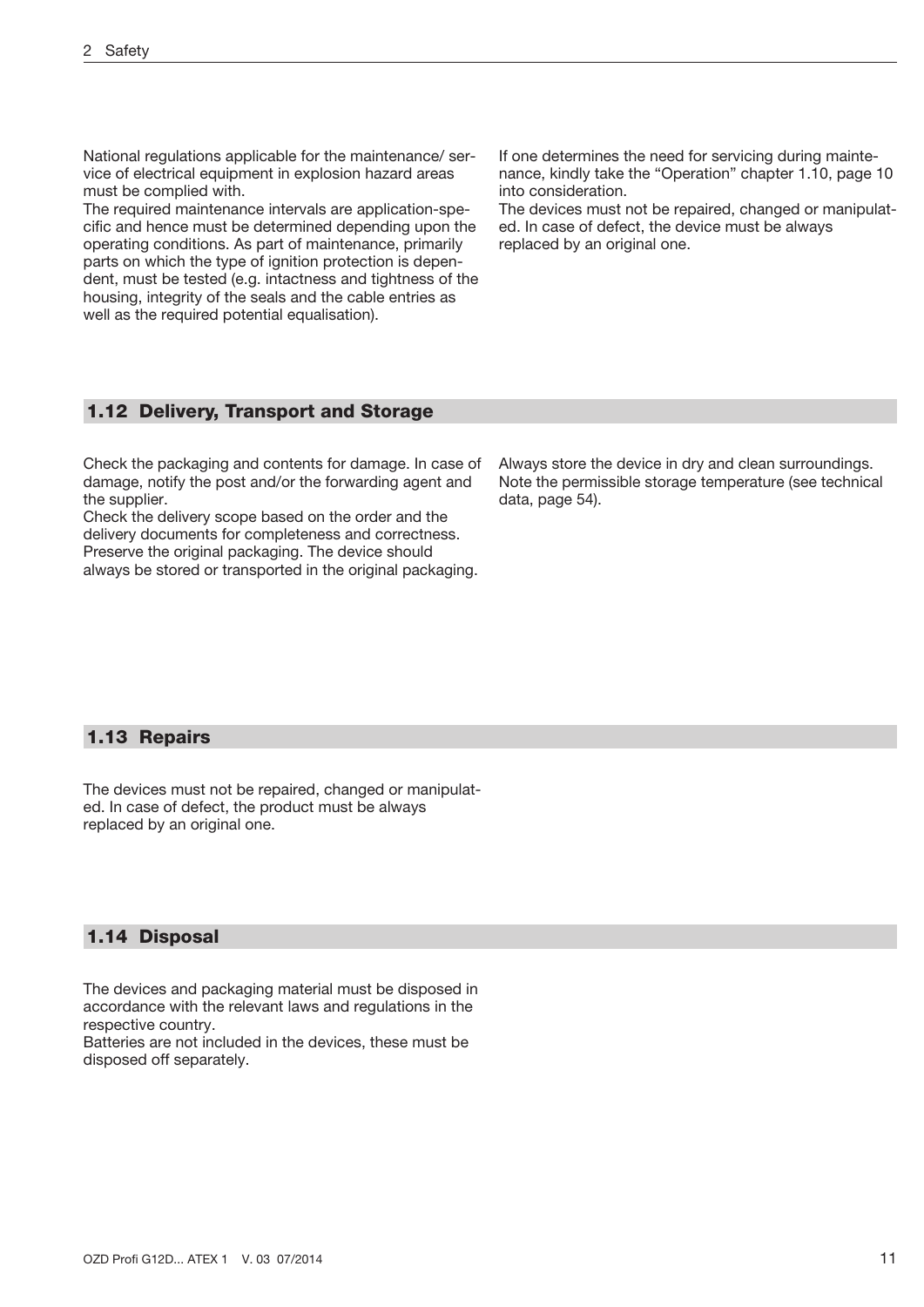National regulations applicable for the maintenance/ service of electrical equipment in explosion hazard areas must be complied with.

The required maintenance intervals are application-specific and hence must be determined depending upon the operating conditions. As part of maintenance, primarily parts on which the type of ignition protection is dependent, must be tested (e.g. intactness and tightness of the housing, integrity of the seals and the cable entries as well as the required potential equalisation).

If one determines the need for servicing during maintenance, kindly take the "Operation" chapter 1.10, page 10 into consideration.

The devices must not be repaired, changed or manipulated. In case of defect, the device must be always replaced by an original one.

# **1.12 Delivery, Transport and Storage**

Check the packaging and contents for damage. In case of damage, notify the post and/or the forwarding agent and the supplier.

Check the delivery scope based on the order and the delivery documents for completeness and correctness. Preserve the original packaging. The device should always be stored or transported in the original packaging. Always store the device in dry and clean surroundings. Note the permissible storage temperature (see technical data, page 54).

# **1.13 Repairs**

The devices must not be repaired, changed or manipulated. In case of defect, the product must be always replaced by an original one.

# **1.14 Disposal**

The devices and packaging material must be disposed in accordance with the relevant laws and regulations in the respective country. Batteries are not included in the devices, these must be

disposed off separately.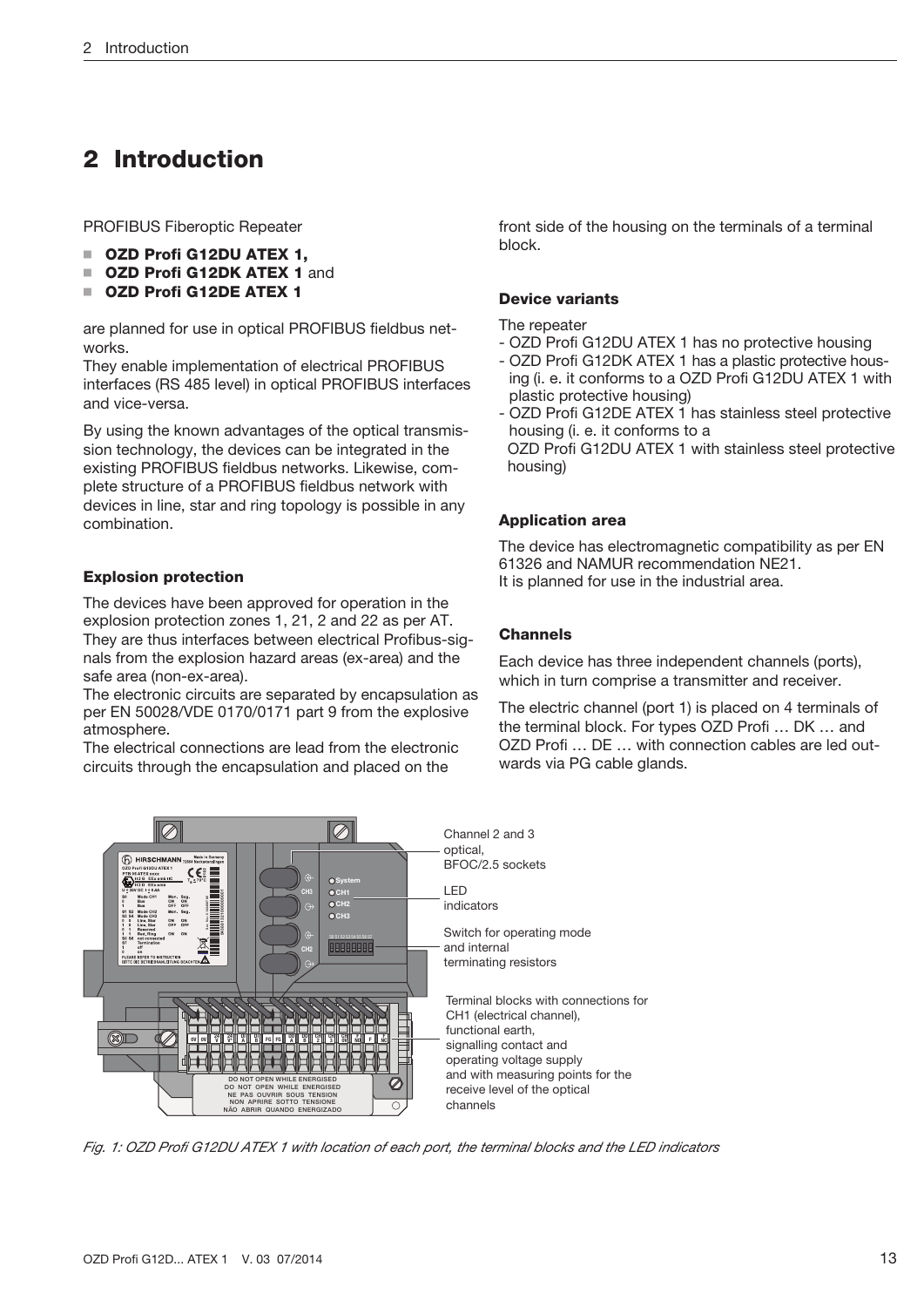# **2 Introduction**

PROFIBUS Fiberoptic Repeater

- **OZD Profi G12DU ATEX 1,**
- **OZD Profi G12DK ATEX 1** and
- **OZD Profi G12DE ATEX 1**

are planned for use in optical PROFIBUS fieldbus networks.

They enable implementation of electrical PROFIBUS interfaces (RS 485 level) in optical PROFIBUS interfaces and vice-versa.

By using the known advantages of the optical transmission technology, the devices can be integrated in the existing PROFIBUS fieldbus networks. Likewise, complete structure of a PROFIBUS fieldbus network with devices in line, star and ring topology is possible in any combination.

# **Explosion protection**

The devices have been approved for operation in the explosion protection zones 1, 21, 2 and 22 as per AT. They are thus interfaces between electrical Profibus-signals from the explosion hazard areas (ex-area) and the safe area (non-ex-area).

The electronic circuits are separated by encapsulation as per EN 50028/VDE 0170/0171 part 9 from the explosive atmosphere.

The electrical connections are lead from the electronic circuits through the encapsulation and placed on the



front side of the housing on the terminals of a terminal block.

# **Device variants**

The repeater

- OZD Profi G12DU ATEX 1 has no protective housing
- OZD Profi G12DK ATEX 1 has a plastic protective housing (i. e. it conforms to a OZD Profi G12DU ATEX 1 with plastic protective housing)
- OZD Profi G12DE ATEX 1 has stainless steel protective housing (i. e. it conforms to a OZD Profi G12DU ATEX 1 with stainless steel protective housing)

# **Application area**

The device has electromagnetic compatibility as per EN 61326 and NAMUR recommendation NE21. It is planned for use in the industrial area.

# **Channels**

Each device has three independent channels (ports), which in turn comprise a transmitter and receiver.

The electric channel (port 1) is placed on 4 terminals of the terminal block. For types OZD Profi … DK … and OZD Profi ... DE ... with connection cables are led outwards via PG cable glands.

*Fig. 1: OZD Profi G12DU ATEX 1 with location of each port, the terminal blocks and the LED indicators*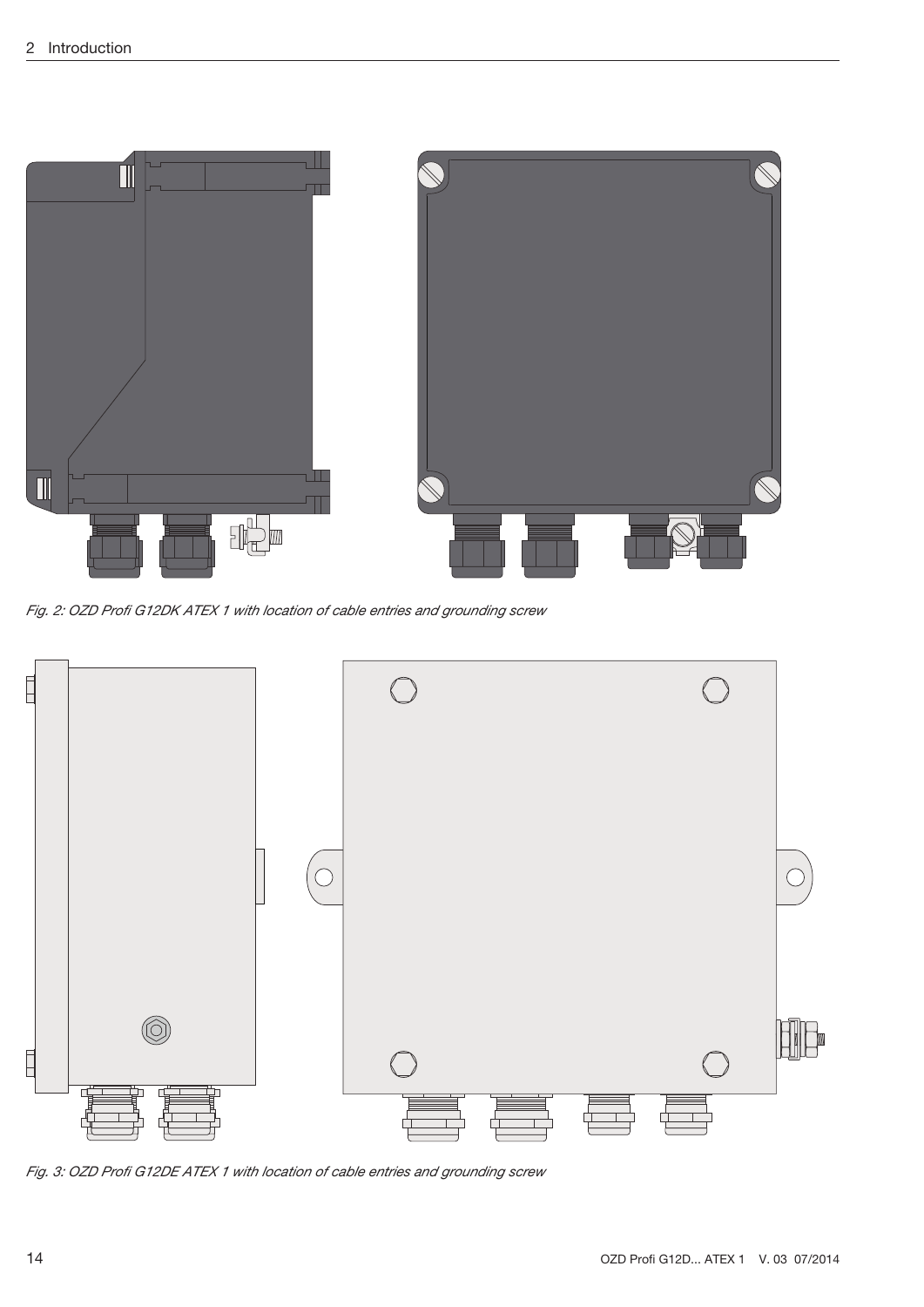

*Fig. 2: OZD Profi G12DK ATEX 1 with location of cable entries and grounding screw*



*Fig. 3: OZD Profi G12DE ATEX 1 with location of cable entries and grounding screw*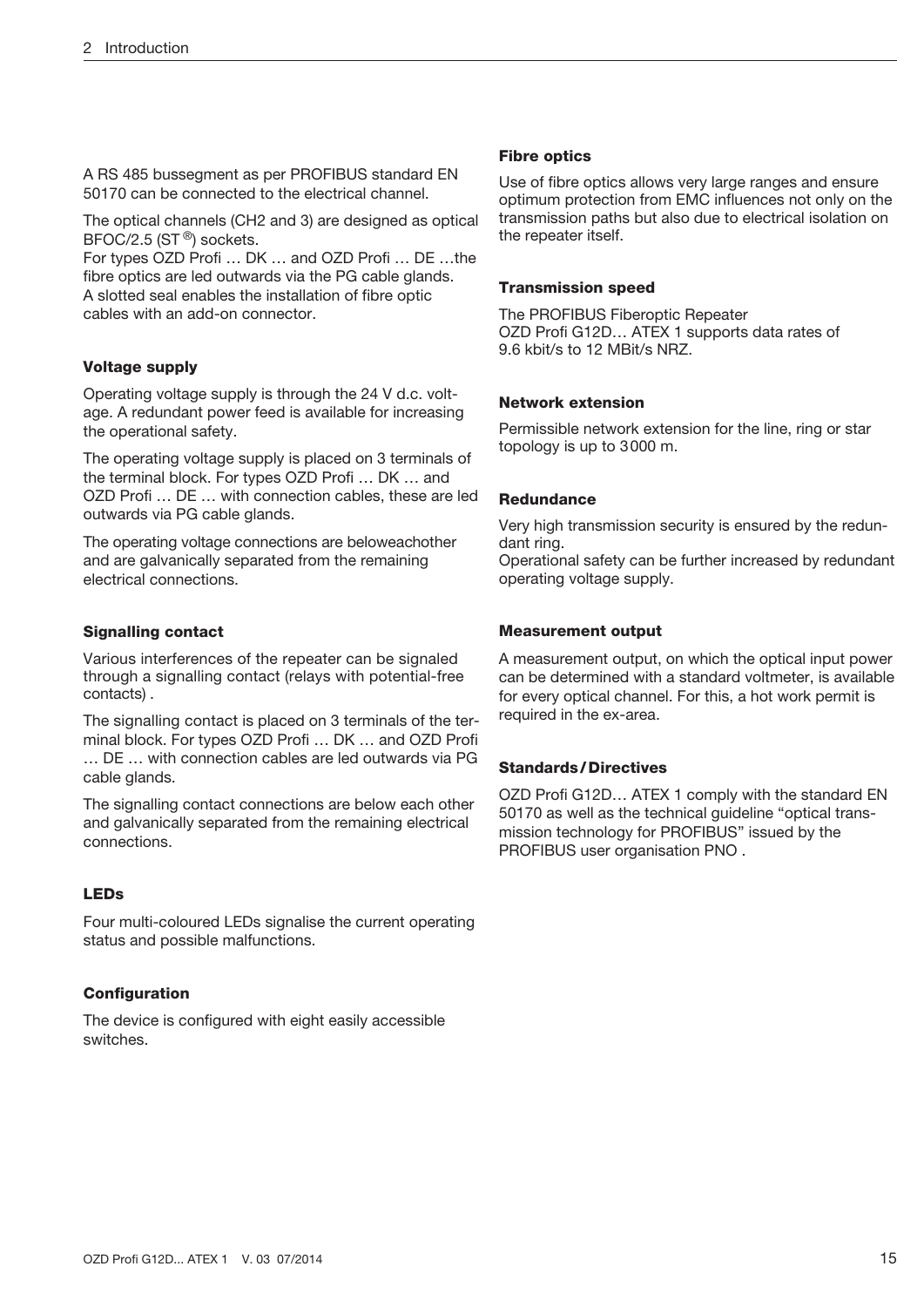A RS 485 bussegment as per PROFIBUS standard EN 50170 can be connected to the electrical channel.

The optical channels (CH2 and 3) are designed as optical BFOC/2.5 (ST ®) sockets.

For types OZD Profi … DK … and OZD Profi … DE …the fibre optics are led outwards via the PG cable glands. A slotted seal enables the installation of fibre optic cables with an add-on connector.

# **Voltage supply**

Operating voltage supply is through the 24 V d.c. voltage. A redundant power feed is available for increasing the operational safety.

The operating voltage supply is placed on 3 terminals of the terminal block. For types OZD Profi … DK … and OZD Profi ... DE ... with connection cables, these are led outwards via PG cable glands.

The operating voltage connections are beloweachother and are galvanically separated from the remaining electrical connections.

# **Signalling contact**

Various interferences of the repeater can be signaled through a signalling contact (relays with potential-free contacts) .

The signalling contact is placed on 3 terminals of the terminal block. For types OZD Profi … DK … and OZD Profi … DE … with connection cables are led outwards via PG cable glands.

The signalling contact connections are below each other and galvanically separated from the remaining electrical connections.

# **LEDs**

Four multi-coloured LEDs signalise the current operating status and possible malfunctions.

# **Configuration**

The device is configured with eight easily accessible switches.

# **Fibre optics**

Use of fibre optics allows very large ranges and ensure optimum protection from EMC influences not only on the transmission paths but also due to electrical isolation on the repeater itself.

# **Transmission speed**

The PROFIBUS Fiberoptic Repeater OZD Profi G12D… ATEX 1 supports data rates of 9.6 kbit/s to 12 MBit/s NRZ.

# **Network extension**

Permissible network extension for the line, ring or star topology is up to 3000 m.

# **Redundance**

Very high transmission security is ensured by the redundant ring.

Operational safety can be further increased by redundant operating voltage supply.

# **Measurement output**

A measurement output, on which the optical input power can be determined with a standard voltmeter, is available for every optical channel. For this, a hot work permit is required in the ex-area.

# **Standards/Directives**

OZD Profi G12D… ATEX 1 comply with the standard EN 50170 as well as the technical guideline "optical transmission technology for PROFIBUS" issued by the PROFIBUS user organisation PNO .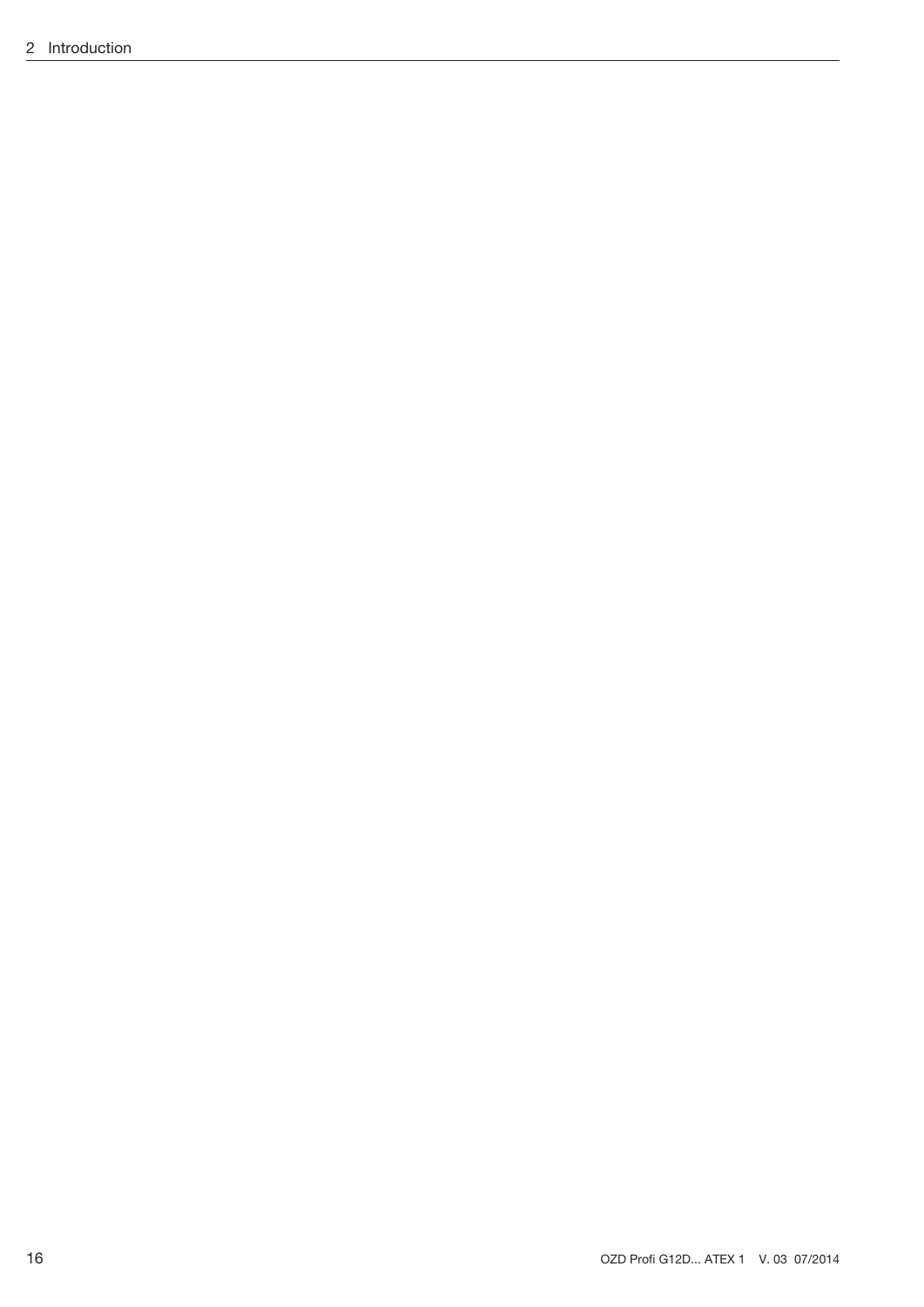2 Introduction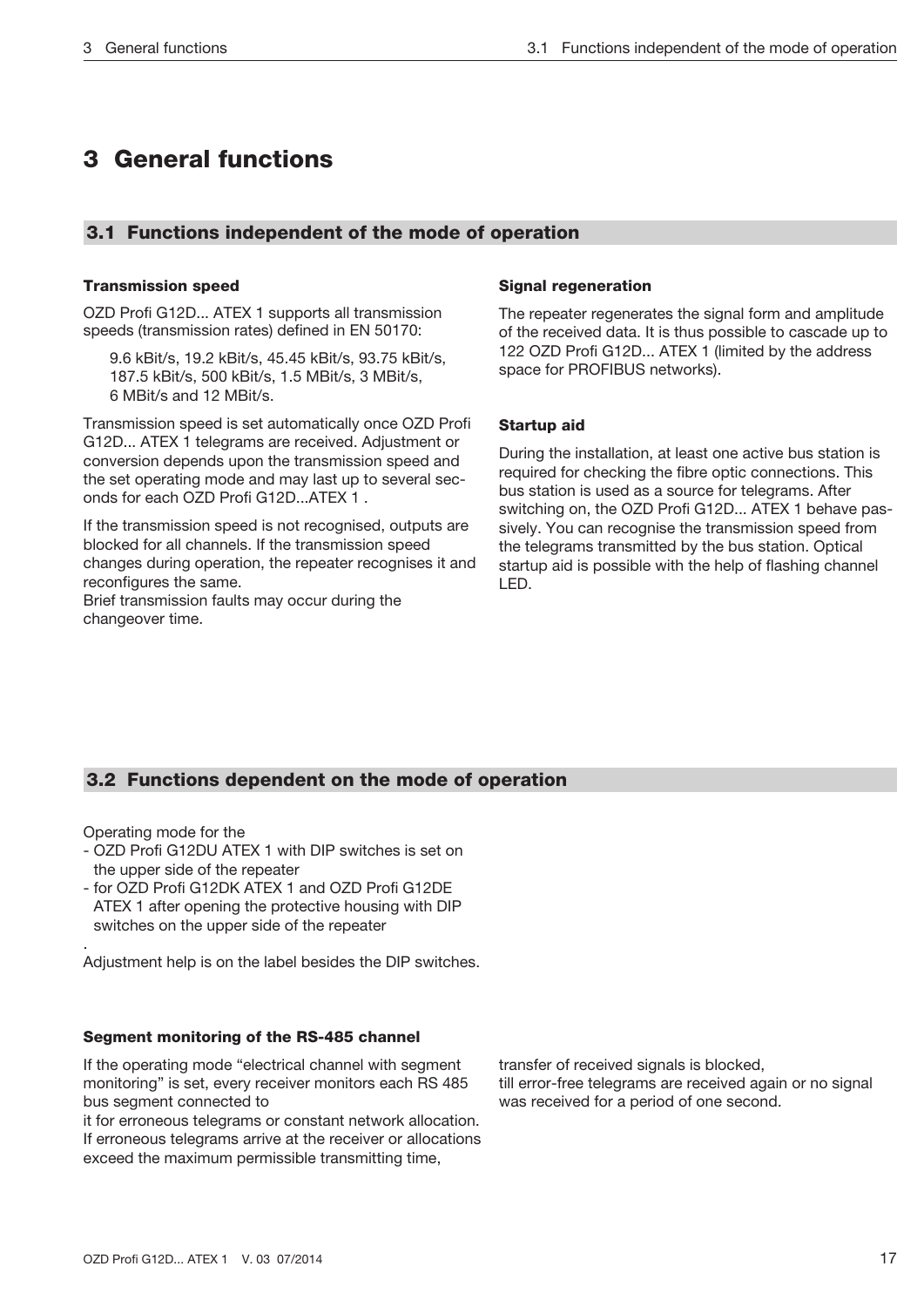# **3 General functions**

# **3.1 Functions independent of the mode of operation**

# **Transmission speed**

OZD Profi G12D... ATEX 1 supports all transmission speeds (transmission rates) defined in EN 50170:

9.6 kBit/s, 19.2 kBit/s, 45.45 kBit/s, 93.75 kBit/s, 187.5 kBit/s, 500 kBit/s, 1.5 MBit/s, 3 MBit/s, 6 MBit/s and 12 MBit/s.

Transmission speed is set automatically once OZD Profi G12D... ATEX 1 telegrams are received. Adjustment or conversion depends upon the transmission speed and the set operating mode and may last up to several seconds for each OZD Profi G12D...ATEX 1 .

If the transmission speed is not recognised, outputs are blocked for all channels. If the transmission speed changes during operation, the repeater recognises it and reconfigures the same. Brief transmission faults may occur during the changeover time.

## **Signal regeneration**

The repeater regenerates the signal form and amplitude of the received data. It is thus possible to cascade up to 122 OZD Profi G12D... ATEX 1 (limited by the address space for PROFIBUS networks).

# **Startup aid**

During the installation, at least one active bus station is required for checking the fibre optic connections. This bus station is used as a source for telegrams. After switching on, the OZD Profi G12D... ATEX 1 behave passively. You can recognise the transmission speed from the telegrams transmitted by the bus station. Optical startup aid is possible with the help of flashing channel LED.

# **3.2 Functions dependent on the mode of operation**

Operating mode for the

.

- OZD Profi G12DU ATEX 1 with DIP switches is set on the upper side of the repeater
- for OZD Profi G12DK ATEX 1 and OZD Profi G12DE ATEX 1 after opening the protective housing with DIP switches on the upper side of the repeater

Adjustment help is on the label besides the DIP switches.

# **Segment monitoring of the RS-485 channel**

If the operating mode "electrical channel with segment monitoring" is set, every receiver monitors each RS 485 bus segment connected to

it for erroneous telegrams or constant network allocation. If erroneous telegrams arrive at the receiver or allocations exceed the maximum permissible transmitting time,

transfer of received signals is blocked, till error-free telegrams are received again or no signal was received for a period of one second.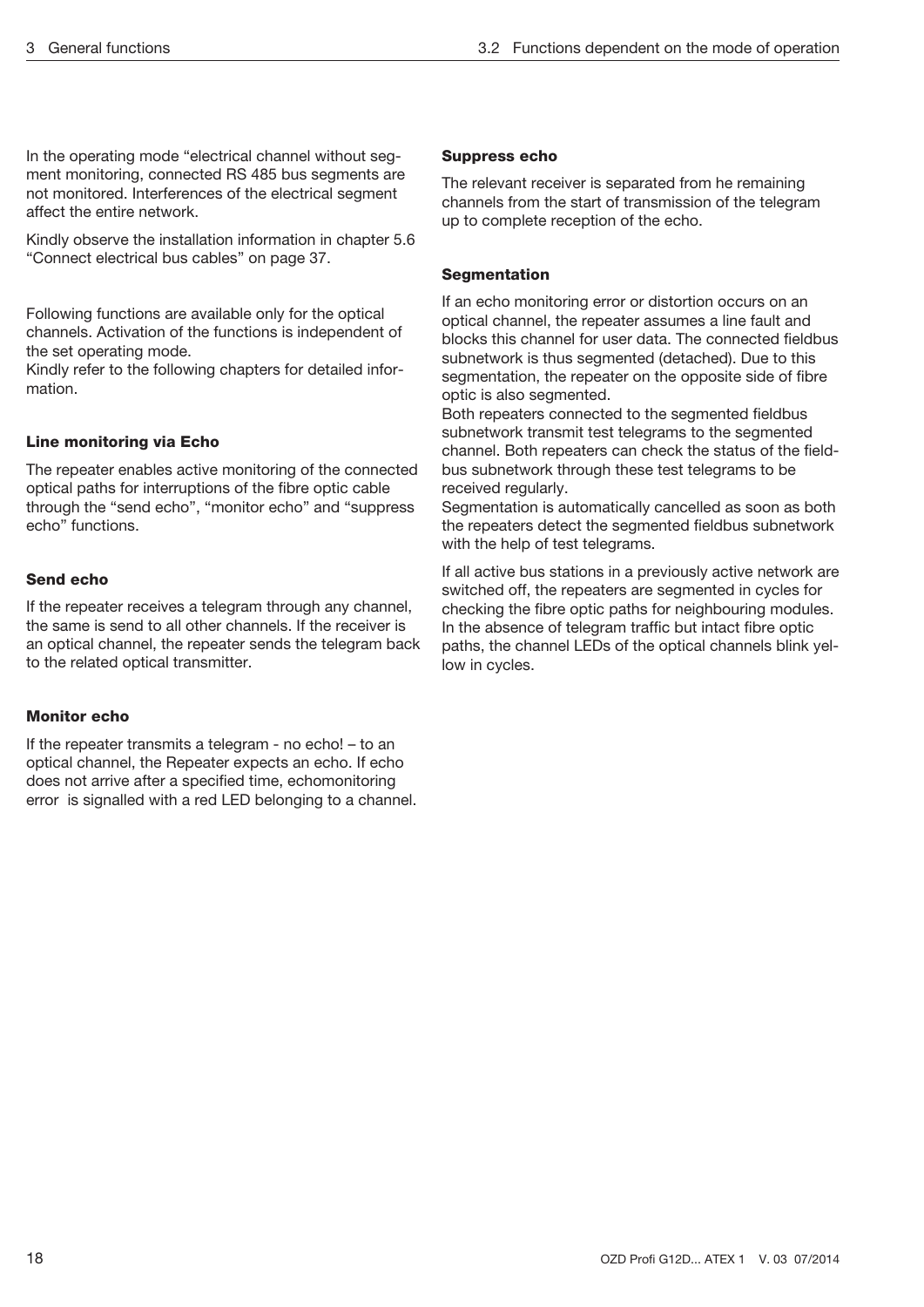In the operating mode "electrical channel without segment monitoring, connected RS 485 bus segments are not monitored. Interferences of the electrical segment affect the entire network.

Kindly observe the installation information in chapter 5.6 "Connect electrical bus cables" on page 37.

Following functions are available only for the optical channels. Activation of the functions is independent of the set operating mode.

Kindly refer to the following chapters for detailed information.

# **Line monitoring via Echo**

The repeater enables active monitoring of the connected optical paths for interruptions of the fibre optic cable through the "send echo", "monitor echo" and "suppress echo" functions.

# **Send echo**

If the repeater receives a telegram through any channel, the same is send to all other channels. If the receiver is an optical channel, the repeater sends the telegram back to the related optical transmitter.

## **Monitor echo**

If the repeater transmits a telegram - no echo! – to an optical channel, the Repeater expects an echo. If echo does not arrive after a specified time, echomonitoring error is signalled with a red LED belonging to a channel.

## **Suppress echo**

The relevant receiver is separated from he remaining channels from the start of transmission of the telegram up to complete reception of the echo.

## **Segmentation**

If an echo monitoring error or distortion occurs on an optical channel, the repeater assumes a line fault and blocks this channel for user data. The connected fieldbus subnetwork is thus segmented (detached). Due to this segmentation, the repeater on the opposite side of fibre optic is also segmented.

Both repeaters connected to the segmented fieldbus subnetwork transmit test telegrams to the segmented channel. Both repeaters can check the status of the fieldbus subnetwork through these test telegrams to be received regularly.

Segmentation is automatically cancelled as soon as both the repeaters detect the segmented fieldbus subnetwork with the help of test telegrams.

If all active bus stations in a previously active network are switched off, the repeaters are segmented in cycles for checking the fibre optic paths for neighbouring modules. In the absence of telegram traffic but intact fibre optic paths, the channel LEDs of the optical channels blink yellow in cycles.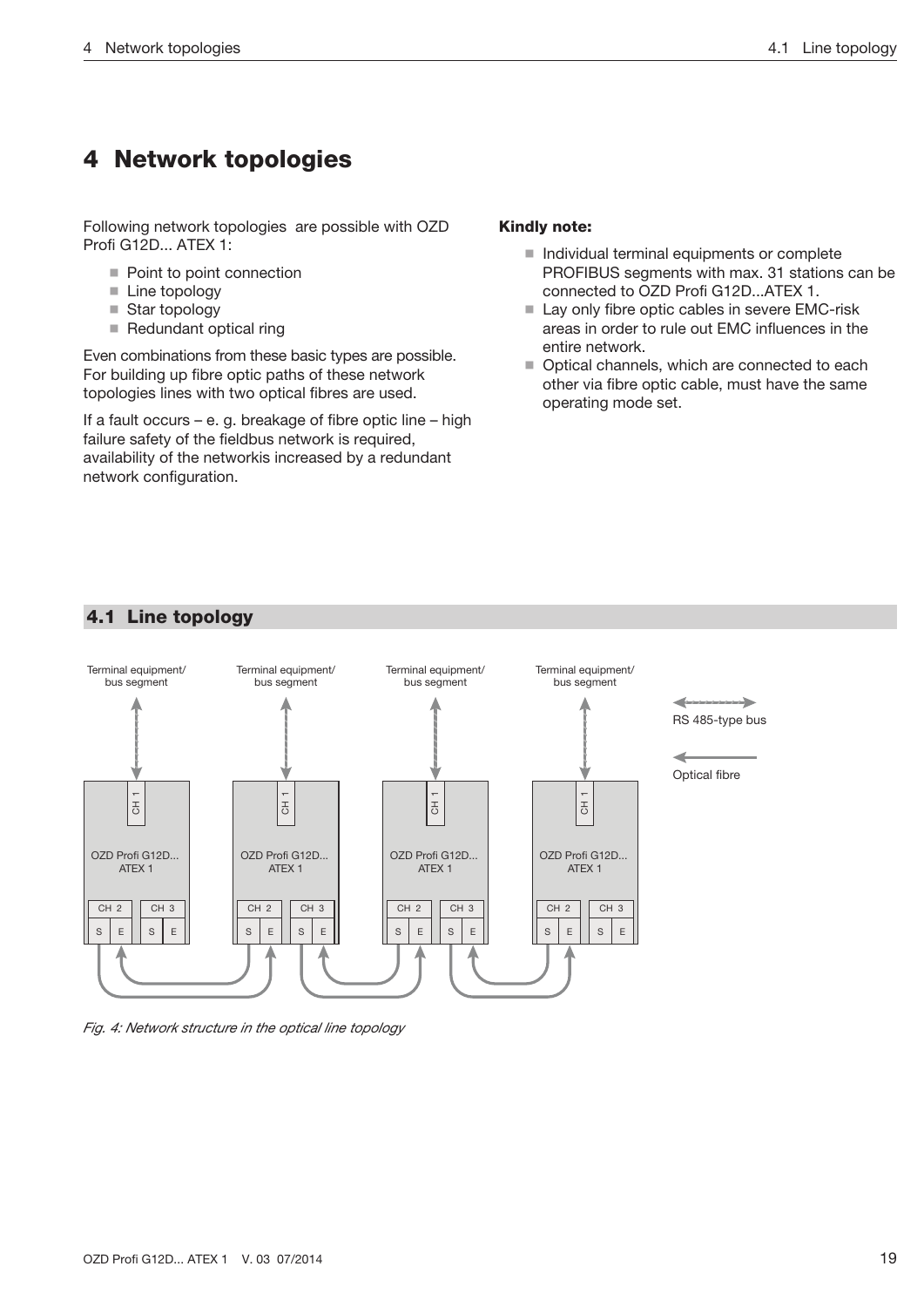# **4 Network topologies**

Following network topologies are possible with OZD Profi G12D... ATEX 1:

- Point to point connection
- Line topology
- Star topology
- Redundant optical ring

Even combinations from these basic types are possible. For building up fibre optic paths of these network topologies lines with two optical fibres are used.

If a fault occurs – e. g. breakage of fibre optic line – high failure safety of the fieldbus network is required, availability of the networkis increased by a redundant network configuration.

# **Kindly note:**

- Individual terminal equipments or complete PROFIBUS segments with max. 31 stations can be connected to OZD Profi G12D...ATEX 1.
- Lay only fibre optic cables in severe EMC-risk areas in order to rule out EMC influences in the entire network.
- Optical channels, which are connected to each other via fibre optic cable, must have the same operating mode set.

# **4.1 Line topology**



*Fig. 4: Network structure in the optical line topology*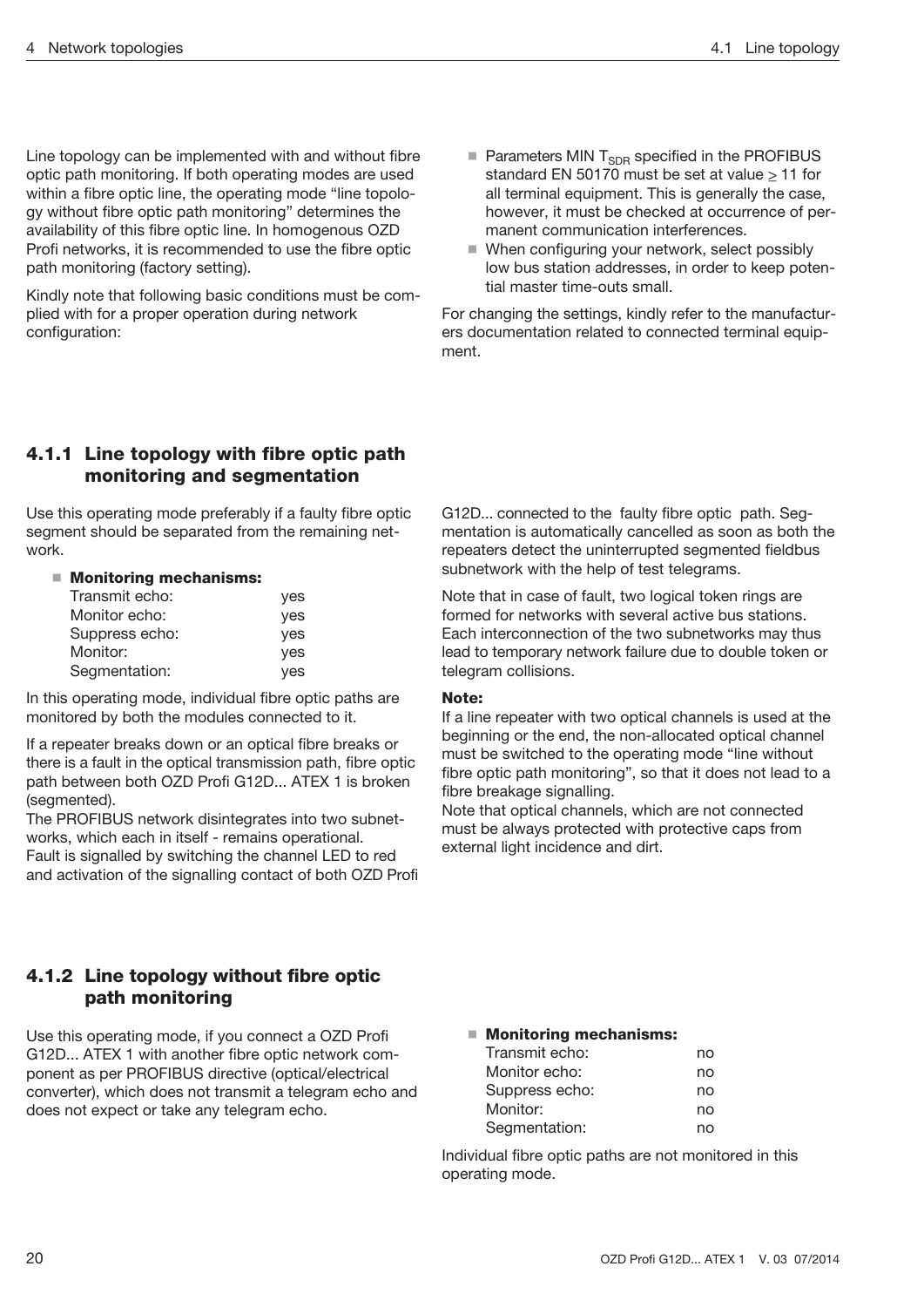Line topology can be implemented with and without fibre optic path monitoring. If both operating modes are used within a fibre optic line, the operating mode "line topology without fibre optic path monitoring" determines the availability of this fibre optic line. In homogenous OZD Profi networks, it is recommended to use the fibre optic path monitoring (factory setting).

Kindly note that following basic conditions must be complied with for a proper operation during network configuration:

- $\blacksquare$  Parameters MIN T<sub>SDR</sub> specified in the PROFIBUS standard EN 50170 must be set at value  $\geq$  11 for all terminal equipment. This is generally the case, however, it must be checked at occurrence of permanent communication interferences.
- When configuring your network, select possibly low bus station addresses, in order to keep potential master time-outs small.

For changing the settings, kindly refer to the manufacturers documentation related to connected terminal equipment.

# **4.1.1 Line topology with fibre optic path monitoring and segmentation**

Use this operating mode preferably if a faulty fibre optic segment should be separated from the remaining network.

# ■ Monitoring mechanisms:

| Transmit echo: | yes |
|----------------|-----|
| Monitor echo:  | yes |
| Suppress echo: | yes |
| Monitor:       | yes |
| Segmentation:  | yes |

In this operating mode, individual fibre optic paths are monitored by both the modules connected to it.

If a repeater breaks down or an optical fibre breaks or there is a fault in the optical transmission path, fibre optic path between both OZD Profi G12D... ATEX 1 is broken (segmented).

The PROFIBUS network disintegrates into two subnetworks, which each in itself - remains operational. Fault is signalled by switching the channel LED to red and activation of the signalling contact of both OZD Profi

**4.1.2 Line topology without fibre optic path monitoring**

Use this operating mode, if you connect a OZD Profi G12D... ATEX 1 with another fibre optic network component as per PROFIBUS directive (optical/electrical con verter), which does not transmit a telegram echo and does not expect or take any telegram echo.

G12D... connected to the faulty fibre optic path. Segmentation is automatically cancelled as soon as both the repeaters detect the uninterrupted segmented fieldbus subnetwork with the help of test telegrams.

Note that in case of fault, two logical token rings are formed for networks with several active bus stations. Each interconnection of the two subnetworks may thus lead to temporary network failure due to double token or telegram collisions.

## **Note:**

If a line repeater with two optical channels is used at the beginning or the end, the non-allocated optical channel must be switched to the operating mode "line without fibre optic path monitoring", so that it does not lead to a fibre breakage signalling.

Note that optical channels, which are not connected must be always protected with protective caps from external light incidence and dirt.

# **Monitoring mechanisms:**

| Transmit echo: | no |
|----------------|----|
| Monitor echo:  | no |
| Suppress echo: | no |
| Monitor:       | no |
| Segmentation:  | nn |

Individual fibre optic paths are not monitored in this operating mode.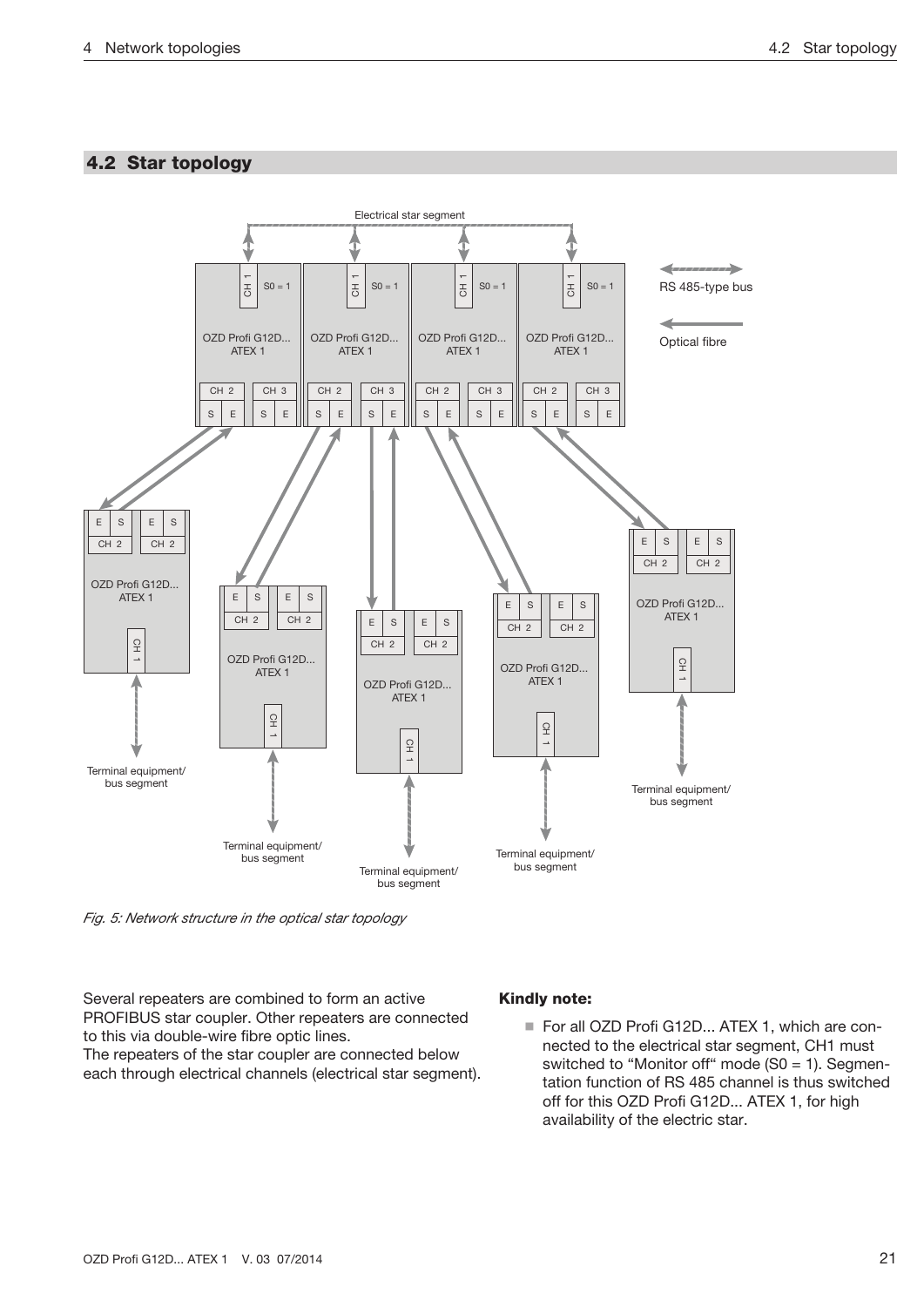# **4.2 Star topology**



*Fig. 5: Network structure in the optical star topology*

Several repeaters are combined to form an active PROFIBUS star coupler. Other repeaters are connected to this via double-wire fibre optic lines.

The repeaters of the star coupler are connected below each through electrical channels (electrical star segment).

## **Kindly note:**

■ For all OZD Profi G12D... ATEX 1, which are connected to the electrical star segment, CH1 must switched to "Monitor off" mode (S0 = 1). Segmentation function of RS 485 channel is thus switched off for this OZD Profi G12D... ATEX 1, for high availability of the electric star.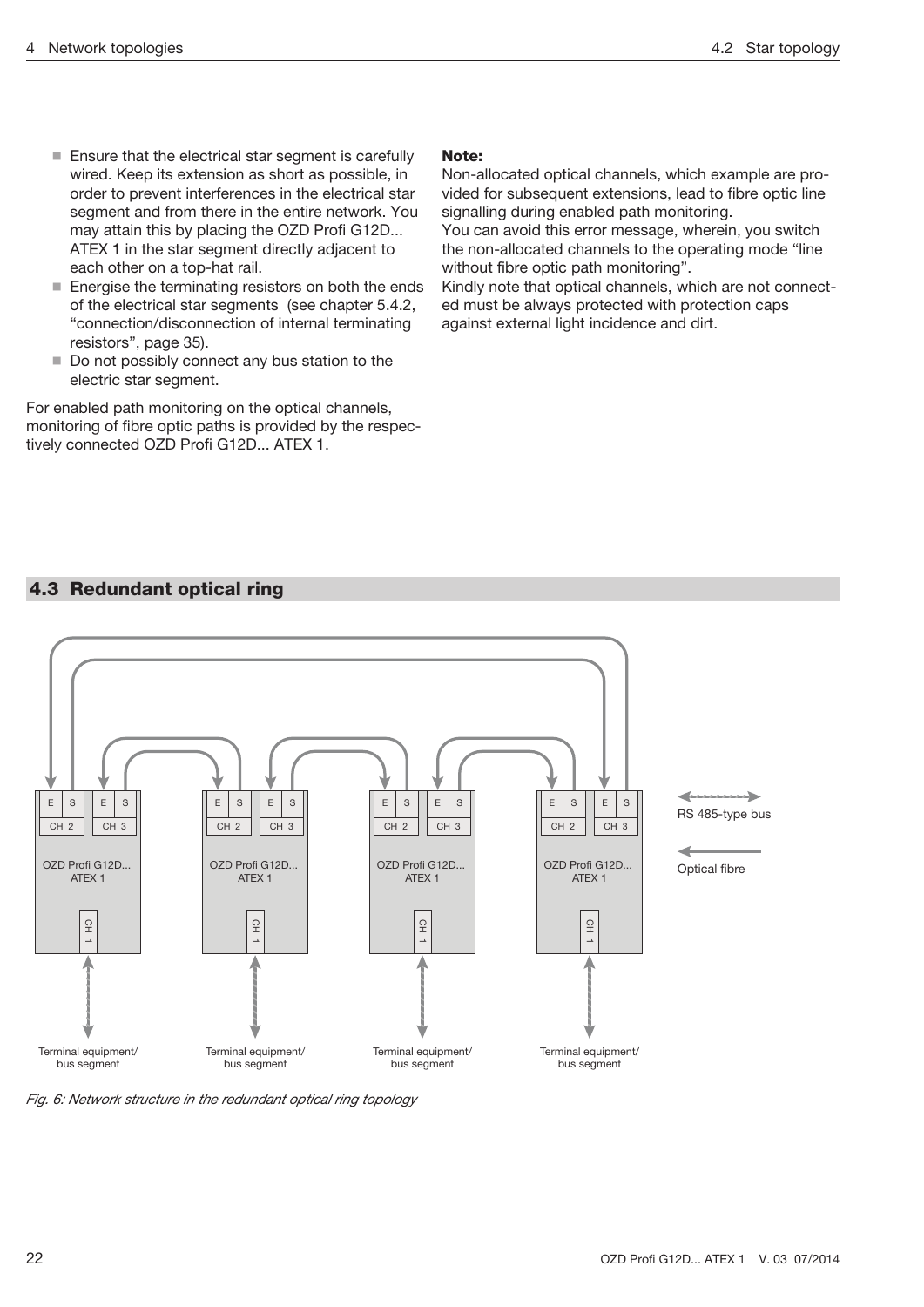- Ensure that the electrical star segment is carefully wired. Keep its extension as short as possible, in order to prevent interferences in the electrical star segment and from there in the entire network. You may attain this by placing the OZD Profi G12D... ATEX 1 in the star segment directly adjacent to each other on a top-hat rail.
- $\blacksquare$  Energise the terminating resistors on both the ends of the electrical star segments (see chapter 5.4.2, "connection/disconnection of internal terminating resistors", page 35).
- Do not possibly connect any bus station to the electric star segment.

For enabled path monitoring on the optical channels, monitoring of fibre optic paths is provided by the respectively connected OZD Profi G12D... ATEX 1.

## **Note:**

Non-allocated optical channels, which example are provided for subsequent extensions, lead to fibre optic line signalling during enabled path monitoring.

You can avoid this error message, wherein, you switch the non-allocated channels to the operating mode "line without fibre optic path monitoring".

Kindly note that optical channels, which are not connected must be always protected with protection caps against external light incidence and dirt.

# **4.3 Redundant optical ring**



*Fig. 6: Network structure in the redundant optical ring topology*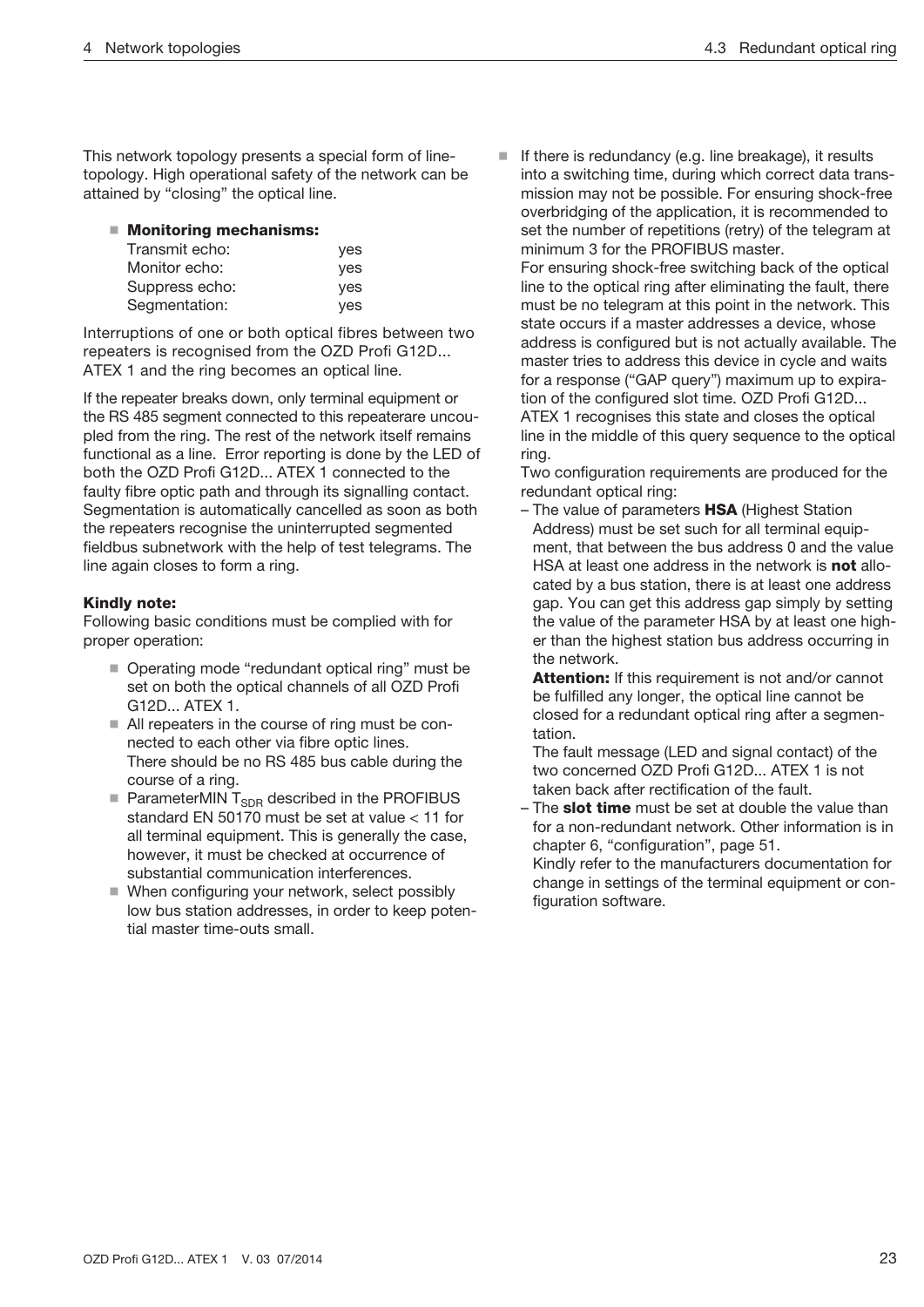This network topology presents a special form of linetopology. High operational safety of the network can be attained by "closing" the optical line.

# **Monitoring mechanisms:**

| Transmit echo: | yes |
|----------------|-----|
| Monitor echo:  | yes |
| Suppress echo: | yes |
| Segmentation:  | yes |

Interruptions of one or both optical fibres between two repeaters is recognised from the OZD Profi G12D... ATEX 1 and the ring becomes an optical line.

If the repeater breaks down, only terminal equipment or the RS 485 segment connected to this repeaterare uncoupled from the ring. The rest of the network itself remains functional as a line. Error reporting is done by the LED of both the OZD Profi G12D... ATEX 1 connected to the faulty fibre optic path and through its signalling contact. Segmentation is automatically cancelled as soon as both the repeaters recognise the uninterrupted segmented fieldbus subnetwork with the help of test telegrams. The line again closes to form a ring.

# **Kindly note:**

Following basic conditions must be complied with for proper operation:

- Operating mode "redundant optical ring" must be set on both the optical channels of all OZD Profi G12D... ATEX 1.
- All repeaters in the course of ring must be connected to each other via fibre optic lines. There should be no RS 485 bus cable during the course of a ring.
- Parameter MIN T<sub>SDR</sub> described in the PROFIBUS standard EN 50170 must be set at value < 11 for all terminal equipment. This is generally the case, however, it must be checked at occurrence of substantial communication interferences.
- When configuring your network, select possibly low bus station addresses, in order to keep potential master time-outs small.

 If there is redundancy (e.g. line breakage), it results into a switching time, during which correct data transmission may not be possible. For ensuring shock-free overbridging of the application, it is recommended to set the number of repetitions (retry) of the telegram at minimum 3 for the PROFIBUS master.

For ensuring shock-free switching back of the optical line to the optical ring after eliminating the fault, there must be no telegram at this point in the network. This state occurs if a master addresses a device, whose address is configured but is not actually available. The master tries to address this device in cycle and waits for a response ("GAP query") maximum up to expiration of the configured slot time. OZD Profi G12D... ATEX 1 recognises this state and closes the optical line in the middle of this query sequence to the optical ring.

Two configuration requirements are produced for the redundant optical ring:

– The value of parameters **HSA** (Highest Station Address) must be set such for all terminal equipment, that between the bus address 0 and the value HSA at least one address in the network is **not** allocated by a bus station, there is at least one address gap. You can get this address gap simply by setting the value of the parameter HSA by at least one higher than the highest station bus address occurring in the network.

**Attention:** If this requirement is not and/or cannot be fulfilled any longer, the optical line cannot be closed for a redundant optical ring after a segmentation.

The fault message (LED and signal contact) of the two concerned OZD Profi G12D... ATEX 1 is not taken back after rectification of the fault.

- The **slot time** must be set at double the value than for a non-redundant network. Other information is in chapter 6, "configuration", page 51.
- Kindly refer to the manufacturers documentation for change in settings of the terminal equipment or configuration software.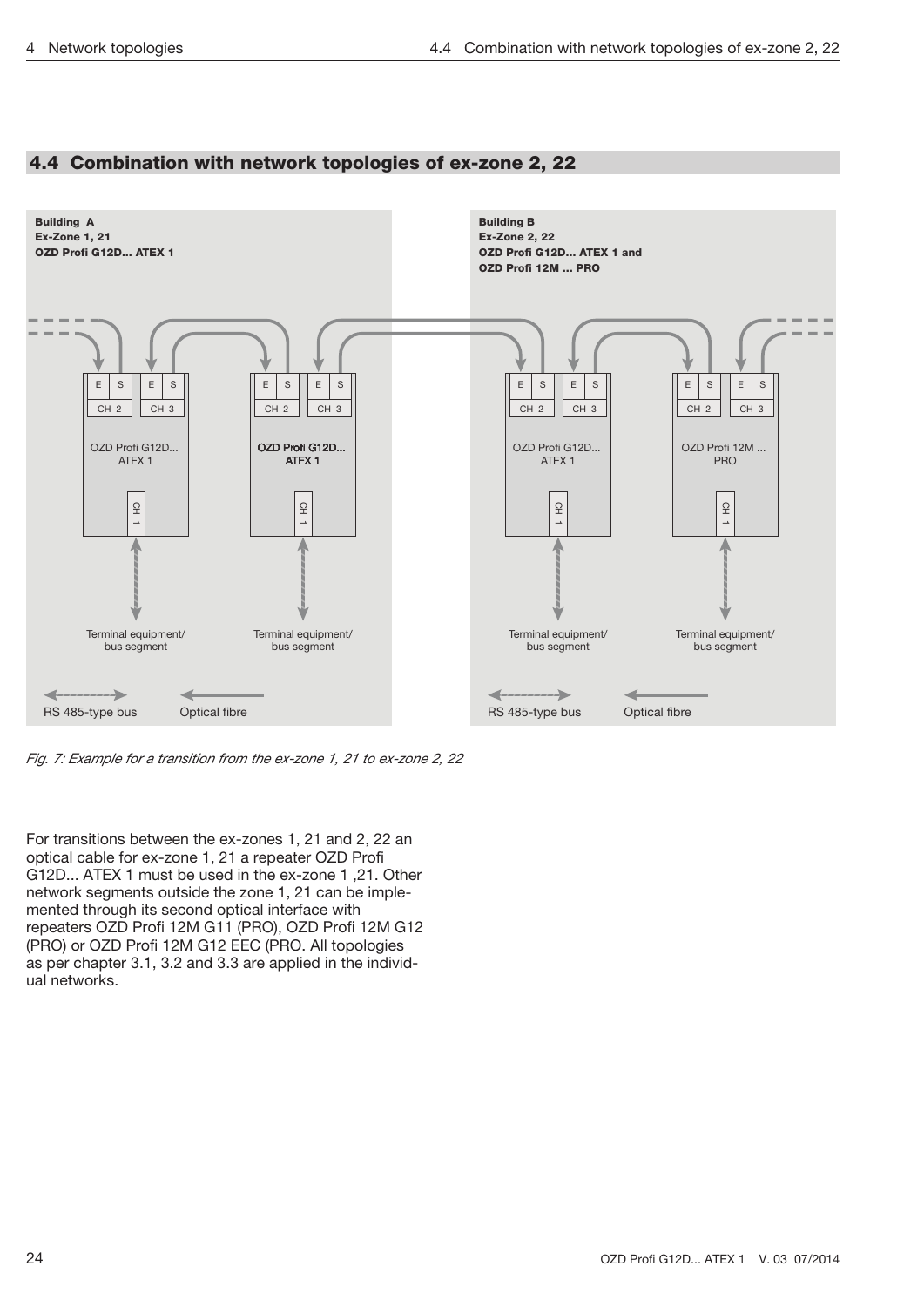# **4.4 Combination with network topologies of ex-zone 2, 22**



*Fig. 7: Example for a transition from the ex-zone 1, 21 to ex-zone 2, 22*

For transitions between the ex-zones 1, 21 and 2, 22 an optical cable for ex-zone 1, 21 a repeater OZD Profi G12D... ATEX 1 must be used in the ex-zone 1 ,21. Other network segments outside the zone 1, 21 can be implemented through its second optical interface with repeaters OZD Profi 12M G11 (PRO), OZD Profi 12M G12 (PRO) or OZD Profi 12M G12 EEC (PRO. All topologies as per chapter 3.1, 3.2 and 3.3 are applied in the individual networks.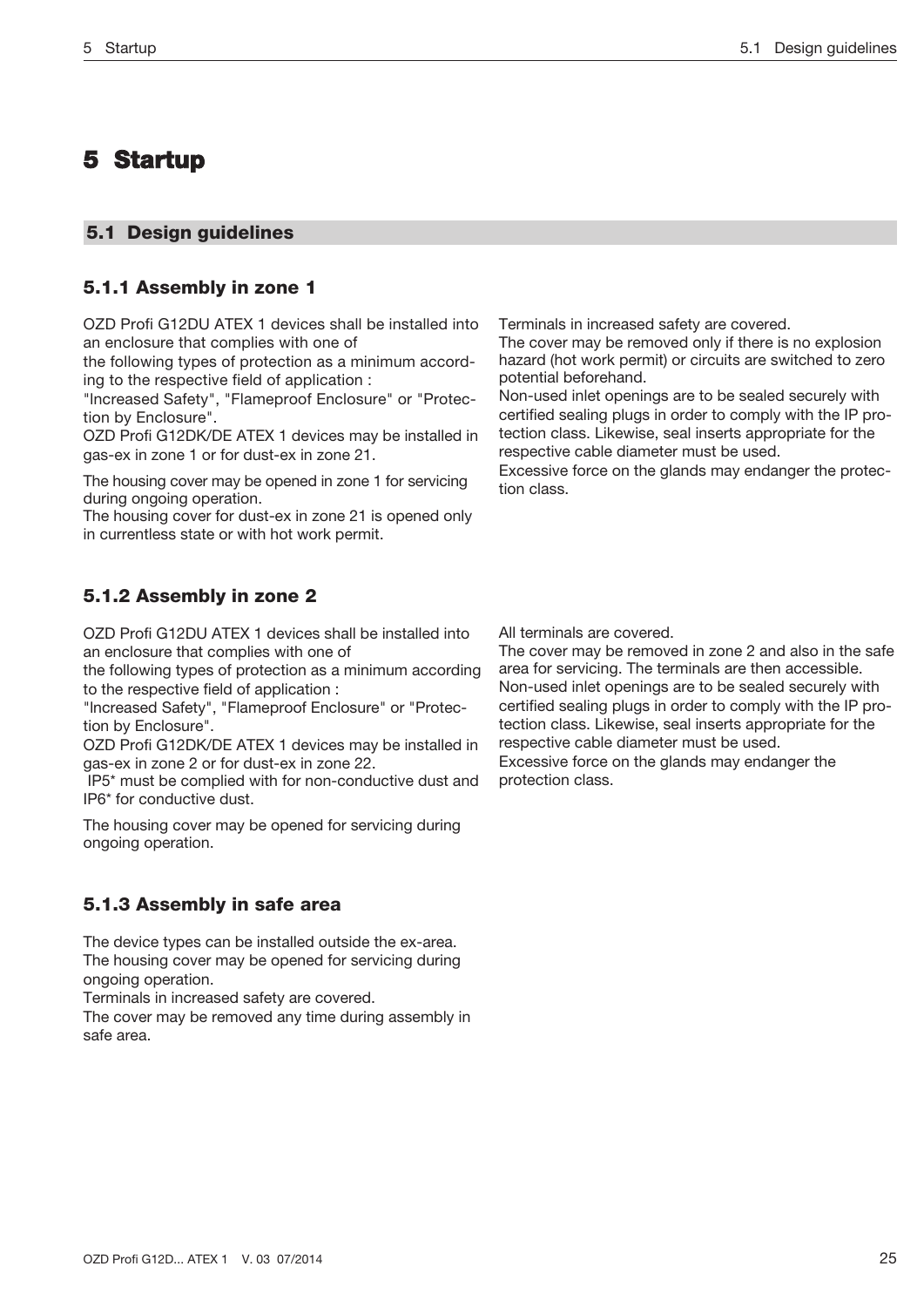# **5 Startup**

# **5.1 Design guidelines**

# **5.1.1 Assembly in zone 1**

OZD Profi G12DU ATEX 1 devices shall be installed into an enclosure that complies with one of

the following types of protection as a minimum according to the respective field of application :

"lncreased Safety", "Flameproof Enclosure" or "Protection by Enclosure".

OZD Profi G12DK/DE ATEX 1 devices may be installed in gas-ex in zone 1 or for dust-ex in zone 21.

The housing cover may be opened in zone 1 for servicing during ongoing operation.

The housing cover for dust-ex in zone 21 is opened only in currentless state or with hot work permit.

Terminals in increased safety are covered.

The cover may be removed only if there is no explosion hazard (hot work permit) or circuits are switched to zero potential beforehand.

Non-used inlet openings are to be sealed securely with certified sealing plugs in order to comply with the IP protection class. Likewise, seal inserts appropriate for the respective cable diameter must be used.

Excessive force on the glands may endanger the protection class.

# **5.1.2 Assembly in zone 2**

OZD Profi G12DU ATEX 1 devices shall be installed into an enclosure that complies with one of

the following types of protection as a minimum according to the respective field of application :

"lncreased Safety", "Flameproof Enclosure" or "Protection by Enclosure".

OZD Profi G12DK/DE ATEX 1 devices may be installed in gas-ex in zone 2 or for dust-ex in zone 22.

IP5\* must be complied with for non-conductive dust and IP6\* for conductive dust.

The housing cover may be opened for servicing during ongoing operation.

# **5.1.3 Assembly in safe area**

The device types can be installed outside the ex-area. The housing cover may be opened for servicing during ongoing operation.

Terminals in increased safety are covered.

The cover may be removed any time during assembly in safe area.

All terminals are covered.

The cover may be removed in zone 2 and also in the safe area for servicing. The terminals are then accessible. Non-used inlet openings are to be sealed securely with certified sealing plugs in order to comply with the IP protection class. Likewise, seal inserts appropriate for the respective cable diameter must be used. Excessive force on the glands may endanger the protection class.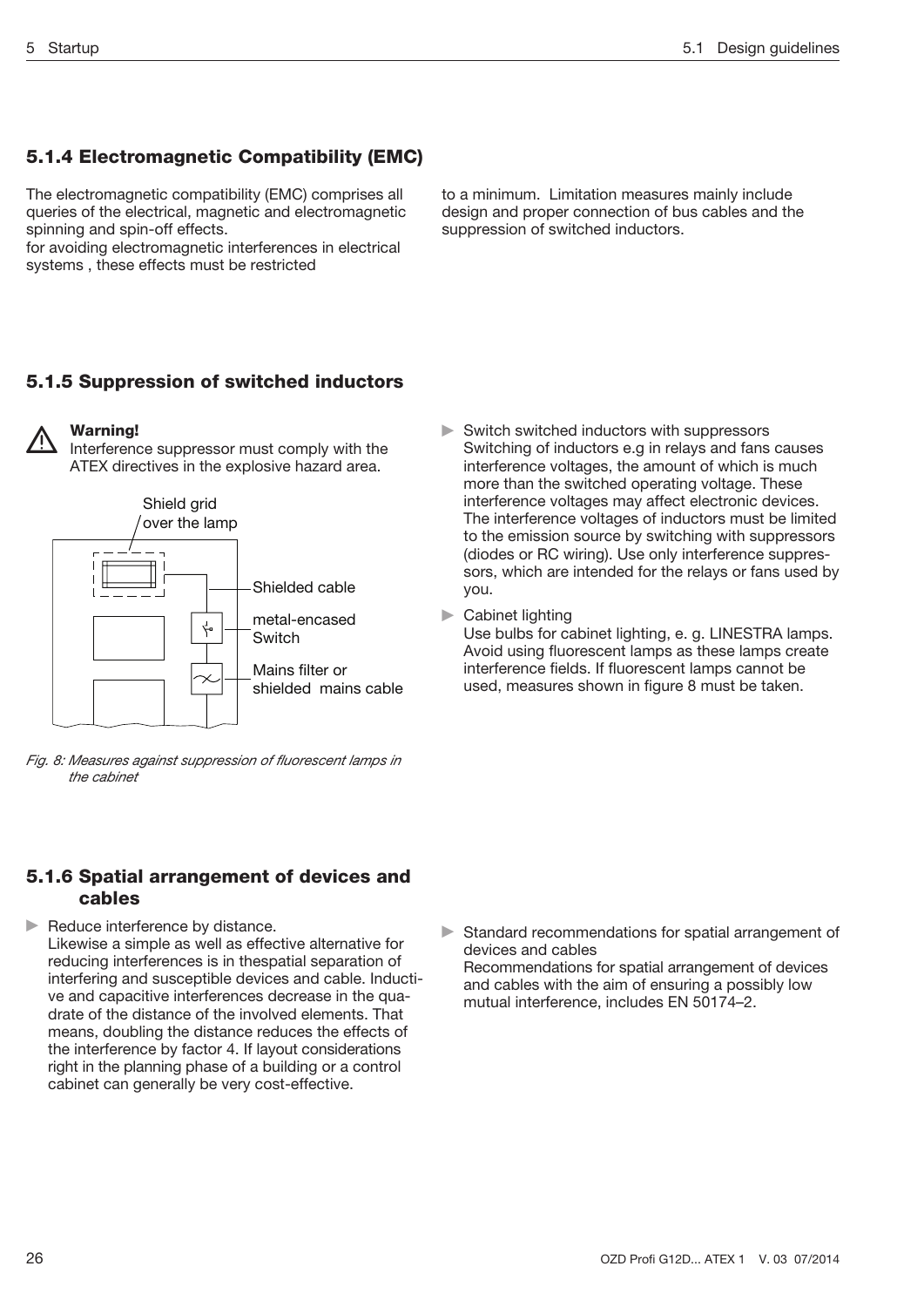# **5.1.4 Electromagnetic Compatibility (EMC)**

The electromagnetic compatibility (EMC) comprises all queries of the electrical, magnetic and electromagnetic spinning and spin-off effects.

for avoiding electromagnetic interferences in electrical systems , these effects must be restricted

to a minimum. Limitation measures mainly include design and proper connection of bus cables and the suppression of switched inductors.

# **5.1.5 Suppression of switched inductors**

# z **Warning!**

Interference suppressor must comply with the ATEX directives in the explosive hazard area.



*Fig. 8: Measures against suppression of fluorescent lamps in the cabinet*

# **5.1.6 Spatial arrangement of devices and cables**

- Execute interference by distance.
	- Likewise a simple as well as effective alternative for reducing interferences is in the spatial separation of interfering and susceptible devices and cable. Inductive and capacitive interferences decrease in the quadrate of the distance of the involved elements. That means, doubling the distance reduces the effects of the interference by factor 4. If layout considerations right in the planning phase of a building or a control cabinet can generally be very cost-effective.
- $\blacktriangleright$  Switch switched inductors with suppressors Switching of inductors e.g in relays and fans causes interference voltages, the amount of which is much more than the switched operating voltage. These interference voltages may affect electronic devices. The interference voltages of inductors must be limited to the emission source by switching with suppressors (diodes or RC wiring). Use only interference suppressors, which are intended for the relays or fans used by you.
- Cabinet lighting

Use bulbs for cabinet lighting, e. g. LINESTRA lamps. Avoid using fluorescent lamps as these lamps create interference fields. If fluorescent lamps cannot be used, measures shown in figure 8 must be taken.

 $\blacktriangleright$  Standard recommendations for spatial arrangement of devices and cables

Recommendations for spatial arrangement of devices and cables with the aim of ensuring a possibly low mutual interference, includes EN 50174-2.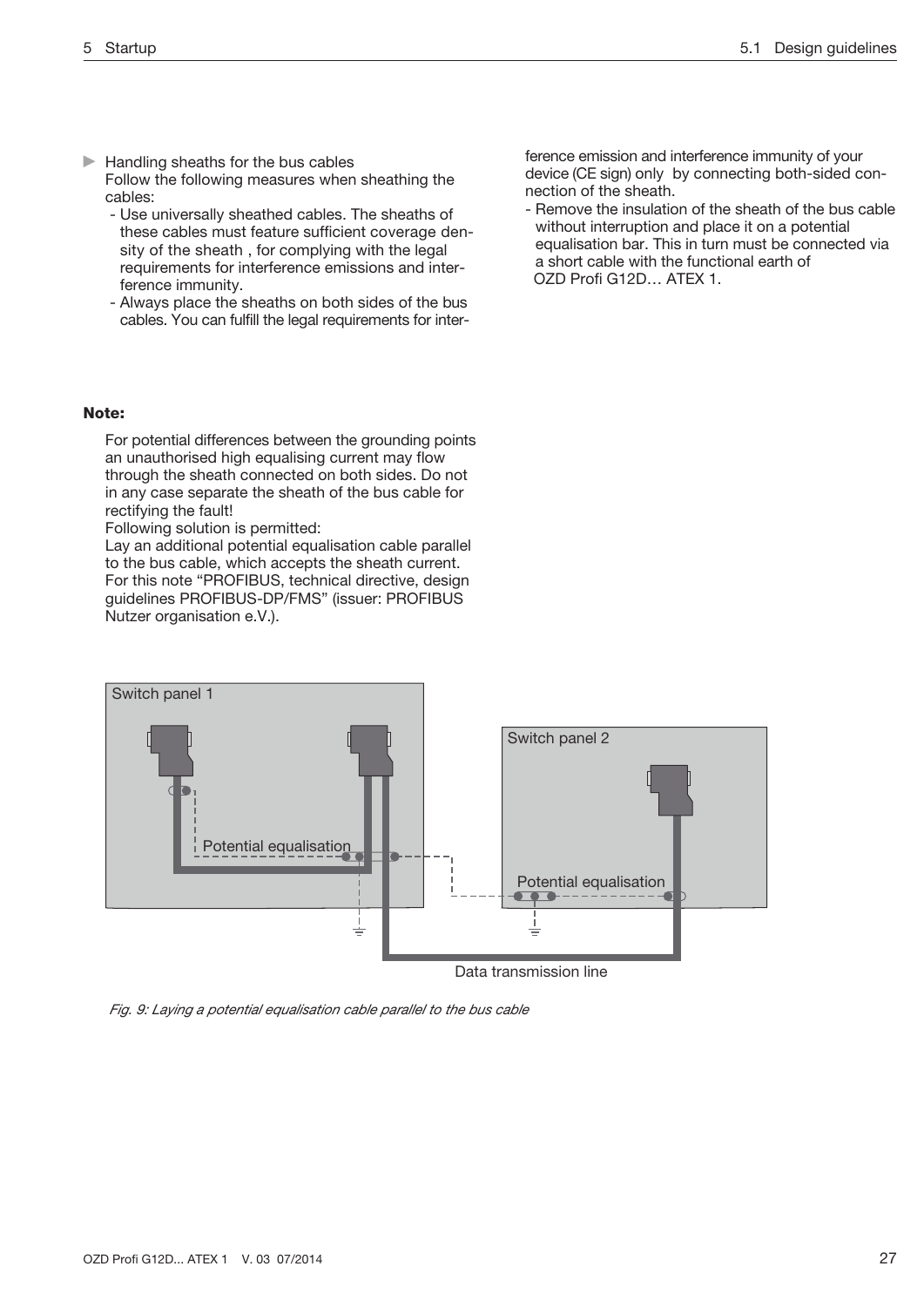- Handling sheaths for the bus cables Follow the following measures when sheathing the cables:
	- Use universally sheathed cables. The sheaths of these cables must feature sufficient coverage density of the sheath , for complying with the legal requirements for interference emissions and interference immunity.
	- Always place the sheaths on both sides of the bus cables. You can fulfill the legal requirements for inter-

**Note:**

For potential differences between the grounding points an unauthorised high equalising current may flow through the sheath connected on both sides. Do not in any case separate the sheath of the bus cable for rectifying the fault!

Following solution is permitted:

Lay an additional potential equalisation cable parallel to the bus cable, which accepts the sheath current. For this note "PROFIBUS, technical directive, design guidelines PROFIBUS-DP/FMS" (issuer: PROFIBUS Nutzer organisation e.V.).

ference emission and interference immunity of your device (CE sign) only by connecting both-sided connection of the sheath.

- Remove the insulation of the sheath of the bus cable without interruption and place it on a potential equalisation bar. This in turn must be connected via a short cable with the functional earth of OZD Profi G12D… ATEX 1.



*Fig. 9: Laying a potential equalisation cable parallel to the bus cable*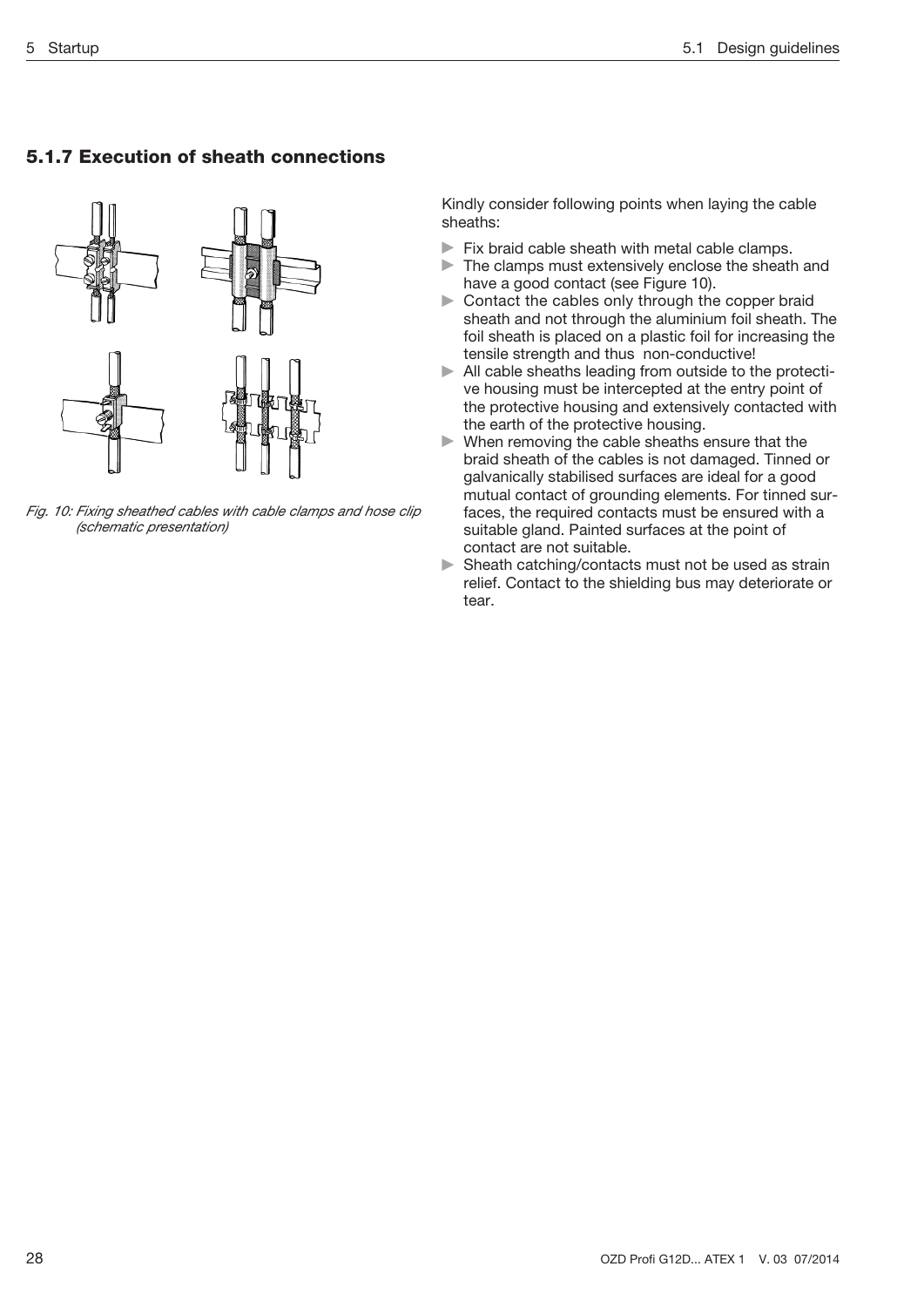# **5.1.7 Execution of sheath connections**



*Fig. 10: Fixing sheathed cables with cableclamps and hose clip (schematic presentation)*

Kindly consider following points when laying the cable sheaths:

- $\blacktriangleright$  Fix braid cable sheath with metal cable clamps.
- $\blacktriangleright$  The clamps must extensively enclose the sheath and have a good contact (see Figure 10).
- **EX** Contact the cables only through the copper braid sheath and not through the aluminium foil sheath. The foil sheath is placed on a plastic foil for increasing the tensile strength and thus non-conductive!
- All cable sheaths leading from outside to the protective housing must be intercepted at the entry point of the protective housing and extensively contacted with the earth of the protective housing.
- $\blacktriangleright$  When removing the cable sheaths ensure that the braid sheath of the cables is not damaged. Tinned or galvanically stabilised surfaces are ideal for a good mutual contact of grounding elements. For tinned surfaces, the required contacts must be ensured with a suitable gland. Painted surfaces at the point of contact are not suitable.
- $\blacktriangleright$  Sheath catching/contacts must not be used as strain relief. Contact to the shielding bus may deteriorate or tear.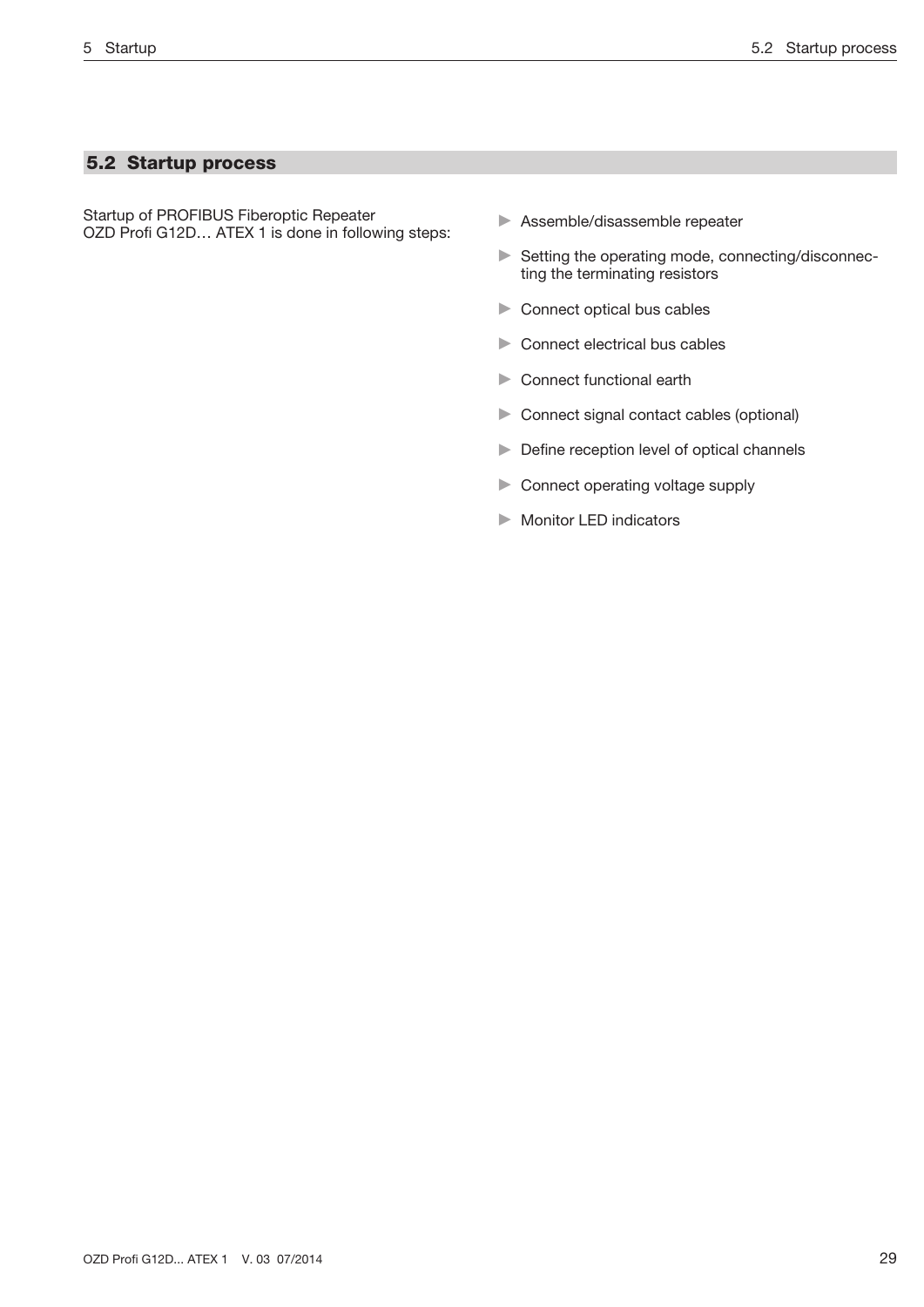# **5.2 Startup process**

Startup of PROFIBUS Fiberoptic Repeater OZD Profi G12D… ATEX 1 is done in following steps:

- **Assemble/disassemble repeater**
- Setting the operating mode, connecting/disconnecting the terminating resistors
- **Exercice** Connect optical bus cables
- **Connect electrical bus cables**
- **Connect functional earth**
- **Connect signal contact cables (optional)**
- **Define reception level of optical channels**
- **Exercice Connect operating voltage supply**
- **Monitor LED indicators**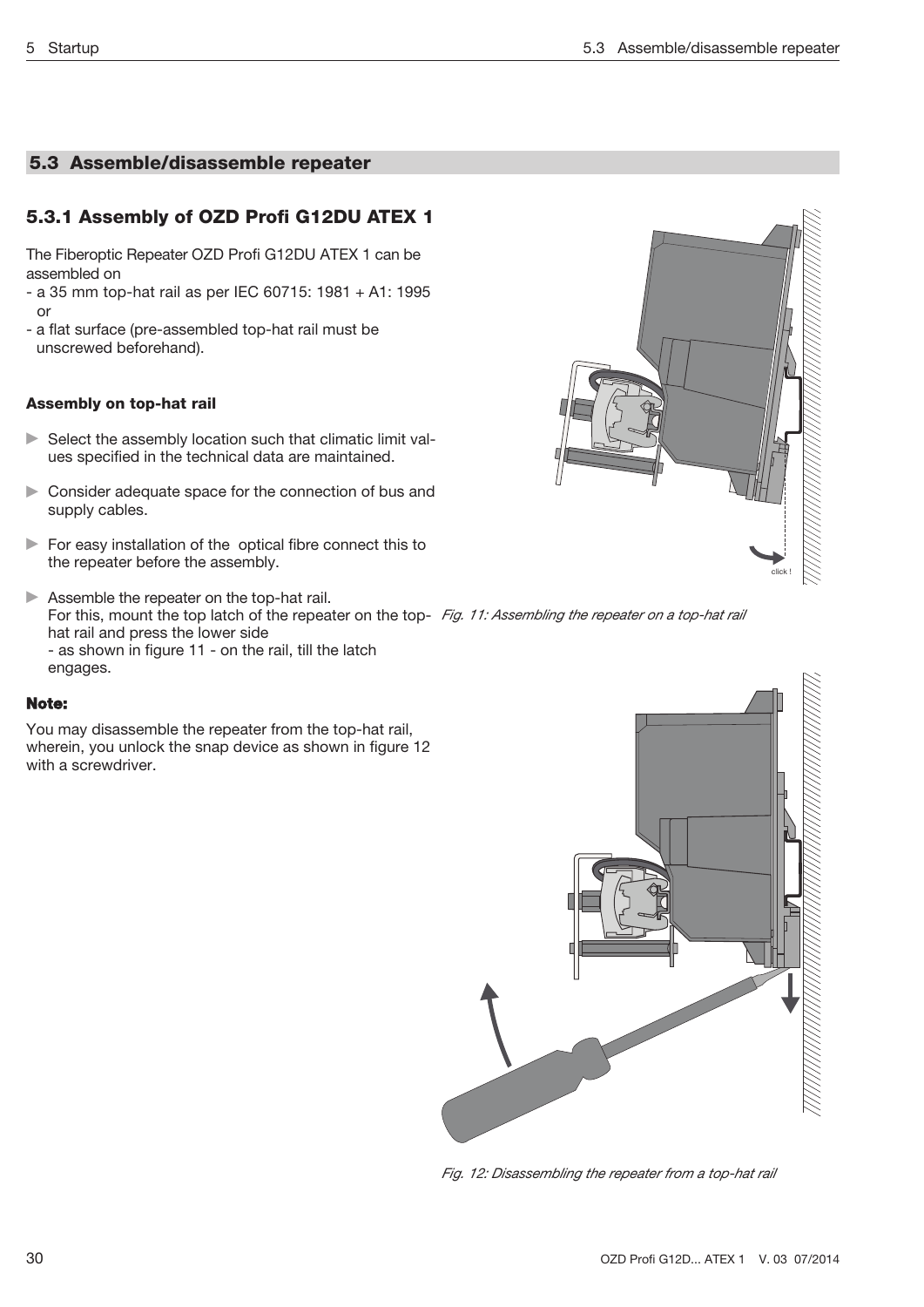# **5.3 Assemble/disassemble repeater**

# **5.3.1 Assembly of OZD Profi G12DU ATEX 1**

The Fiberoptic Repeater OZD Profi G12DU ATEX 1 can be assembled on

- a 35 mm top-hat rail as per IEC 60715: 1981 + A1: 1995 or
- a flat surface (pre-assembled top-hat rail must be unscrewed beforehand).

# **Assembly on top-hat rail**

- Select the assembly location such that climatic limit values specified in the technical data are maintained.
- Consider adequate space for the connection of bus and supply cables.
- For easy installation of the optical fibre connect this to the repeater before the assembly.
- Assemble the repeater on the top-hat rail. For this, mount the top latch of the repeater on the top-*Fig. 11: Assembling the repeater on a top-hat rail* hat rail and press the lower side - as shown in figure 11 - on the rail, till the latch engages.

# **Note:**

You may disassemble the repeater from the top-hat rail, wherein, you unlock the snap device as shown in figure 12 with a screwdriver.





*Fig. 12: Disassembling the repeater from a top-hat rail*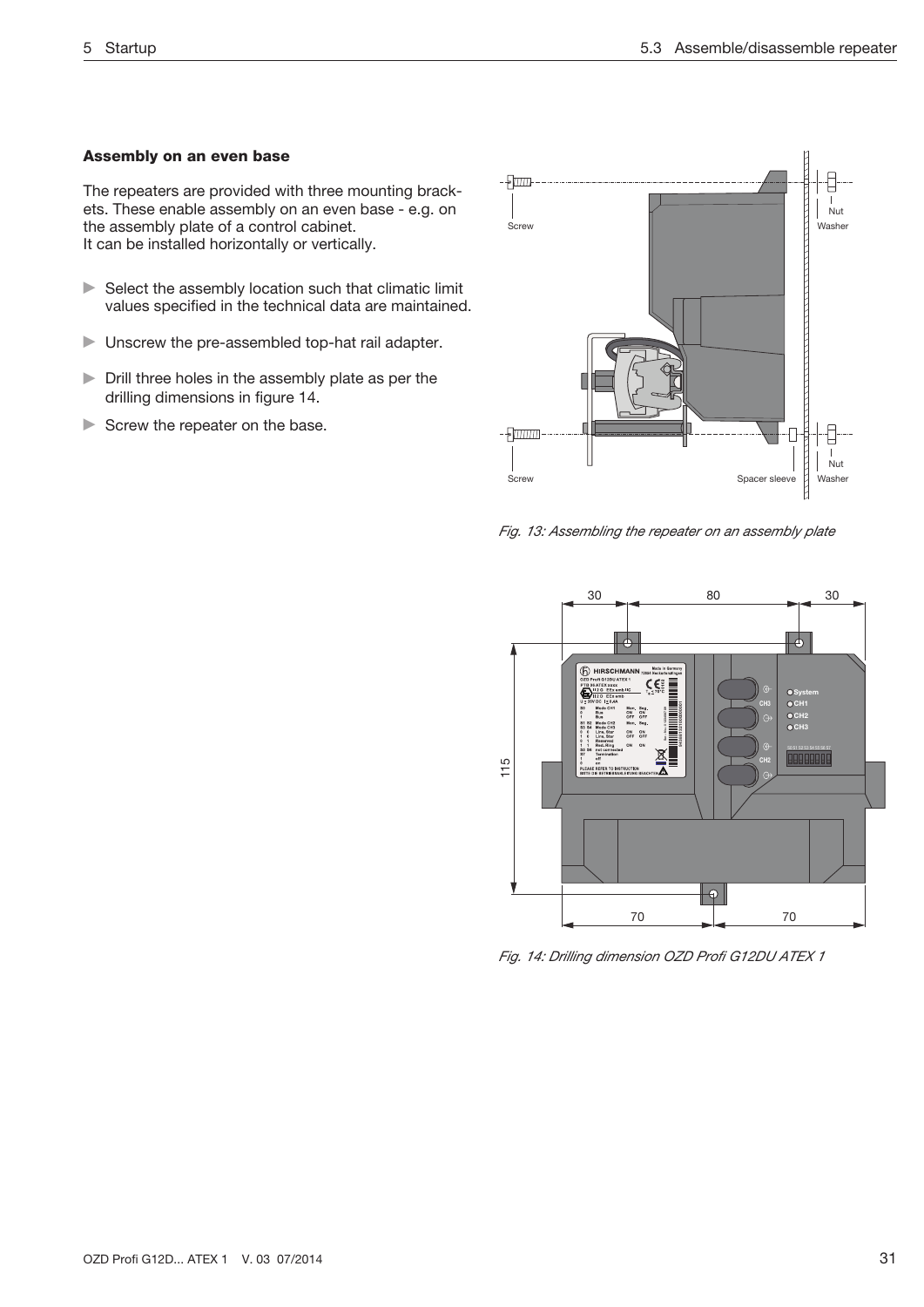## **Assembly on an even base**

The repeaters are provided with three mounting brackets. These enable assembly on an even base - e.g. on the assembly plate of a control cabinet. It can be installed horizontally or vertically.

- Select the assembly location such that climatic limit values specified in the technical data are maintained.
- Unscrew the pre-assembled top-hat rail adapter.
- $\blacktriangleright$  Drill three holes in the assembly plate as per the drilling dimensions in figure 14.
- Screw the repeater on the base.



*Fig. 13: Assembling the repeater on an assembly plate*



*Fig. 14: Drilling dimension OZD Profi G12DU ATEX 1*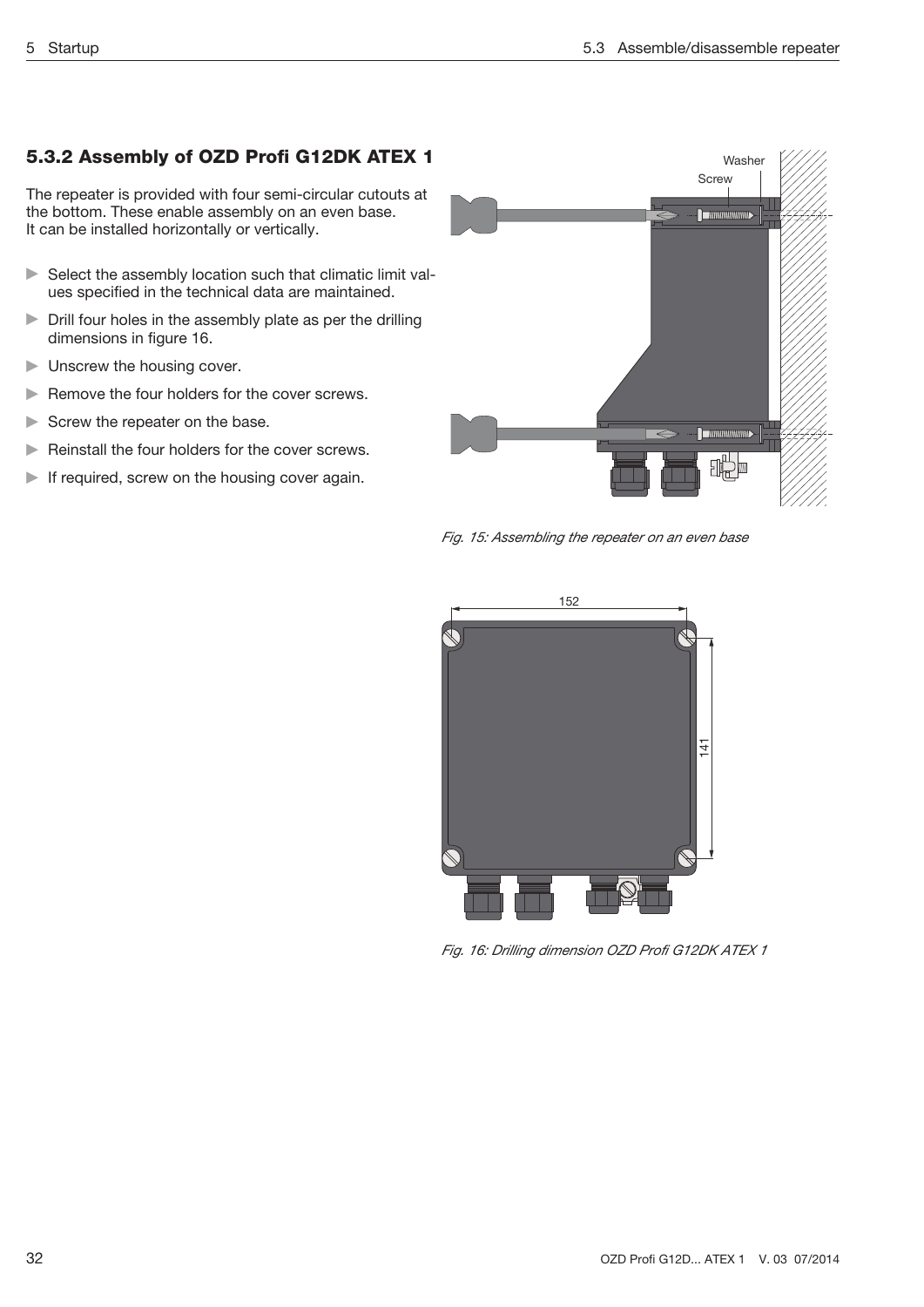# **5.3.2 Assembly of OZD Profi G12DK ATEX 1**

The repeater is provided with four semi-circular cutouts at the bottom. These enable assembly on an even base. It can be installed horizontally or vertically.

- Extect the assembly location such that climatic limit values specified in the technical data are maintained.
- In Drill four holes in the assembly plate as per the drilling dimensions in figure 16.
- **IDED** Unscrew the housing cover.
- **EXA** Remove the four holders for the cover screws.
- Screw the repeater on the base.
- **EXECUTE:** Reinstall the four holders for the cover screws.
- $\blacktriangleright$  If required, screw on the housing cover again.



*Fig. 15: Assembling the repeater on an even base*



*Fig. 16: Drilling dimension OZD Profi G12DK ATEX 1*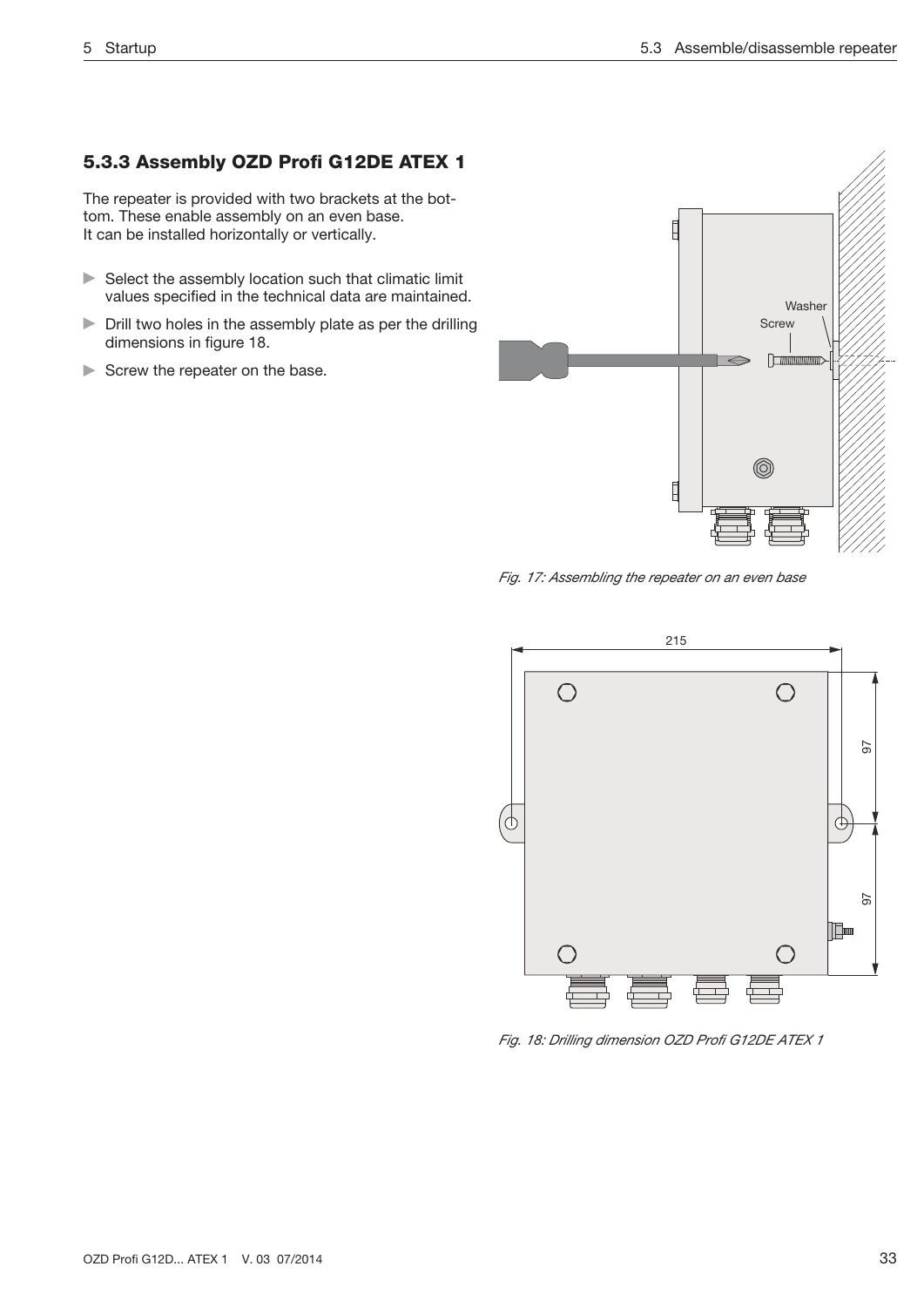# **5.3.3 Assembly OZD Profi G12DE ATEX 1**

The repeater is provided with two brackets at the bottom. These enable assembly on an even base. It can be installed horizontally or vertically.

- Select the assembly location such that climatic limit values specified in the technical data are maintained.
- **Drill two holes in the assembly plate as per the drilling** dimensions in figure 18.
- Screw the repeater on the base.



*Fig. 17: Assembling the repeater on an even base*



*Fig. 18: Drilling dimension OZD Profi G12DE ATEX 1*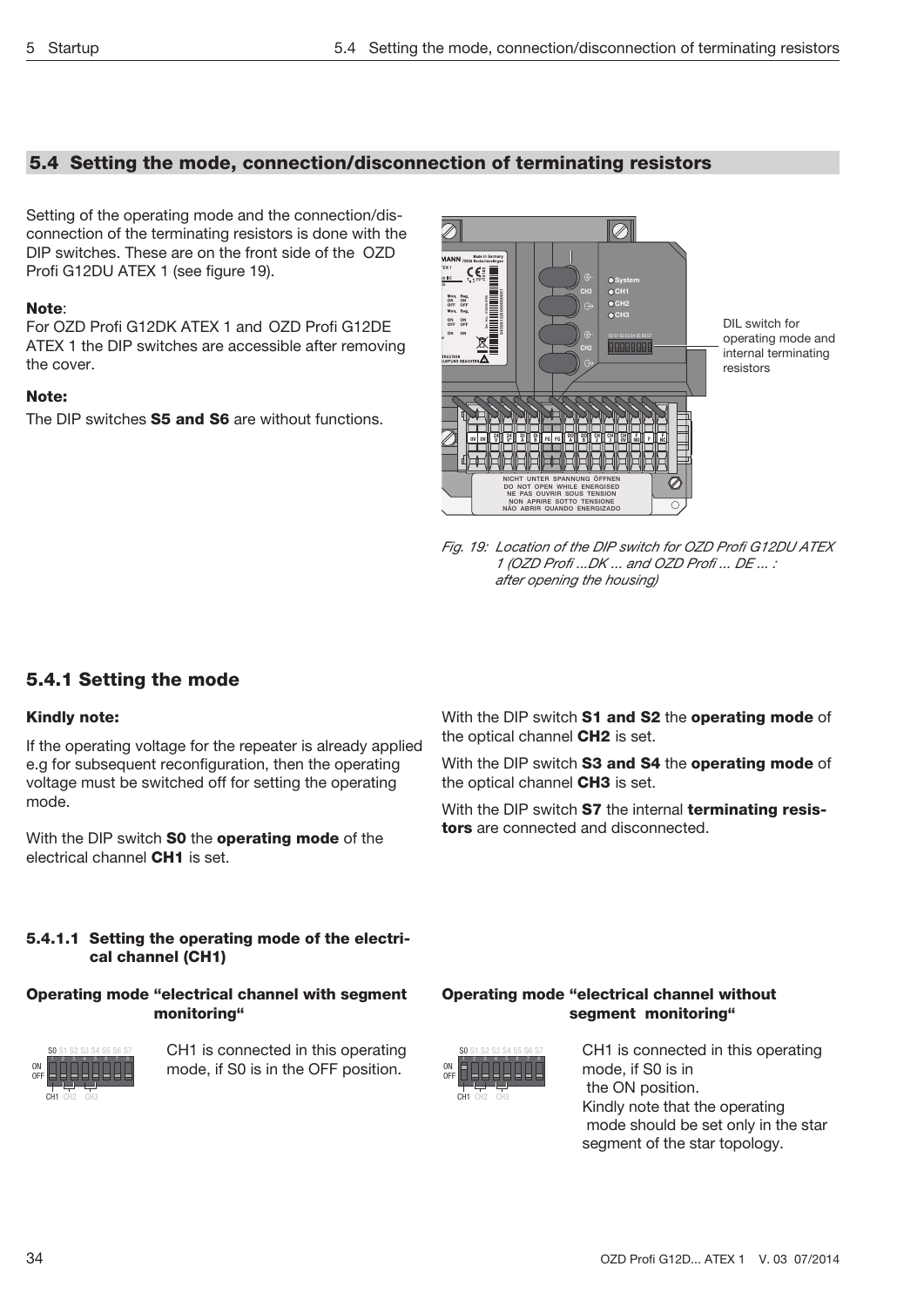# **5.4 Setting the mode, connection/disconnection of terminating resistors**

Setting of the operating mode and the connection/disconnection of the terminating resistors is done with the DIP switches. These are on the front side of the OZD Profi G12DU ATEX 1 (see figure 19).

# **Note**:

For OZD Profi G12DK ATEX 1 and OZD Profi G12DE ATEX 1 the DIP switches are accessible after removing the cover.

# **Note:**

The DIP switches **S5 and S6** are without functions.



*Fig. 19: Location of the DIP switch for OZD Profi G12DU ATEX 1 (OZD Profi ...DK ... and OZD Profi ... DE ... : after opening the housing)*

# **5.4.1 Setting the mode**

# **Kindly note:**

If the operating voltage for the repeater is already applied e.g for subsequent reconfiguration, then the operating voltage must be switched off for setting the operating mode.

With the DIP switch **S0** the **operating mode** of the electrical channel **CH1** is set.

With the DIP switch **S1 and S2** the **operating mode** of the optical channel **CH2** is set.

With the DIP switch **S3 and S4** the **operating mode** of the optical channel **CH3** is set.

With the DIP switch **S7** the internal **terminating resistors** are connected and disconnected.

# **5.4.1.1 Setting the operating mode of the electrical channel (CH1)**

# **Operating mode "electrical channel with segment monitoring"**



CH1 is connected in this operating mode, if S0 is in the OFF position.





CH1 is connected in this operating mode, if S0 is in the ON position. Kindly note that the operating mode should be set only in the star segment of the star topology.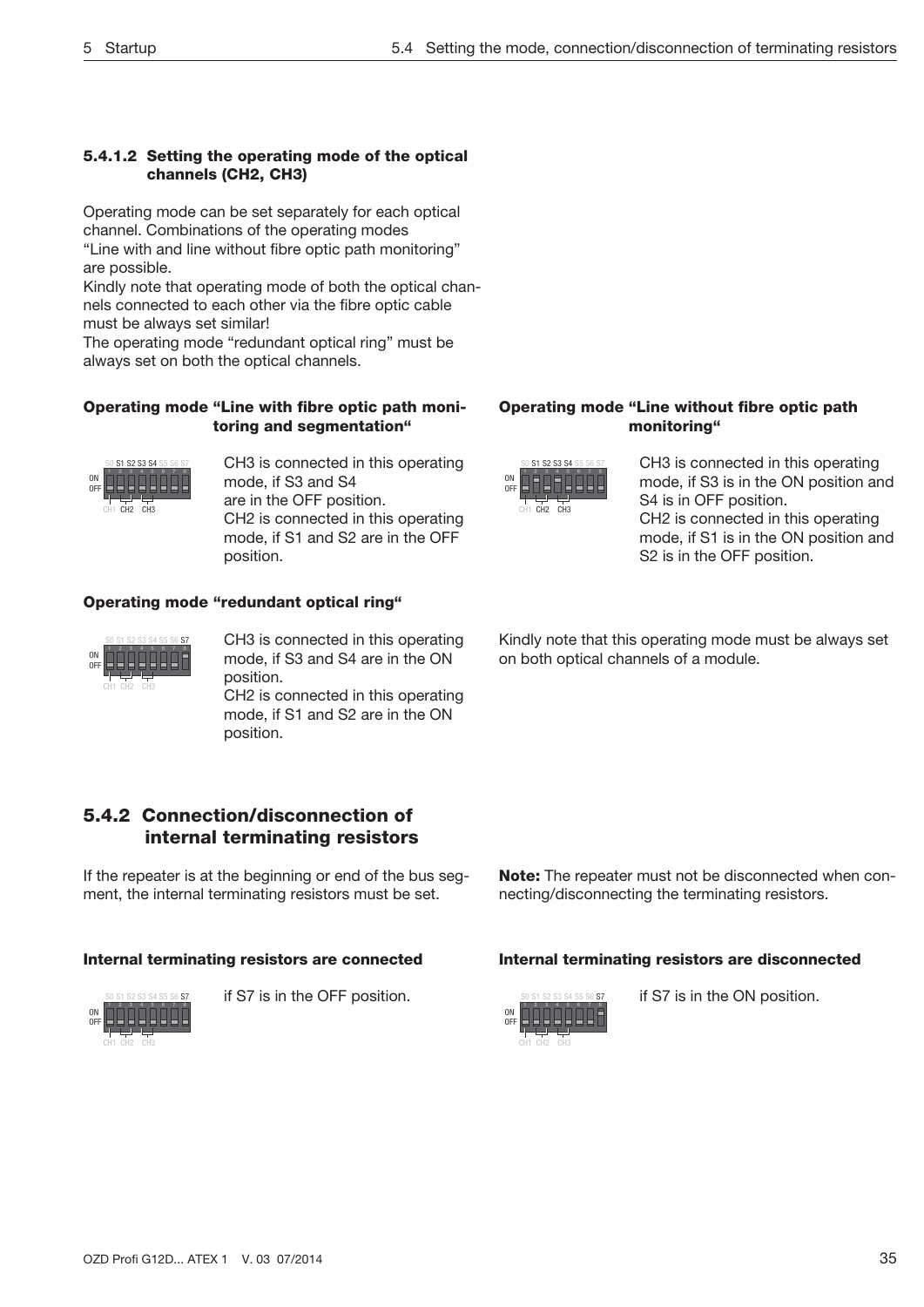# **5.4.1.2 Setting the operating mode of the optical channels (CH2, CH3)**

Operating mode can be set separately for each optical channel. Combinations of the operating modes "Line with and line without fibre optic path monitoring" are possible.

Kindly note that operating mode of both the optical channels connected to each other via the fibre optic cable must be always set similar!

The operating mode "redundant optical ring" must be always set on both the optical channels.

# **Operating mode "Line with fibre optic path monitoring and segmentation" 123 <b>123 123 123 124 125 125 125 125 125 125 125 125 125 125 125 125 125 125 125 125 125 125 125 125 125 125 125 125 125 125 125 125 125 125 125 125**



CH3 is connected in this operating mode, if S3 and S4 are in the OFF position. CH2 is connected in this operating mode, if S1 and S2 are in the OFF position.

# **Operating mode "redundant optical ring"**



CH3 is connected in this operating mode, if S3 and S4 are in the ON position. CH2 is connected in this operating mode, if S1 and S2 are in the ON

# **5.4.2 Connection/disconnection of internal terminating resistors**

position.

If the repeater is at the beginning or end of the bus segment, the internal terminating resistors must be set.

# **Internal terminating resistors are connected**



if S7 is in the OFF position.

# **Operating mode "Line without fibre optic path moni toring"** S0 S1 S2 S3 S4 S5 S6 S7 **123 4 5 6 7 8**



CH3 is connected in this operating mode, if S3 is in the ON position and S4 is in OFF position. CH2 is connected in this operating mode, if S1 is in the ON position and S2 is in the OFF position.

Kindly note that this operating mode must be always set on both optical channels of a module.

**Note:** The repeater must not be disconnected when connecting/disconnecting the terminating resistors.

# **Internal terminating resistors are disconnected ernal terminating resistors are disconn**<br> **123 123 123 123 123 123 123 123 123 123 123 123 124 125 125 125 125 125 125 125 125 125 125 125 125 125 125 125 125 125**

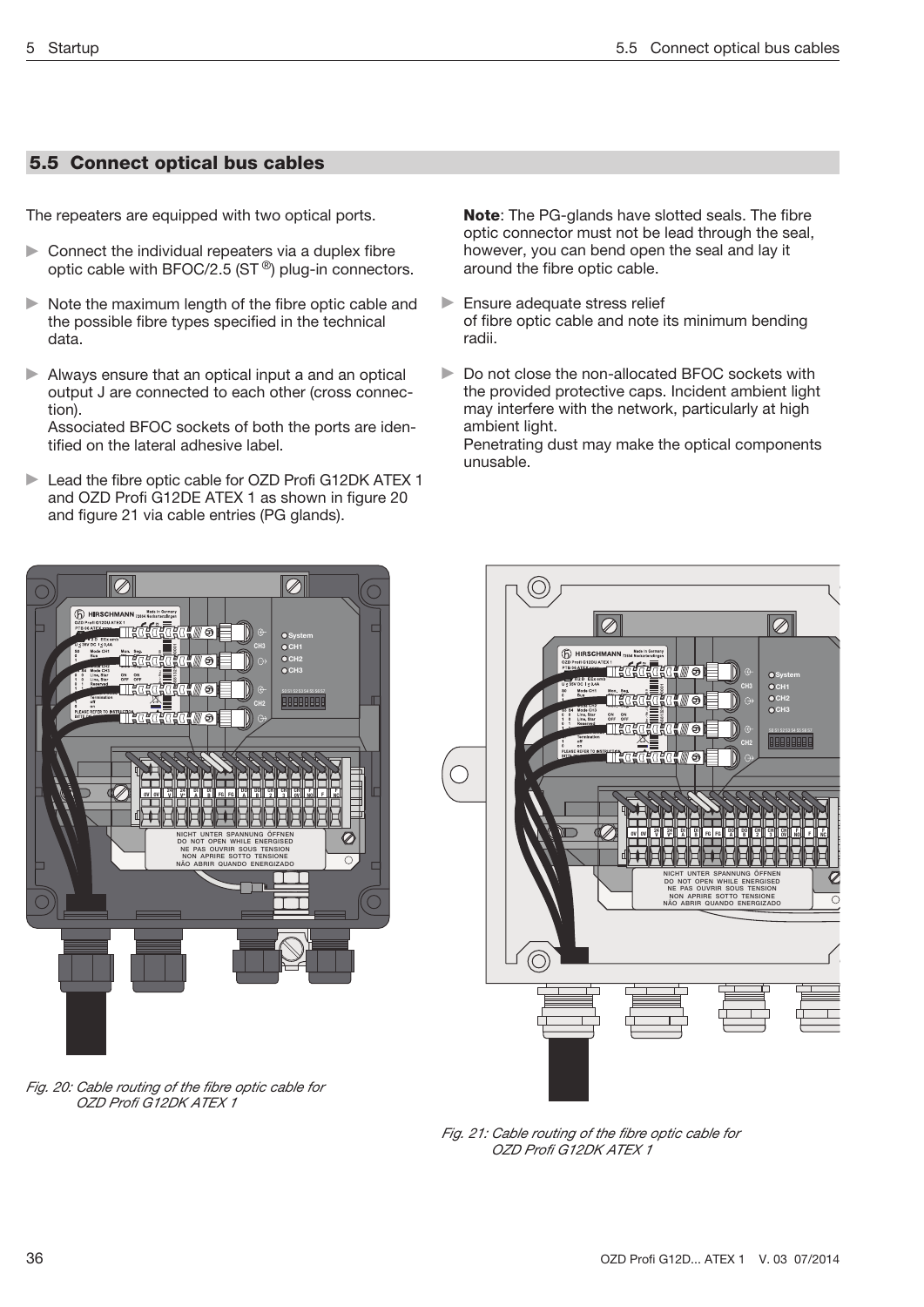# **5.5 Connect optical bus cables**

The repeaters are equipped with two optical ports.

- **Connect the individual repeaters via a duplex fibre** optic cable with BFOC/2.5 (ST $^{\circledR}$ ) plug-in connectors.
- Note the maximum length of the fibre optic cable and the possible fibre types specified in the technical data.
- Always ensure that an optical input a and an optical output J are connected to each other (cross connection). Associated BFOC sockets of both the ports are iden-

tified on the lateral adhesive label.

Exercise Lead the fibre optic cable for OZD Profi G12DK ATEX 1 and OZD Profi G12DE ATEX 1 as shown in figure 20 and figure 21 via cable entries (PG glands).

**Note**: The PG-glands have slotted seals. The fibre optic connector must not be lead through the seal, however, you can bend open the seal and lay it around the fibre optic cable.

- **Ensure adequate stress relief** of fibre optic cable and note its minimum bending radii.
- **Do not close the non-allocated BFOC sockets with** the provided protective caps. Incident ambient light may interfere with the network, particularly at high ambient light.

Penetrating dust may make the optical components unusable.



*Fig. 20: Cable routing of the fibre optic cable for OZD Profi G12DK ATEX 1*



*Fig. 21: Cable routing of the fibre optic cable for OZD Profi G12DK ATEX 1*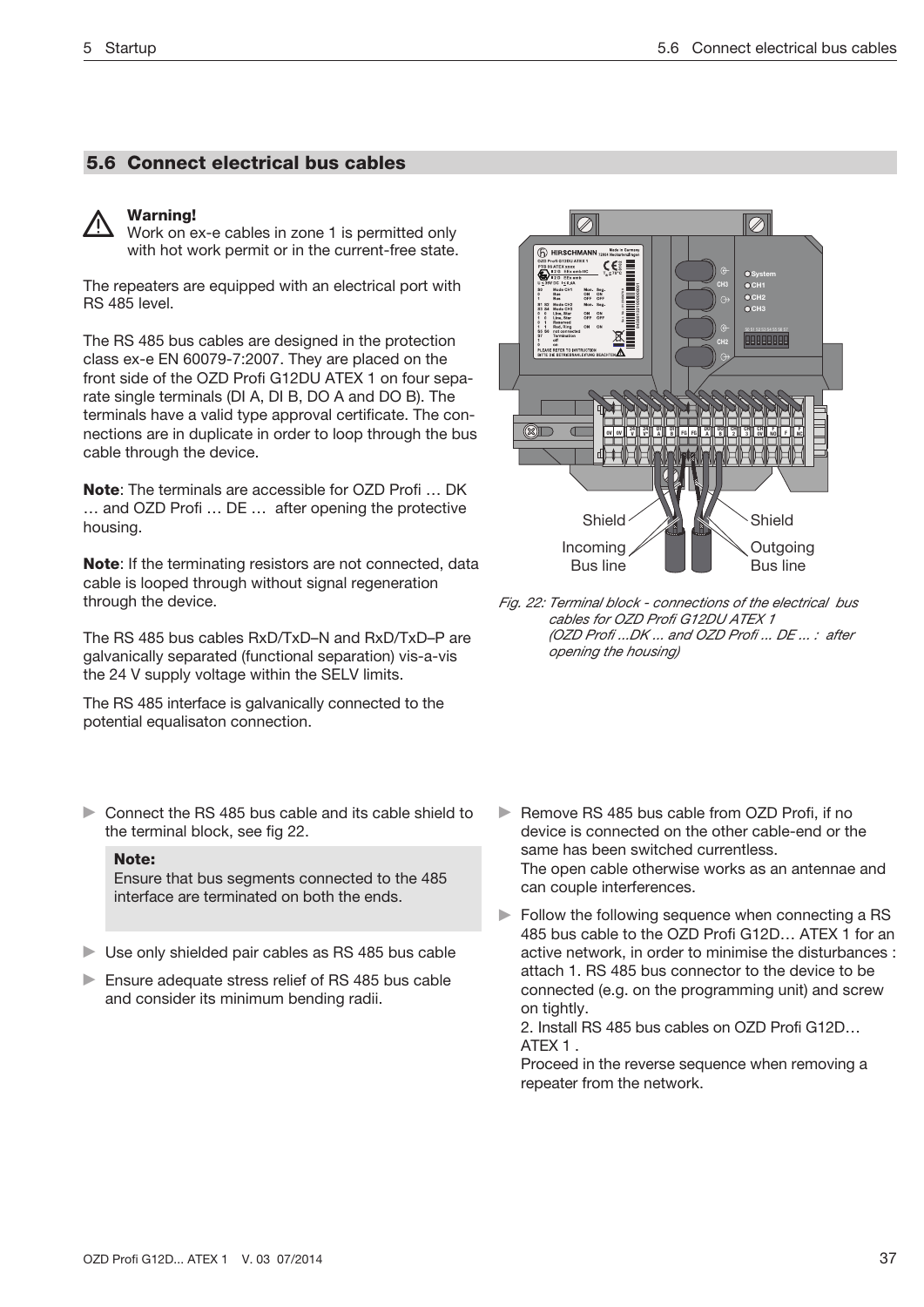# **5.6 Connect electrical bus cables**

z **Warning!**

Work on ex-e cables in zone 1 is permitted only with hot work permit or in the current-free state.

The repeaters are equipped with an electrical port with RS 485 level.

The RS 485 bus cables are designed in the protection class ex-e EN 60079-7:2007. They are placed on the front side of the OZD Profi G12DU ATEX 1 on four separate single terminals (DI A, DI B, DO A and DO B). The terminals have a valid type approval certificate. The connections are in duplicate in order to loop through the bus cable through the device.

**Note**: The terminals are accessible for OZD Profi … DK … and OZD Profi … DE … after opening the protective housing.

**Note**: If the terminating resistors are not connected, data cable is looped through without signal regeneration through the device.

The RS 485 bus cables RxD/TxD–N and RxD/TxD–P are galvanically separated (functional separation) vis-a-vis the 24 V supply voltage within the SELV limits.

The RS 485 interface is galvanically connected to the potential equalisaton connection.

• Connect the RS 485 bus cable and its cable shield to the terminal block, see fig 22.

## **Note:**

Ensure that bus segments connected to the 485 interface are terminated on both the ends.

- Use only shielded pair cables as RS 485 bus cable
- **Ensure adequate stress relief of RS 485 bus cable** and consider its minimum bending radii.



*Fig. 22: Terminal block - connections of the electrical bus cables for OZD Profi G12DU ATEX 1 (OZD Profi ...DK ... and OZD Profi ... DE ... : after opening the housing)*

- ▶ Remove RS 485 bus cable from OZD Profi, if no device is connected on the other cable-end or the same has been switched currentless. The open cable otherwise works as an antennae and can couple interferences.
- **Eollow the following sequence when connecting a RS** 485 bus cable to the OZD Profi G12D… ATEX 1 for an active network, in order to minimise the disturbances : attach 1. RS 485 bus connector to the device to be connected (e.g. on the programming unit) and screw on tightly.

2. Install RS 485 bus cables on OZD Profi G12D… ATEX 1 .

Proceed in the reverse sequence when removing a repeater from the network.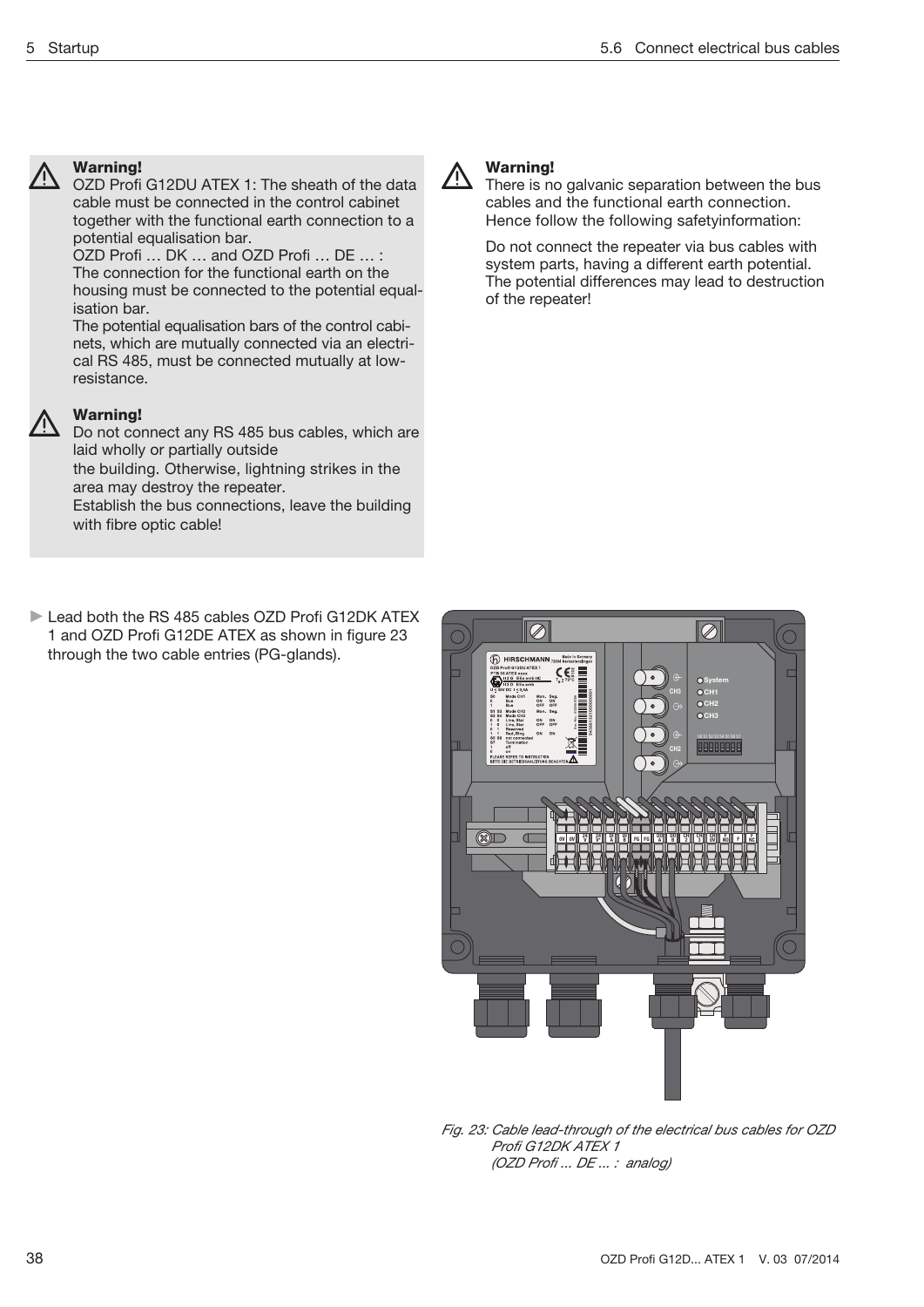Warning!<br>
OZD Profi G12DU ATEX 1: The sheath of the data cable must be connected in the control cabinet together with the functional earth connection to a potential equalisation bar.

> OZD Profi … DK … and OZD Profi … DE … : The connection for the functional earth on the housing must be connected to the potential equalisation bar.

The potential equalisation bars of the control cabinets, which are mutually connected via an electrical RS 485, must be connected mutually at lowresistance.

**11 Warning!**<br>
Do not connect any RS 485 bus cables, which are laid wholly or partially outside

> the building. Otherwise, lightning strikes in the area may destroy the repeater.

Establish the bus connections, leave the building with fibre optic cable!



# **Warning!**

There is no galvanic separation between the bus cables and the functional earth connection. Hence follow the following safety information:

Do not connect the repeater via bus cables with system parts, having a different earth potential. The potential differences may lead to destruction of the repeater!

Lead both the RS 485 cables OZD Profi G12DK ATEX 1 and OZD Profi G12DE ATEX as shown in figure 23 through the two cable entries (PG-glands).



*Fig. 23: Cable lead-through of the electrical bus cables for OZD Profi G12DK ATEX 1 (OZD Profi ... DE ... : analog)*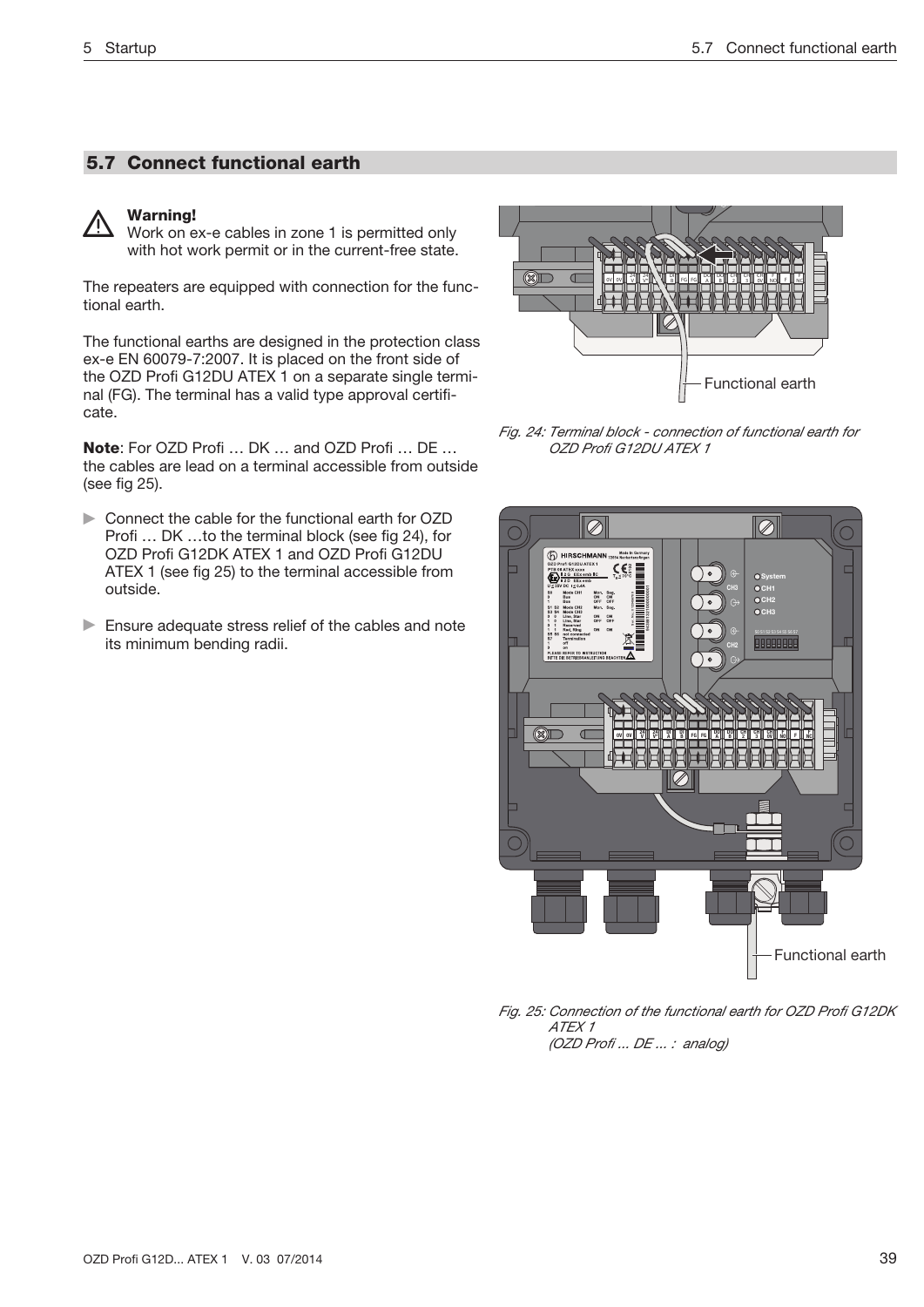# **5.7 Connect functional earth**



#### z **Warning!**

Work on ex-e cables in zone 1 is permitted only with hot work permit or in the current-free state.

The repeaters are equipped with connection for the functional earth.

The functional earths are designed in the protection class ex-e EN 60079-7:2007. It is placed on the front side of the OZD Profi G12DU ATEX 1 on a separate single terminal (FG). The terminal has a valid type approval certificate.

**Note**: For OZD Profi … DK … and OZD Profi … DE … the cables are lead on a terminal accessible from outside (see fig 25).

- Connect the cable for the functional earth for OZD Profi … DK …to the terminal block (see fig 24), for OZD Profi G12DK ATEX 1 and OZD Profi G12DU ATEX 1 (see fig 25) to the terminal accessible from outside.
- **Ensure adequate stress relief of the cables and note** its minimum bending radii.



*Fig. 24: Terminal block - connection of functional earth for OZD Profi G12DU ATEX 1*



*Fig. 25: Connection of the functional earth for OZD Profi G12DK ATEX 1 (OZD Profi ... DE ... : analog)*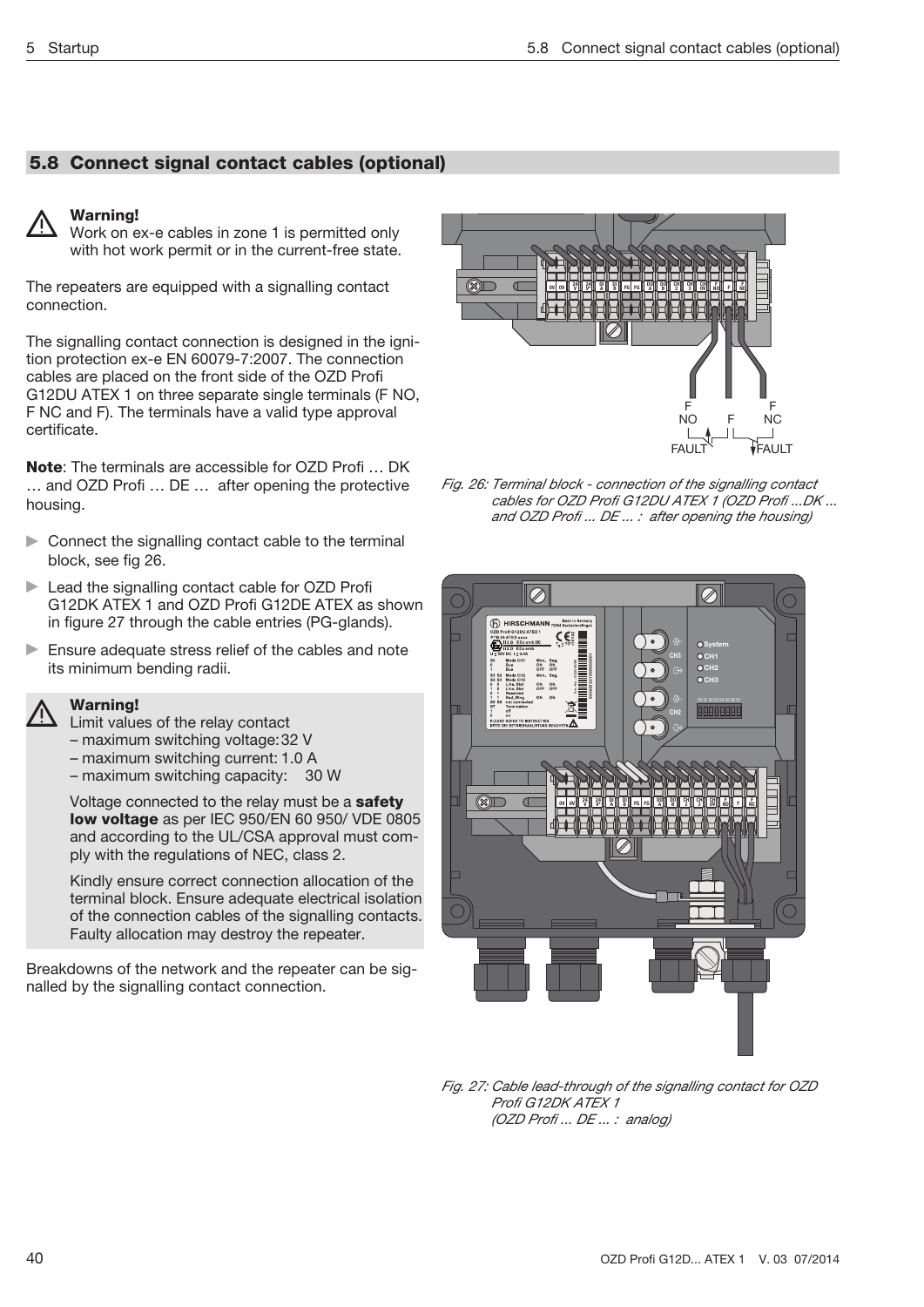# **5.8 Connect signal contact cables (optional)**

# z **Warning!**

Work on ex-e cables in zone 1 is permitted only with hot work permit or in the current-free state.

The repeaters are equipped with a signalling contact connection.

The signalling contact connection is designed in the ignition protection ex-e EN 60079-7:2007. The connection cables are placed on the front side of the OZD Profi G12DU ATEX 1 on three separate single terminals (F NO, F NC and F). The terminals have a valid type approval certificate.

**Note**: The terminals are accessible for OZD Profi … DK … and OZD Profi … DE … after opening the protective housing.

- Connect the signalling contact cable to the terminal block, see fig 26.
- Eead the signalling contact cable for OZD Profi G12DK ATEX 1 and OZD Profi G12DE ATEX as shown in figure 27 through the cable entries (PG-glands).
- Ensure adequate stress relief of the cables and note its minimum bending radii.

# Warning!

- Limit values of the relay contact
- maximum switching voltage:32 V
- maximum switching current: 1.0 A
- maximum switching capacity: 30 W

Voltage connected to the relay must be a **safety low voltage** as per IEC 950/EN 60 950/ VDE 0805 and according to the UL/CSA approval must comply with the regulations of NEC, class 2.

Kindly ensure correct connection allocation of the terminal block. Ensure adequate electrical isolation of the connection cables of the signalling contacts. Faulty allocation may destroy the repeater.

Breakdowns of the network and the repeater can be signalled by the signalling contact connection.



*Fig. 26: Terminal block - connection of the signalling contact cables for OZD Profi G12DU ATEX 1 (OZD Profi ...DK ... and OZD Profi ... DE ... : after opening the housing)*



*Fig. 27: Cable lead-through of the signalling contact for OZD Profi G12DK ATEX 1 (OZD Profi ... DE ... : analog)*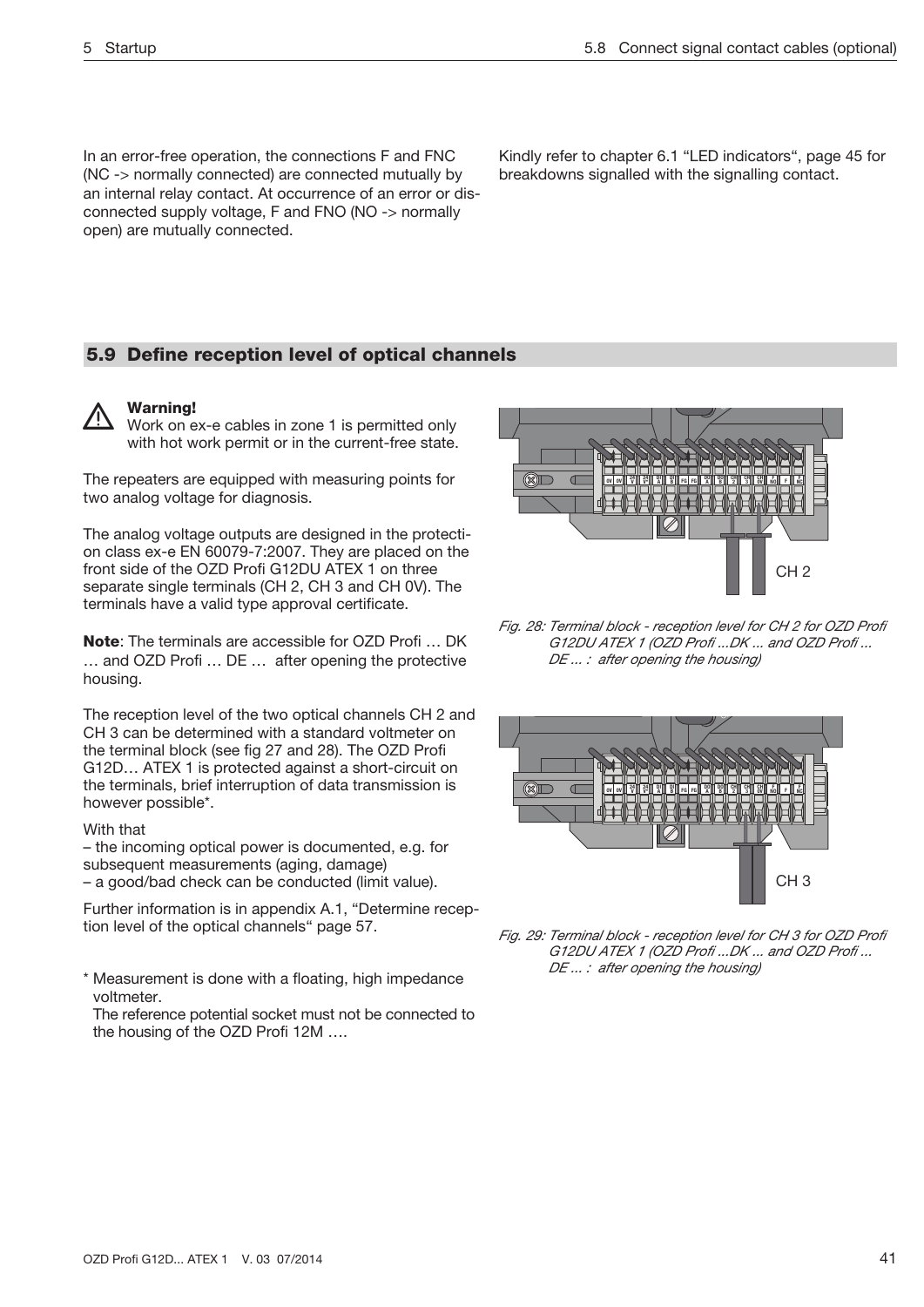In an error-free operation, the connections F and FNC (NC -> normally connected) are connected mutually by an internal relay contact. At occurrence of an error or disconnected supply voltage, F and FNO (NO -> normally open) are mutually connected.

Kindly refer to chapter 6.1 "LED indicators", page 45 for breakdowns signalled with the signalling contact.

# **5.9 Define reception level of optical channels**

#### z **Warning!**

Work on ex-e cables in zone 1 is permitted only with hot work permit or in the current-free state.

The repeaters are equipped with measuring points for two analog voltage for diagnosis.

The analog voltage outputs are designed in the protection class ex-e EN 60079-7:2007. They are placed on the front side of the OZD Profi G12DU ATEX 1 on three separate single terminals (CH 2, CH 3 and CH 0V). The terminals have a valid type approval certificate.

**Note**: The terminals are accessible for OZD Profi … DK … and OZD Profi … DE … after opening the protective housing.

The reception level of the two optical channels CH 2 and CH 3 can be determined with a standard voltmeter on the terminal block (see fig 27 and 28). The OZD Profi G12D… ATEX 1 is protected against a short-circuit on the terminals, brief interruption of data transmission is however possible\*.

# With that

– the incoming optical power is documented, e.g. for subsequent measurements (aging, damage) – a good/bad check can be conducted (limit value).

Further information is in appendix A.1, "Determine reception level of the optical channels" page 57.

\* Measurement is done with a floating, high impedance voltmeter.

The reference potential socket must not be connected to the housing of the OZD Profi 12M ….



*Fig. 28: Terminal block - reception level for CH 2 for OZD Profi G12DU ATEX 1 (OZD Profi ...DK ... and OZD Profi ... DE ... : after opening the housing)*



*Fig. 29: Terminal block - reception level for CH 3 for OZD Profi G12DU ATEX 1 (OZD Profi ...DK ... and OZD Profi ... DE ... : after opening the housing)*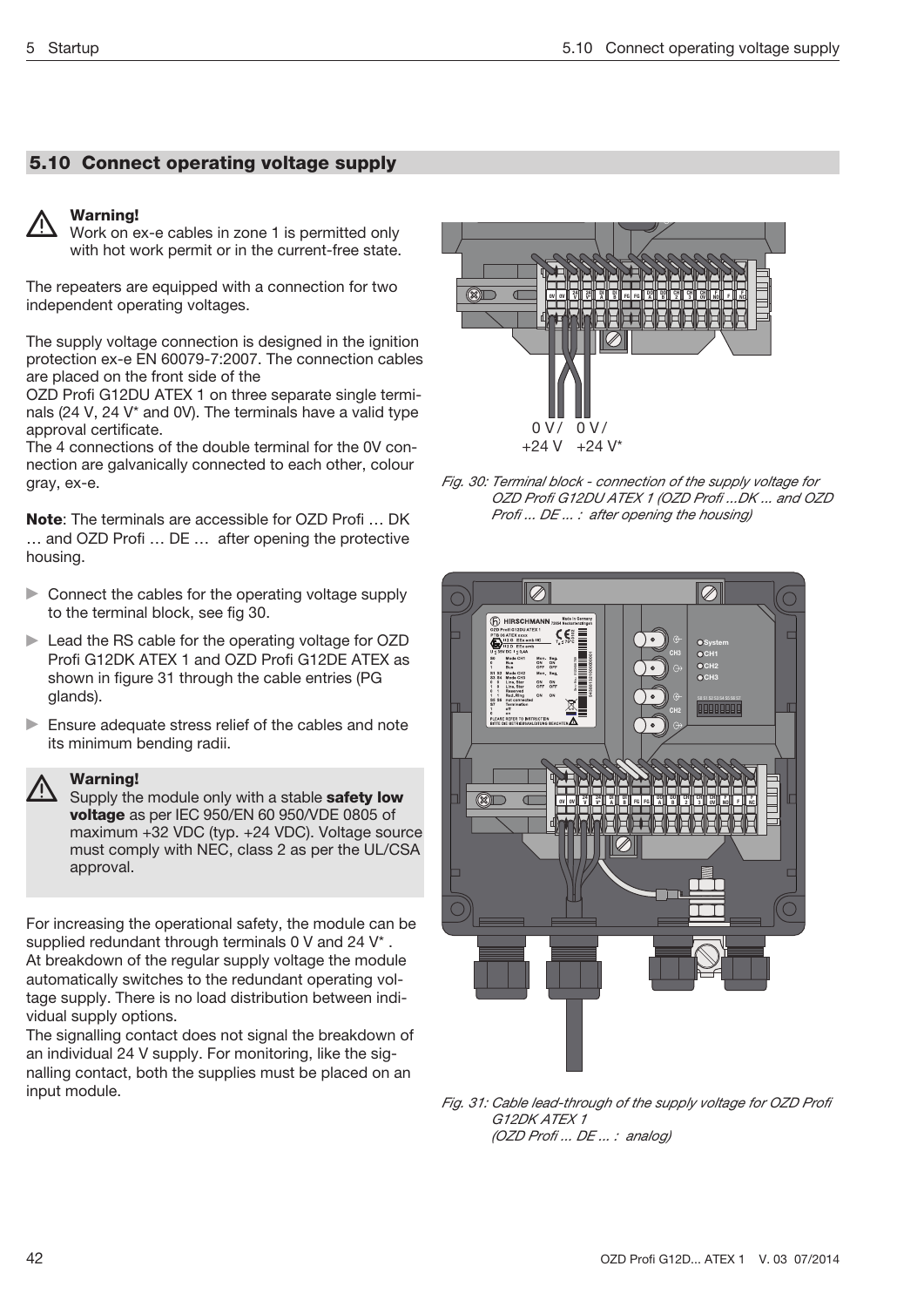# **5.10 Connect operating voltage supply**

# z **Warning!**

Work on ex-e cables in zone 1 is permitted only with hot work permit or in the current-free state.

The repeaters are equipped with a connection for two independent operating voltages.

The supply voltage connection is designed in the ignition protection ex-e EN 60079-7:2007. The connection cables are placed on the front side of the

OZD Profi G12DU ATEX 1 on three separate single terminals (24 V, 24 V\* and 0V). The terminals have a valid type approval certificate.

The 4 connections of the double terminal for the 0V connection are galvanically connected to each other, colour gray, ex-e.

**Note**: The terminals are accessible for OZD Profi … DK … and OZD Profi … DE … after opening the protective housing.

- Connect the cables for the operating voltage supply to the terminal block, see fig 30.
- Exead the RS cable for the operating voltage for OZD Profi G12DK ATEX 1 and OZD Profi G12DE ATEX as shown in figure 31 through the cable entries (PG glands).
- Ensure adequate stress relief of the cables and note its minimum bending radii.

# z **Warning!**

Supply the module only with a stable **safety low voltage** as per IEC 950/EN 60 950/VDE 0805 of maximum +32 VDC (typ. +24 VDC). Voltage source must comply with NEC, class 2 as per the UL/CSA approval.

For increasing the operational safety, the module can be supplied redundant through terminals 0 V and 24 V<sup>\*</sup>. At breakdown of the regular supply voltage the module automatically switches to the redundant operating voltage supply. There is no load distribution between individual supply options.

The signalling contact does not signal the breakdown of an individual 24 V supply. For monitoring, like the signalling contact, both the supplies must be placed on an input module.



*Fig. 30: Terminal block - connection of the supply voltage for OZD Profi G12DU ATEX 1 (OZD Profi ...DK ... and OZD Profi ... DE ... : after opening the housing)*



*Fig. 31: Cable lead-through of the supply voltage for OZD Profi G12DK ATEX 1 (OZD Profi ... DE ... : analog)*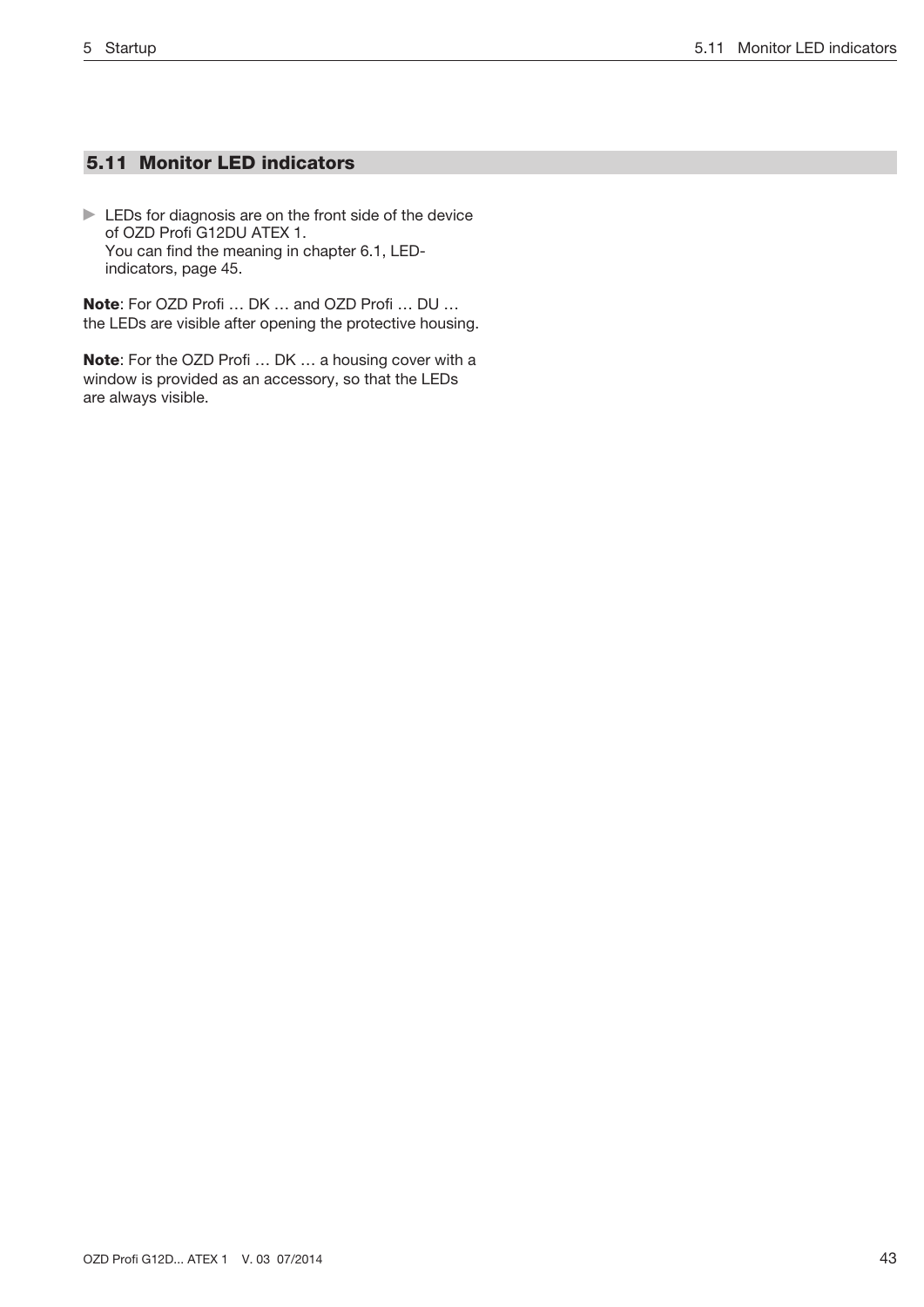# **5.11 Monitor LED indicators**

EDs for diagnosis are on the front side of the device of OZD Profi G12DU ATEX 1. You can find the meaning in chapter 6.1, LEDindicators, page 45.

**Note**: For OZD Profi … DK … and OZD Profi … DU … the LEDs are visible after opening the protective housing.

**Note**: For the OZD Profi … DK … a housing cover with a window is provided as an accessory, so that the LEDs are always visible.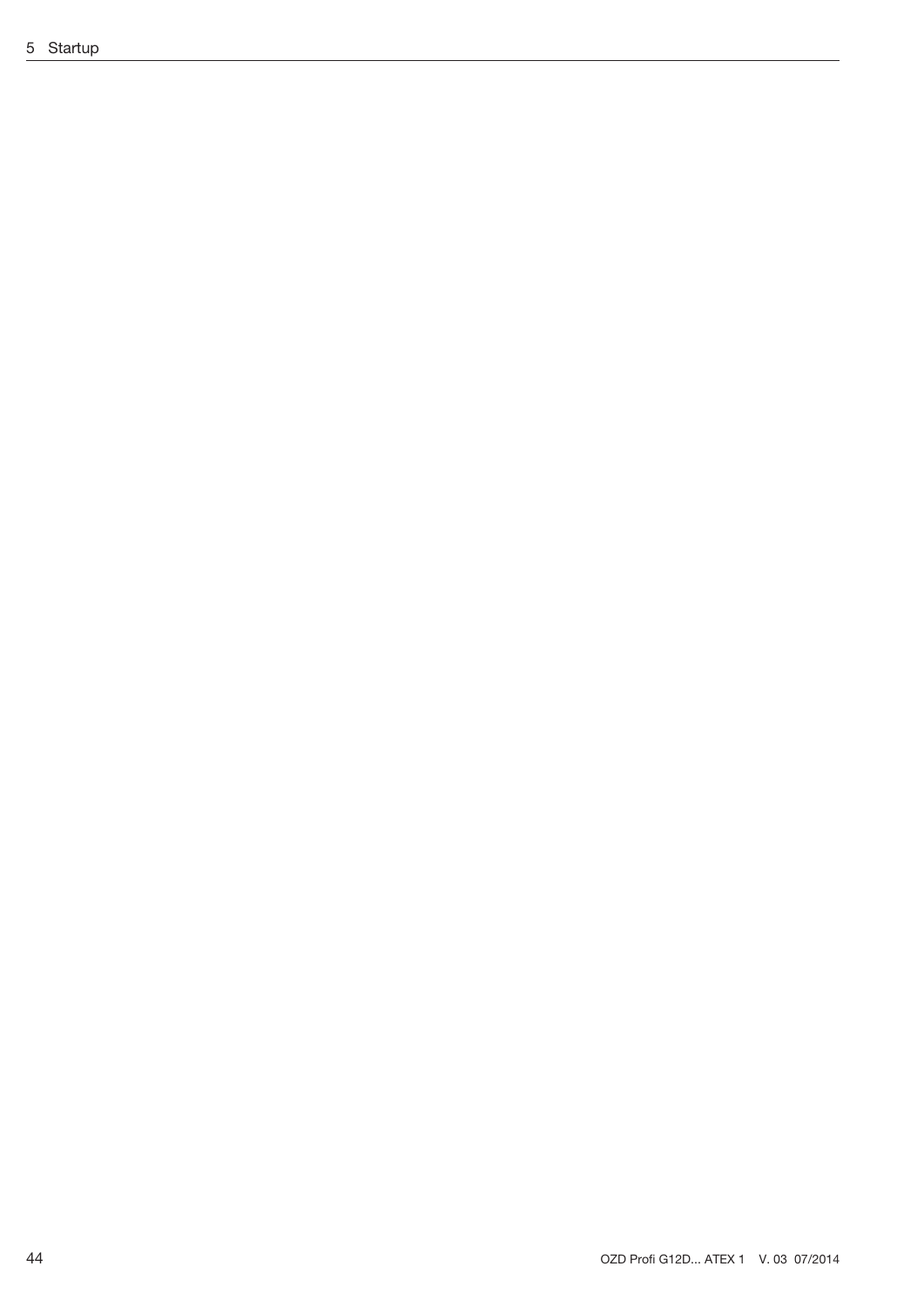5 Startup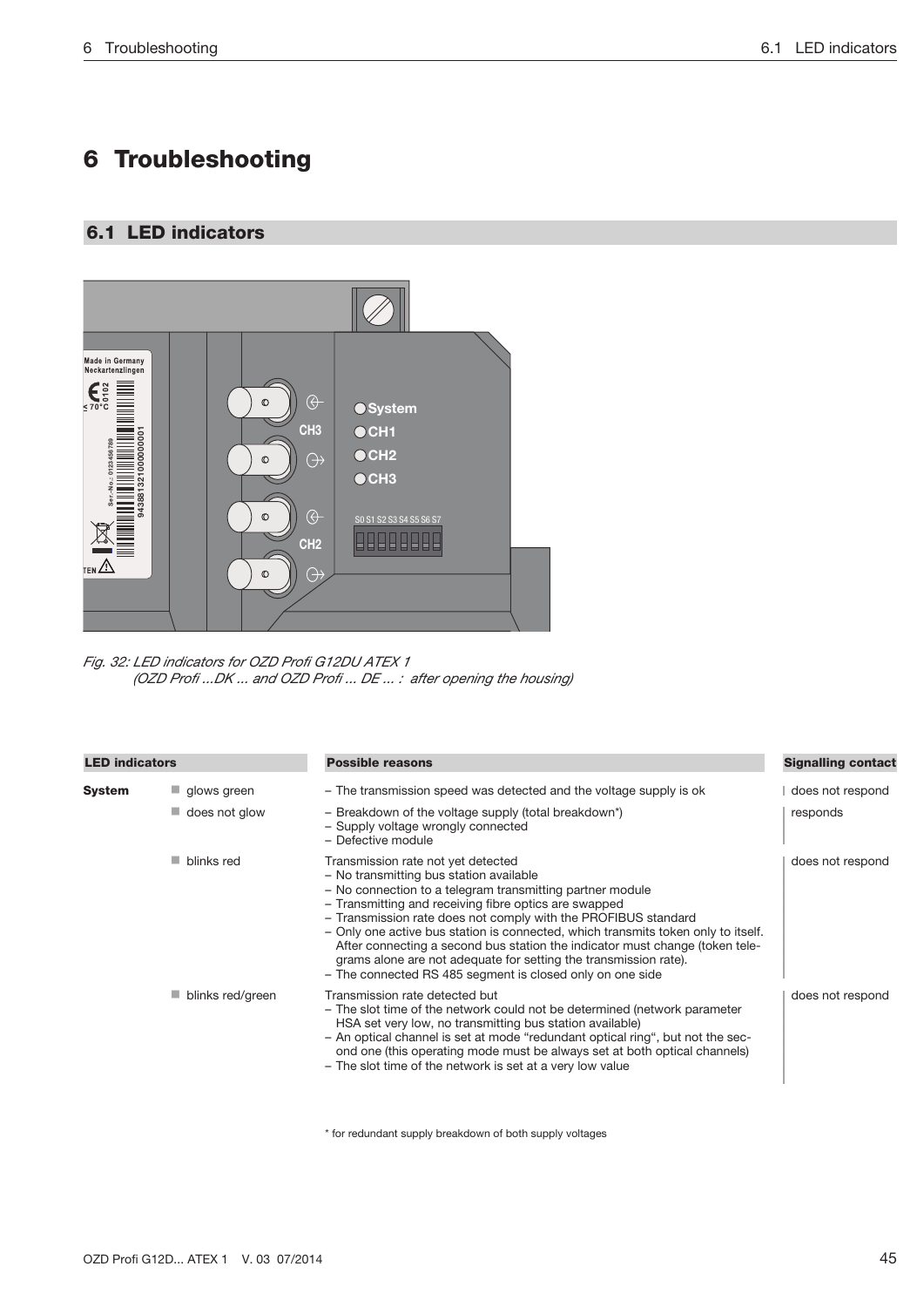# **6 Troubleshooting**

# **6.1 LED indicators**



*Fig. 32: LED indicators for OZD Profi G12DU ATEX 1 (OZD Profi ...DK ... and OZD Profi ... DE ... : after opening the housing)*

| <b>LED indicators</b> |                                                            | <b>Possible reasons</b>                                                                                                                                                                                                                                                                                                                                                                                                                                                                                                                                                     | <b>Signalling contact</b>    |
|-----------------------|------------------------------------------------------------|-----------------------------------------------------------------------------------------------------------------------------------------------------------------------------------------------------------------------------------------------------------------------------------------------------------------------------------------------------------------------------------------------------------------------------------------------------------------------------------------------------------------------------------------------------------------------------|------------------------------|
| <b>System</b>         | $\blacksquare$ glows green<br>$\blacksquare$ does not glow | - The transmission speed was detected and the voltage supply is ok<br>- Breakdown of the voltage supply (total breakdown*)<br>- Supply voltage wrongly connected<br>- Defective module                                                                                                                                                                                                                                                                                                                                                                                      | does not respond<br>responds |
|                       | $\blacksquare$ blinks red                                  | Transmission rate not yet detected<br>- No transmitting bus station available<br>- No connection to a telegram transmitting partner module<br>- Transmitting and receiving fibre optics are swapped<br>- Transmission rate does not comply with the PROFIBUS standard<br>- Only one active bus station is connected, which transmits token only to itself.<br>After connecting a second bus station the indicator must change (token tele-<br>grams alone are not adequate for setting the transmission rate).<br>- The connected RS 485 segment is closed only on one side | does not respond             |
|                       | blinks red/green                                           | Transmission rate detected but<br>- The slot time of the network could not be determined (network parameter<br>HSA set very low, no transmitting bus station available)<br>- An optical channel is set at mode "redundant optical ring", but not the sec-<br>ond one (this operating mode must be always set at both optical channels)<br>- The slot time of the network is set at a very low value                                                                                                                                                                         | does not respond             |

\* for redundant supply breakdown of both supply voltages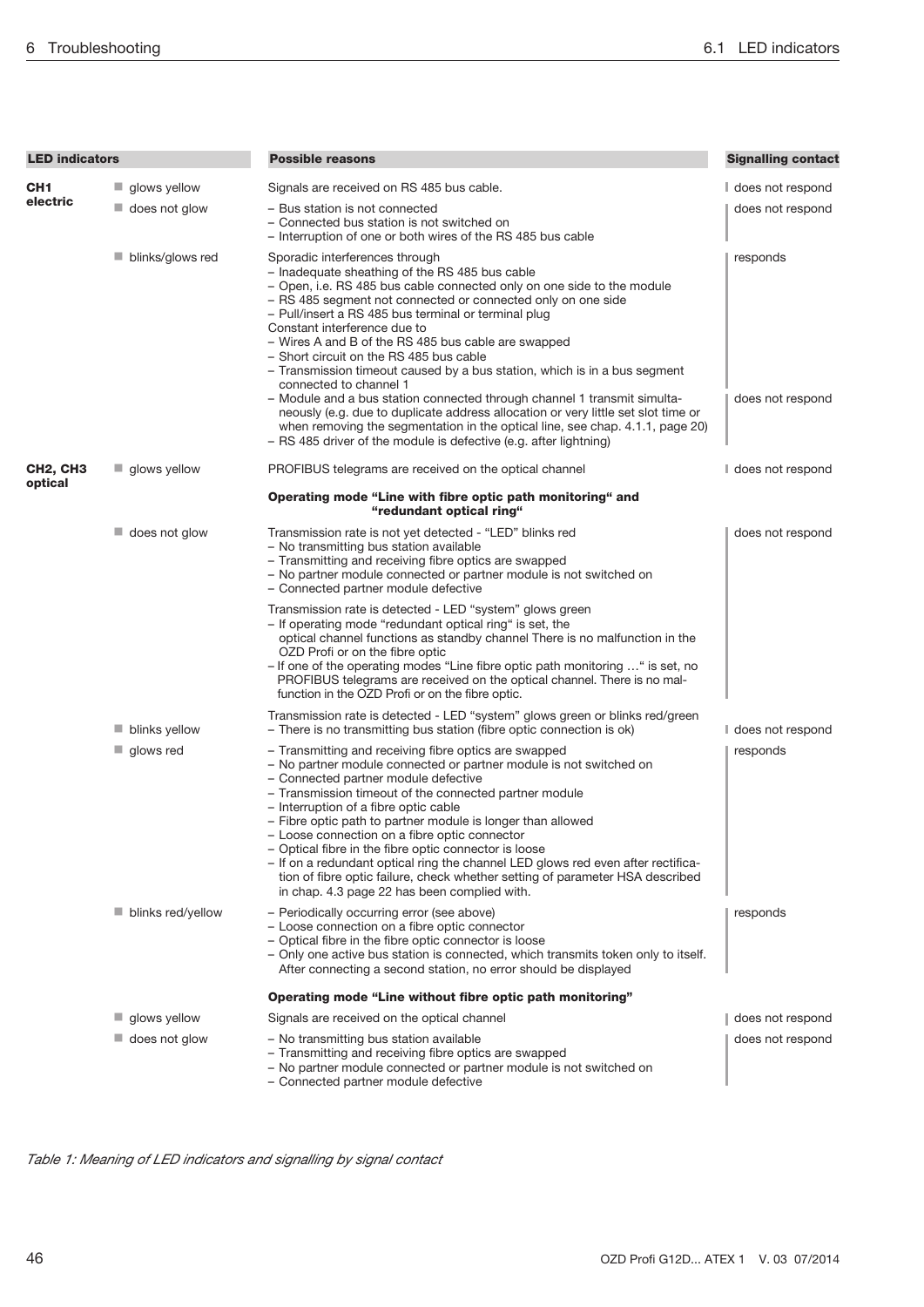# 6 Troubleshooting 6.1 LED indicators

| <b>LED indicators</b>                        |                                                             | <b>Possible reasons</b>                                                                                                                                                                                                                                                                                                                                                                                                                                                                                                                                                                                                                                                                                                                                                                                                                            | <b>Signalling contact</b>            |
|----------------------------------------------|-------------------------------------------------------------|----------------------------------------------------------------------------------------------------------------------------------------------------------------------------------------------------------------------------------------------------------------------------------------------------------------------------------------------------------------------------------------------------------------------------------------------------------------------------------------------------------------------------------------------------------------------------------------------------------------------------------------------------------------------------------------------------------------------------------------------------------------------------------------------------------------------------------------------------|--------------------------------------|
| CH <sub>1</sub><br>electric                  | $\blacksquare$ glows yellow<br>$\blacksquare$ does not glow | Signals are received on RS 485 bus cable.<br>- Bus station is not connected<br>- Connected bus station is not switched on<br>- Interruption of one or both wires of the RS 485 bus cable                                                                                                                                                                                                                                                                                                                                                                                                                                                                                                                                                                                                                                                           | does not respond<br>does not respond |
|                                              | blinks/glows red                                            | Sporadic interferences through<br>- Inadequate sheathing of the RS 485 bus cable<br>- Open, i.e. RS 485 bus cable connected only on one side to the module<br>- RS 485 segment not connected or connected only on one side<br>- Pull/insert a RS 485 bus terminal or terminal plug<br>Constant interference due to<br>- Wires A and B of the RS 485 bus cable are swapped<br>- Short circuit on the RS 485 bus cable<br>- Transmission timeout caused by a bus station, which is in a bus segment<br>connected to channel 1<br>- Module and a bus station connected through channel 1 transmit simulta-<br>neously (e.g. due to duplicate address allocation or very little set slot time or<br>when removing the segmentation in the optical line, see chap. 4.1.1, page 20)<br>- RS 485 driver of the module is defective (e.g. after lightning) | responds<br>does not respond         |
| CH <sub>2</sub> , CH <sub>3</sub><br>optical | $\blacksquare$ glows yellow                                 | PROFIBUS telegrams are received on the optical channel                                                                                                                                                                                                                                                                                                                                                                                                                                                                                                                                                                                                                                                                                                                                                                                             | does not respond                     |
|                                              |                                                             | Operating mode "Line with fibre optic path monitoring" and<br>"redundant optical ring"                                                                                                                                                                                                                                                                                                                                                                                                                                                                                                                                                                                                                                                                                                                                                             |                                      |
|                                              | $\blacksquare$ does not glow                                | Transmission rate is not yet detected - "LED" blinks red<br>- No transmitting bus station available<br>- Transmitting and receiving fibre optics are swapped<br>- No partner module connected or partner module is not switched on<br>- Connected partner module defective                                                                                                                                                                                                                                                                                                                                                                                                                                                                                                                                                                         | does not respond                     |
|                                              |                                                             | Transmission rate is detected - LED "system" glows green<br>- If operating mode "redundant optical ring" is set, the<br>optical channel functions as standby channel There is no malfunction in the<br>OZD Profi or on the fibre optic<br>- If one of the operating modes "Line fibre optic path monitoring " is set, no<br>PROFIBUS telegrams are received on the optical channel. There is no mal-<br>function in the OZD Profi or on the fibre optic.                                                                                                                                                                                                                                                                                                                                                                                           |                                      |
|                                              | blinks yellow                                               | Transmission rate is detected - LED "system" glows green or blinks red/green<br>- There is no transmitting bus station (fibre optic connection is ok)                                                                                                                                                                                                                                                                                                                                                                                                                                                                                                                                                                                                                                                                                              | l does not respond                   |
|                                              | $\blacksquare$ glows red                                    | - Transmitting and receiving fibre optics are swapped<br>- No partner module connected or partner module is not switched on<br>- Connected partner module defective<br>- Transmission timeout of the connected partner module<br>- Interruption of a fibre optic cable<br>- Fibre optic path to partner module is longer than allowed<br>- Loose connection on a fibre optic connector<br>- Optical fibre in the fibre optic connector is loose<br>- If on a redundant optical ring the channel LED glows red even after rectifica-<br>tion of fibre optic failure, check whether setting of parameter HSA described<br>in chap. 4.3 page 22 has been complied with.                                                                                                                                                                               | responds                             |
|                                              | blinks red/yellow                                           | - Periodically occurring error (see above)<br>- Loose connection on a fibre optic connector<br>- Optical fibre in the fibre optic connector is loose<br>- Only one active bus station is connected, which transmits token only to itself.<br>After connecting a second station, no error should be displayed                                                                                                                                                                                                                                                                                                                                                                                                                                                                                                                                       | responds                             |
|                                              |                                                             | Operating mode "Line without fibre optic path monitoring"                                                                                                                                                                                                                                                                                                                                                                                                                                                                                                                                                                                                                                                                                                                                                                                          |                                      |
|                                              | $\blacksquare$ glows yellow                                 | Signals are received on the optical channel                                                                                                                                                                                                                                                                                                                                                                                                                                                                                                                                                                                                                                                                                                                                                                                                        | does not respond                     |
|                                              | $\blacksquare$ does not glow                                | - No transmitting bus station available<br>- Transmitting and receiving fibre optics are swapped<br>- No partner module connected or partner module is not switched on<br>- Connected partner module defective                                                                                                                                                                                                                                                                                                                                                                                                                                                                                                                                                                                                                                     | does not respond                     |

*Table 1: Meaning of LED indicators and signalling by signal contact*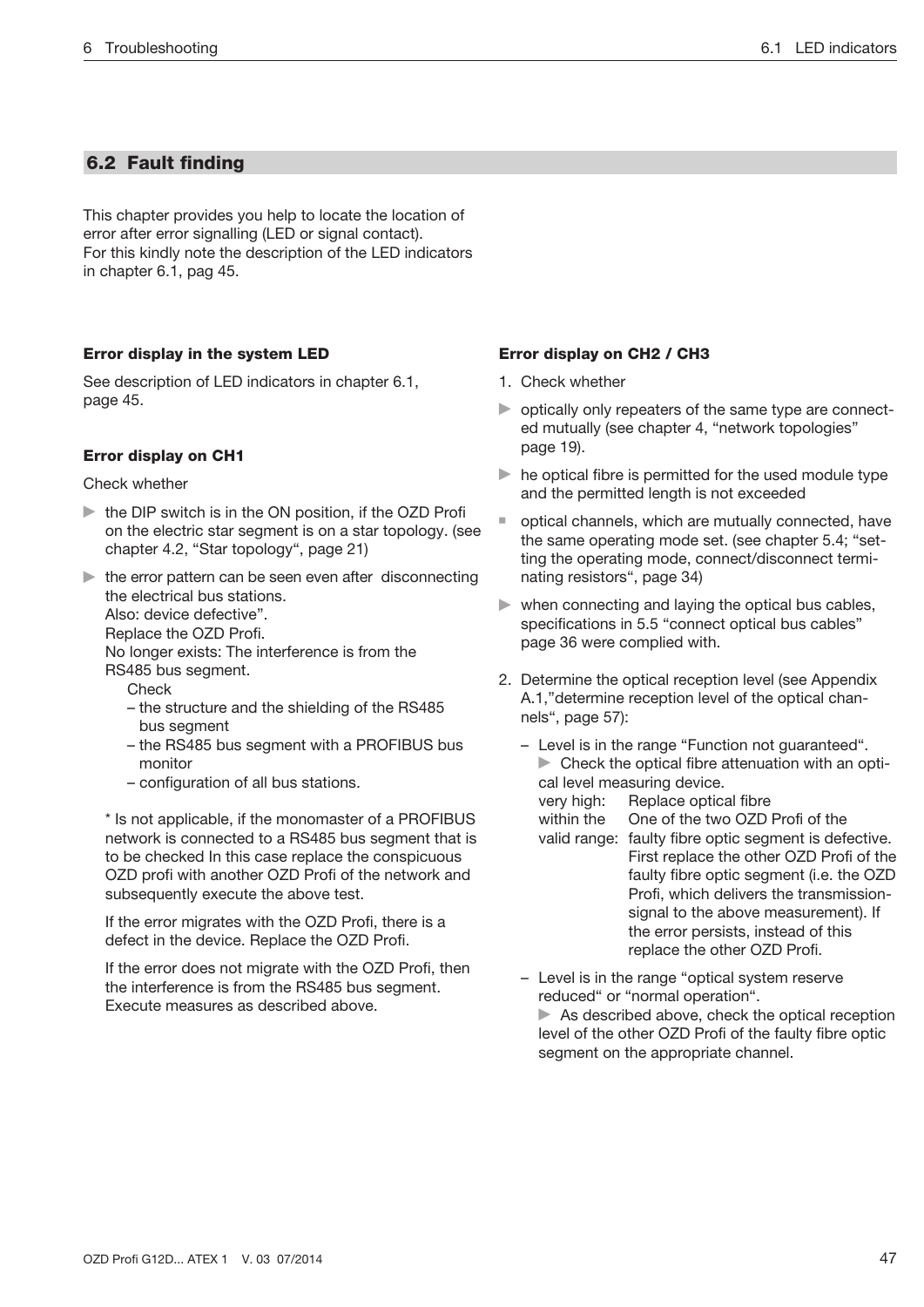# **6.2 Fault finding**

This chapter provides you help to locate the location of error after error signalling (LED or signal contact). For this kindly note the description of the LED indicators in chapter 6.1, pag 45.

# **Error display in the system LED**

See description of LED indicators in chapter 6.1, page 45.

# **Error display on CH1**

## Check whether

- $\blacktriangleright$  the DIP switch is in the ON position, if the OZD Profi on the electric star segment is on a star topology. (see chapter 4.2, "Star topology", page 21)
- the error pattern can be seen even after disconnecting the electrical bus stations. Also: device defective". Replace the OZD Profi. No longer exists: The interference is from the RS485 bus segment.
	- **Check**
	- the structure and the shielding of the RS485 bus segment
	- the RS485 bus segment with a PROFIBUS bus monitor
	- configuration of all bus stations.

\* Is not applicable, if the monomaster of a PROFIBUS network is connected to a RS485 bus segment that is to be checked In this case replace the conspicuous OZD profi with another OZD Profi of the network and subsequently execute the above test.

If the error migrates with the OZD Profi, there is a defect in the device. Replace the OZD Profi.

If the error does not migrate with the OZD Profi, then the interference is from the RS485 bus segment. Execute measures as described above.

## **Error display on CH2 / CH3**

- 1. Check whether
- optically only repeaters of the same type are connected mutually (see chapter 4, "network topologies" page 19).
- $\blacktriangleright$  he optical fibre is permitted for the used module type and the permitted length is not exceeded
- optical channels, which are mutually connected, have the same operating mode set. (see chapter 5.4; "setting the operating mode, connect/disconnect terminating resistors", page 34)
- $\triangleright$  when connecting and laying the optical bus cables, specifications in 5.5 "connect optical bus cables" page 36 were complied with.
- 2. Determine the optical reception level (see Appendix A.1,"determine reception level of the optical channels", page 57):
	- Level is in the range "Function not guaranteed". - Check the optical fibre attenuation with an optical level measuring device.
		- very high: Replace optical fibre within the One of the two OZD Profi of the valid range: faulty fibre optic segment is defective. First replace the other OZD Profi of the faulty fibre optic segment (i.e. the OZD Profi, which delivers the transmissionsignal to the above measurement). If the error persists, instead of this replace the other OZD Profi.
	- Level is in the range "optical system reserve reduced" or "normal operation". As described above, check the optical reception level of the other OZD Profi of the faulty fibre optic segment on the appropriate channel.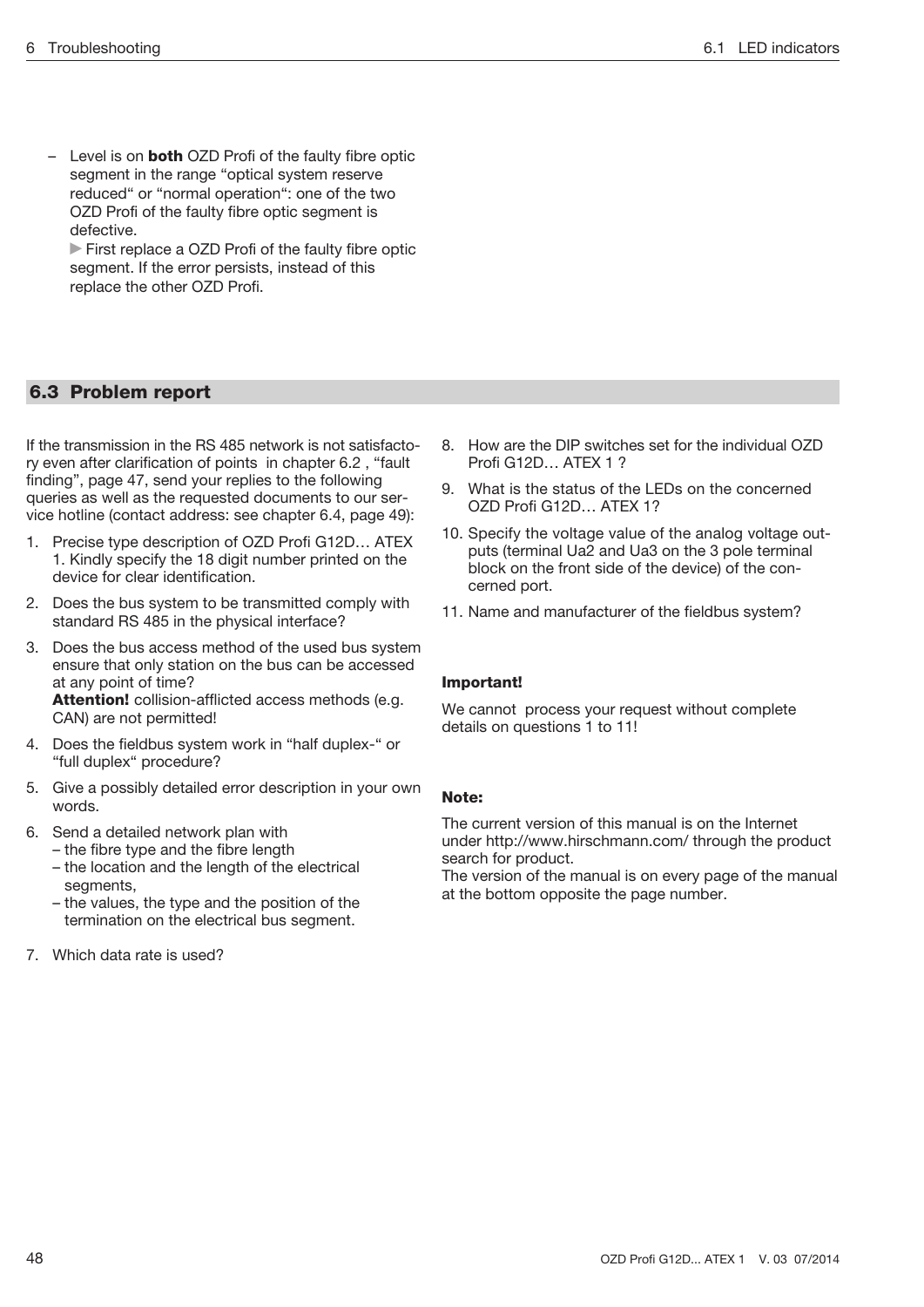– Level is on **both** OZD Profi of the faulty fibre optic segment in the range "optical system reserve reduced" or "normal operation": one of the two OZD Profi of the faulty fibre optic segment is defective.

- First replace a OZD Profi of the faulty fibre optic segment. If the error persists, instead of this replace the other OZD Profi.

# **6.3 Problem report**

If the transmission in the RS 485 network is not satisfactory even after clarification of points in chapter 6.2 , "fault finding", page 47, send your replies to the following queries as well as the requested documents to our service hotline (contact address: see chapter 6.4, page 49):

- 1. Precise type description of OZD Profi G12D… ATEX 1. Kindly specify the 18 digit number printed on the device for clear identification.
- 2. Does the bus system to be transmitted comply with standard RS 485 in the physical interface?
- 3. Does the bus access method of the used bus system ensure that only station on the bus can be accessed at any point of time? **Attention!** collision-afflicted access methods (e.g. CAN) are not permitted!
- 4. Does the fieldbus system work in "half duplex-" or "full duplex" procedure?
- 5. Give a possibly detailed error description in your own words.
- 6. Send a detailed network plan with
	- the fibre type and the fibre length – the location and the length of the electrical
	- segments, – the values, the type and the position of the termination on the electrical bus segment.
- 7. Which data rate is used?
- 8. How are the DIP switches set for the individual OZD Profi G12D… ATEX 1 ?
- 9. What is the status of the LEDs on the concerned OZD Profi G12D… ATEX 1?
- 10. Specify the voltage value of the analog voltage outputs (terminal Ua2 and Ua3 on the 3 pole terminal block on the front side of the device) of the concerned port.
- 11. Name and manufacturer of the fieldbus system?

# **Important!**

We cannot process your request without complete details on questions 1 to 11!

## **Note:**

The current version of this manual is on the Internet under http://www.hirschmann.com/ through the product search for product.

The version of the manual is on every page of the manual at the bottom opposite the page number.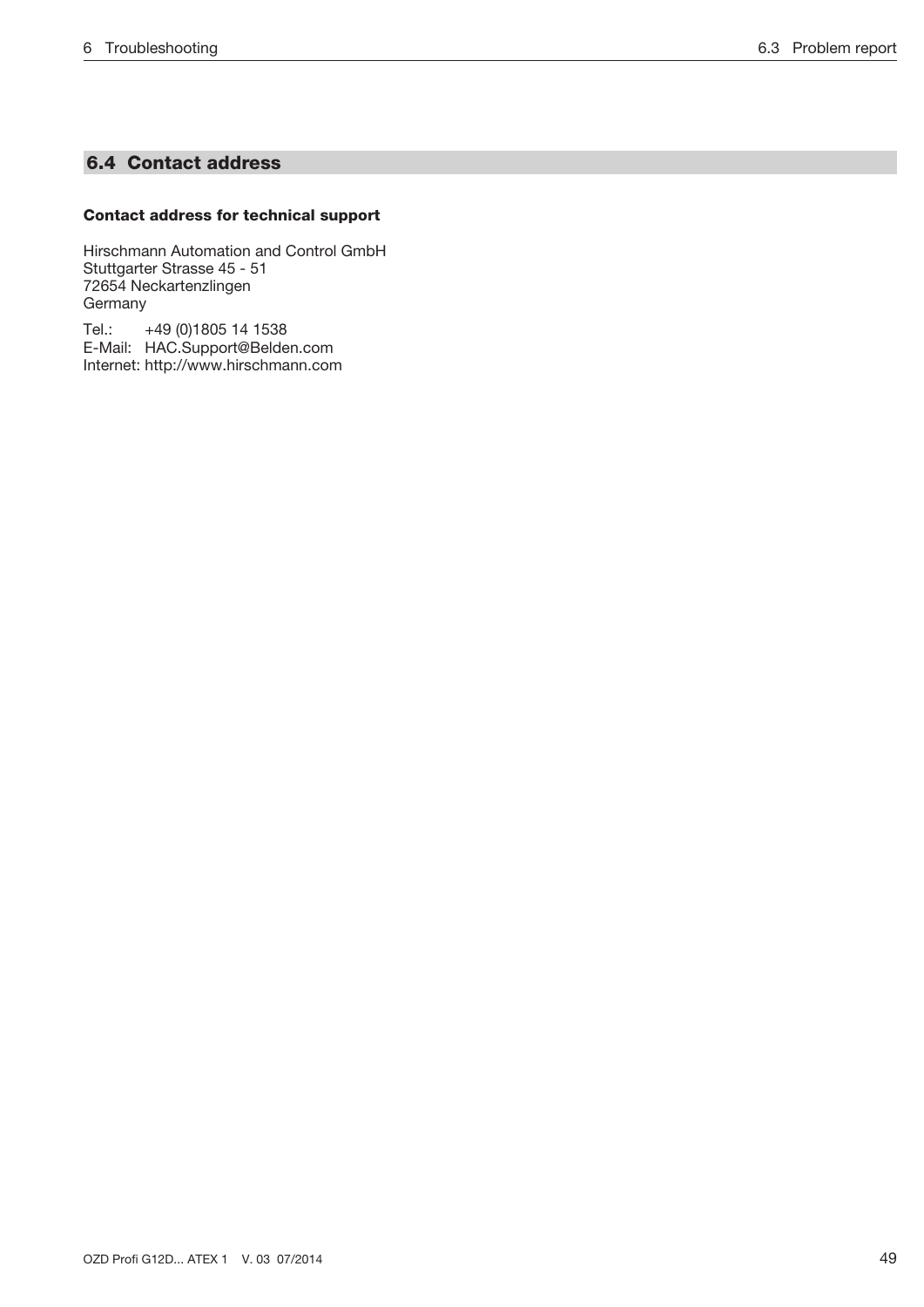# **6.4 Contact address**

# **Contact address for technical support**

Hirschmann Automation and Control GmbH Stuttgarter Strasse 45 - 51 72654 Neckartenzlingen **Germany** 

Tel.: +49 (0)1805 14 1538 E-Mail: HAC.Support@Belden.com Internet: http://www.hirschmann.com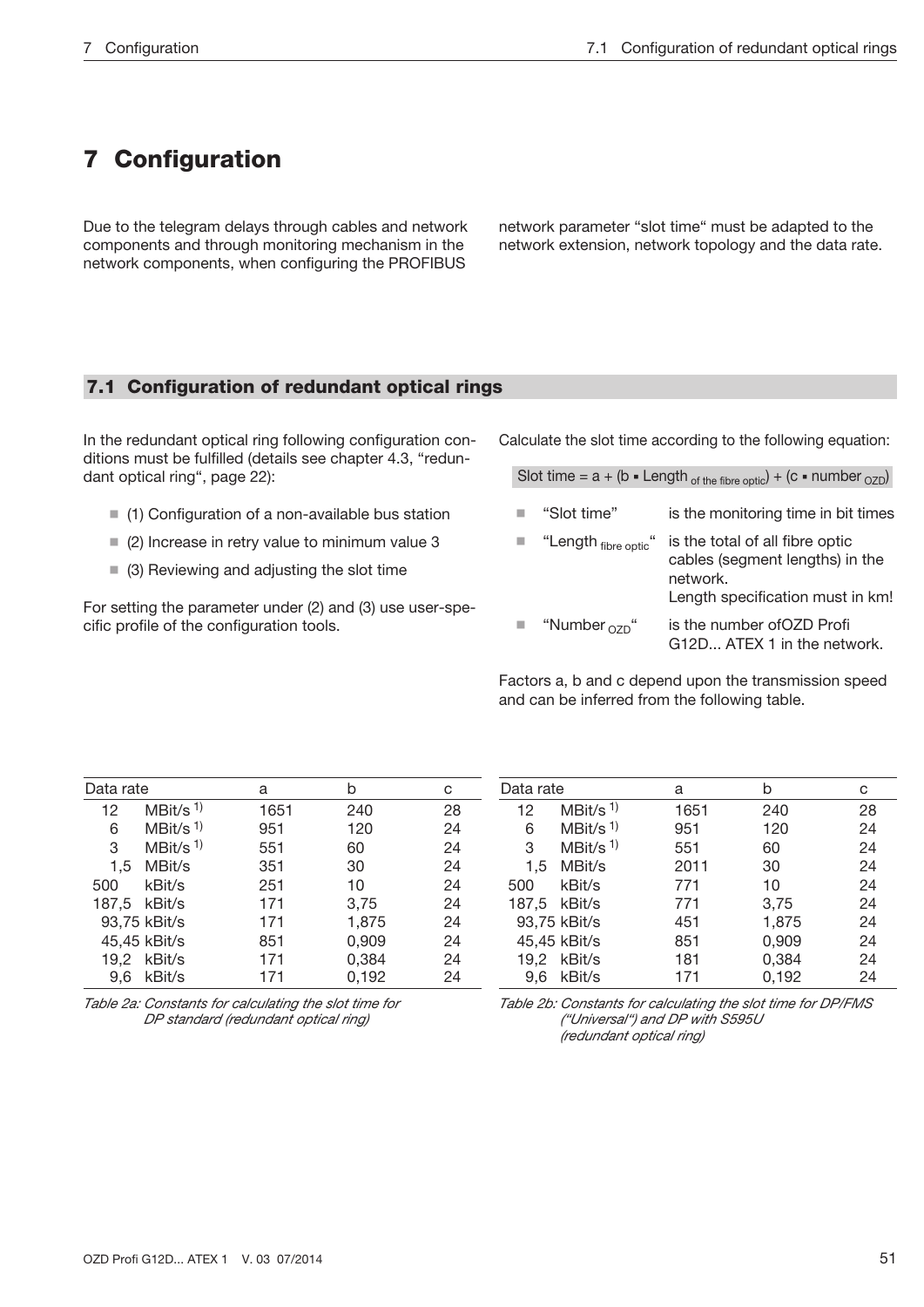# **7 Configuration**

Due to the telegram delays through cables and network components and through monitoring mechanism in the network components, when configuring the PROFIBUS

network parameter "slot time" must be adapted to the network extension, network topology and the data rate.

# **7.1 Configuration of redundant optical rings**

In the redundant optical ring following configuration conditions must be fulfilled (details see chapter 4.3, "redundant optical ring", page 22):

- $(1)$  Configuration of a non-available bus station
- $(2)$  Increase in retry value to minimum value 3
- (3) Reviewing and adjusting the slot time

For setting the parameter under (2) and (3) use user-specific profile of the configuration tools.

Calculate the slot time according to the following equation:

Slot time = a + (b **.** Length of the fibre optic) + (c **.** number OZD)

|  |                                  | SIOL UITIE = $a + (D - L)$ Let gut of the fibre optic $f + (C - L)$ Truttliber $OZD$                               |
|--|----------------------------------|--------------------------------------------------------------------------------------------------------------------|
|  | "Slot time"                      | is the monitoring time in bit times                                                                                |
|  | "Length <sub>fibre optic</sub> " | is the total of all fibre optic<br>cables (segment lengths) in the<br>network.<br>Length specification must in km! |
|  | "Number $_{\rm OZD}$ "           | is the number of OZD Profi<br>G12D ATEX 1 in the network.                                                          |

Factors a, b and c depend upon the transmission speed and can be inferred from the following table.

| Data rate |                        | а    | b     | C  |
|-----------|------------------------|------|-------|----|
| 12        | $MBit/s$ <sup>1)</sup> | 1651 | 240   | 28 |
| 6         | $MBit/s$ <sup>1)</sup> | 951  | 120   | 24 |
| 3         | $MBit/s$ <sup>1)</sup> | 551  | 60    | 24 |
| 1.5       | MBit/s                 | 351  | 30    | 24 |
| 500       | kBit/s                 | 251  | 10    | 24 |
|           | 187,5 kBit/s           | 171  | 3,75  | 24 |
|           | 93,75 kBit/s           | 171  | 1,875 | 24 |
|           | 45,45 kBit/s           | 851  | 0,909 | 24 |
|           | 19,2 kBit/s            | 171  | 0,384 | 24 |
| 9.6       | kBit/s                 | 171  | 0,192 | 24 |

*Table 2a: Constants for calculating the slot time for DP standard (redundant optical ring)*

| Data rate    |                        | а    | h     | C  |
|--------------|------------------------|------|-------|----|
| 12           | $MBit/s$ <sup>1)</sup> | 1651 | 240   | 28 |
| 6            | MBit/s $1$ )           | 951  | 120   | 24 |
| 3            | MBit/s <sup>1)</sup>   | 551  | 60    | 24 |
| 1.5          | MBit/s                 | 2011 | 30    | 24 |
| 500          | kBit/s                 | 771  | 10    | 24 |
| 187,5 kBit/s |                        | 771  | 3,75  | 24 |
|              | 93,75 kBit/s           | 451  | 1,875 | 24 |
|              | 45,45 kBit/s           | 851  | 0,909 | 24 |
|              | 19,2 kBit/s            | 181  | 0,384 | 24 |
| 9.6          | kBit/s                 | 171  | 0,192 | 24 |

*Table 2b: Constants for calculating the slot time for DP/FMS ("Universal") and DP with S595U (redundant optical ring)*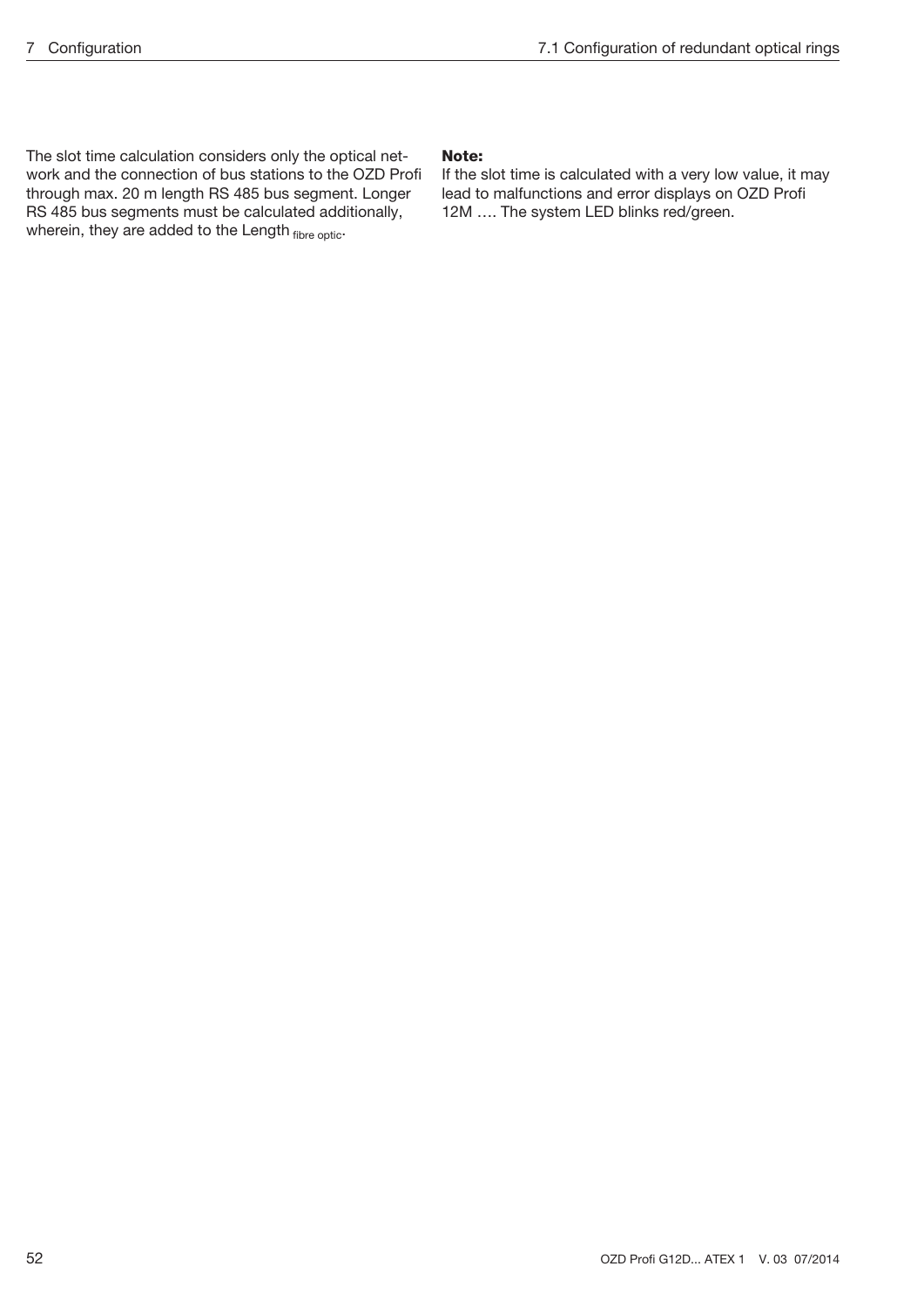The slot time calculation considers only the optical network and the connection of bus stations to the OZD Profi through max. 20 m length RS 485 bus segment. Longer RS 485 bus segments must be calculated additionally, wherein, they are added to the Length fibre optic.

## **Note:**

If the slot time is calculated with a very low value, it may lead to malfunctions and error displays on OZD Profi 12M …. The system LED blinks red/green.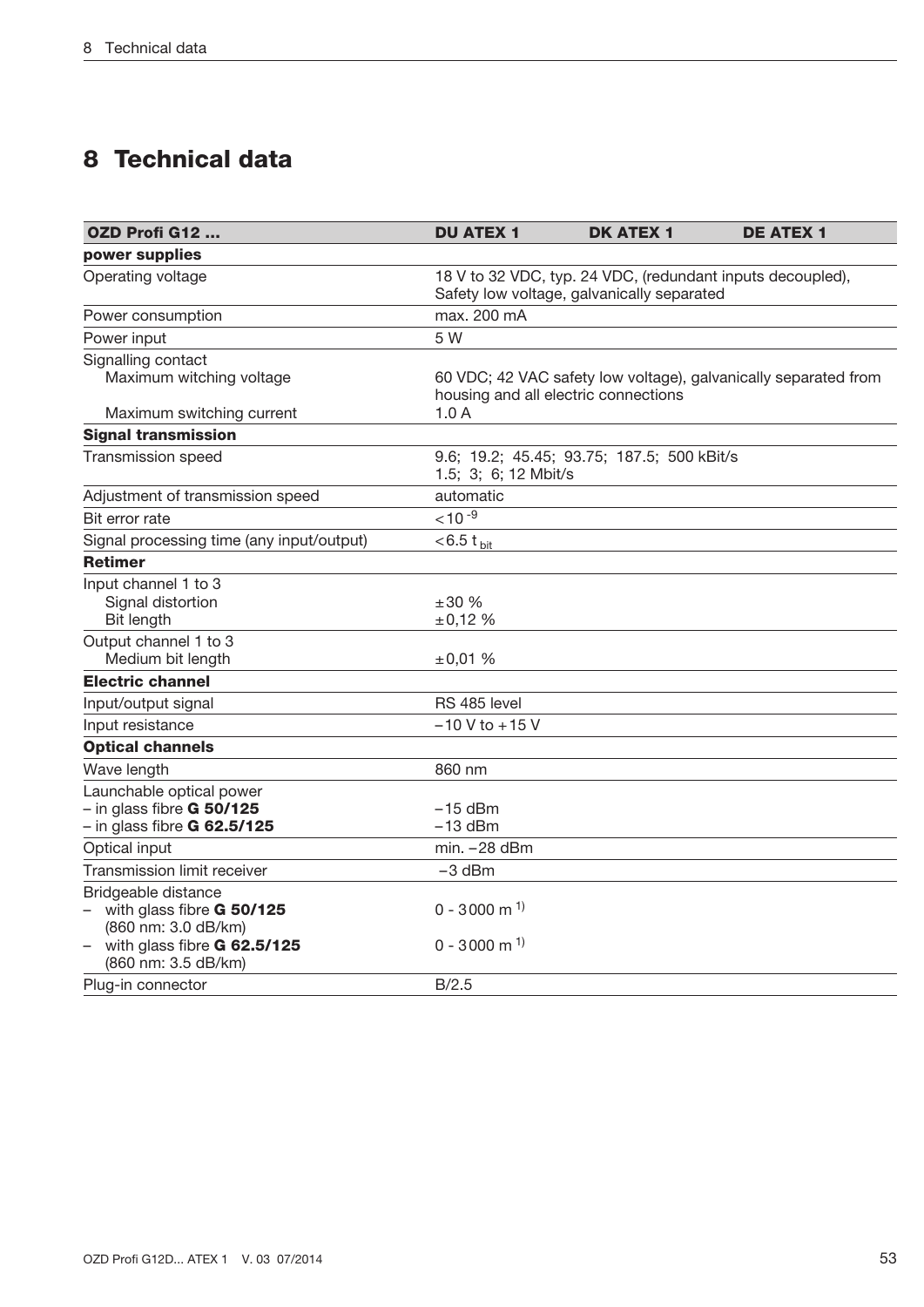# **8 Technical data**

| OZD Profi G12                                                                                          | <b>DU ATEX 1</b>           | <b>DK ATEX 1</b>                                                                                         | <b>DE ATEX 1</b>                                                |  |  |
|--------------------------------------------------------------------------------------------------------|----------------------------|----------------------------------------------------------------------------------------------------------|-----------------------------------------------------------------|--|--|
| power supplies                                                                                         |                            |                                                                                                          |                                                                 |  |  |
| Operating voltage                                                                                      |                            | 18 V to 32 VDC, typ. 24 VDC, (redundant inputs decoupled),<br>Safety low voltage, galvanically separated |                                                                 |  |  |
| Power consumption                                                                                      | max. 200 mA                |                                                                                                          |                                                                 |  |  |
| Power input                                                                                            | 5 W                        |                                                                                                          |                                                                 |  |  |
| Signalling contact<br>Maximum witching voltage                                                         |                            | housing and all electric connections                                                                     | 60 VDC; 42 VAC safety low voltage), galvanically separated from |  |  |
| Maximum switching current<br><b>Signal transmission</b>                                                | 1.0A                       |                                                                                                          |                                                                 |  |  |
|                                                                                                        |                            |                                                                                                          |                                                                 |  |  |
| <b>Transmission speed</b>                                                                              | 1.5; 3; 6; 12 Mbit/s       | 9.6; 19.2; 45.45; 93.75; 187.5; 500 kBit/s                                                               |                                                                 |  |  |
| Adjustment of transmission speed                                                                       | automatic                  |                                                                                                          |                                                                 |  |  |
| Bit error rate                                                                                         | $< 10^{-9}$                |                                                                                                          |                                                                 |  |  |
| Signal processing time (any input/output)                                                              | $< 6.5 t_{\rm bit}$        |                                                                                                          |                                                                 |  |  |
| <b>Retimer</b>                                                                                         |                            |                                                                                                          |                                                                 |  |  |
| Input channel 1 to 3<br>Signal distortion<br><b>Bit length</b>                                         | ±30%<br>±0,12%             |                                                                                                          |                                                                 |  |  |
| Output channel 1 to 3<br>Medium bit length                                                             | ±0,01%                     |                                                                                                          |                                                                 |  |  |
| <b>Electric channel</b>                                                                                |                            |                                                                                                          |                                                                 |  |  |
| Input/output signal                                                                                    | RS 485 level               |                                                                                                          |                                                                 |  |  |
| Input resistance                                                                                       | $-10$ V to $+15$ V         |                                                                                                          |                                                                 |  |  |
| <b>Optical channels</b>                                                                                |                            |                                                                                                          |                                                                 |  |  |
| Wave length                                                                                            | 860 nm                     |                                                                                                          |                                                                 |  |  |
| Launchable optical power<br>$-$ in glass fibre <b>G 50/125</b><br>$-$ in glass fibre <b>G 62.5/125</b> | $-15$ dBm<br>$-13$ dBm     |                                                                                                          |                                                                 |  |  |
| Optical input                                                                                          | $min. -28$ dBm             |                                                                                                          |                                                                 |  |  |
| Transmission limit receiver                                                                            | $-3$ dBm                   |                                                                                                          |                                                                 |  |  |
| Bridgeable distance<br>with glass fibre G 50/125<br>$-$<br>(860 nm: 3.0 dB/km)                         | $0 - 3000$ m <sup>1)</sup> |                                                                                                          |                                                                 |  |  |
| with glass fibre G 62.5/125<br>(860 nm: 3.5 dB/km)                                                     | $0 - 3000$ m <sup>1)</sup> |                                                                                                          |                                                                 |  |  |
| Plug-in connector                                                                                      | B/2.5                      |                                                                                                          |                                                                 |  |  |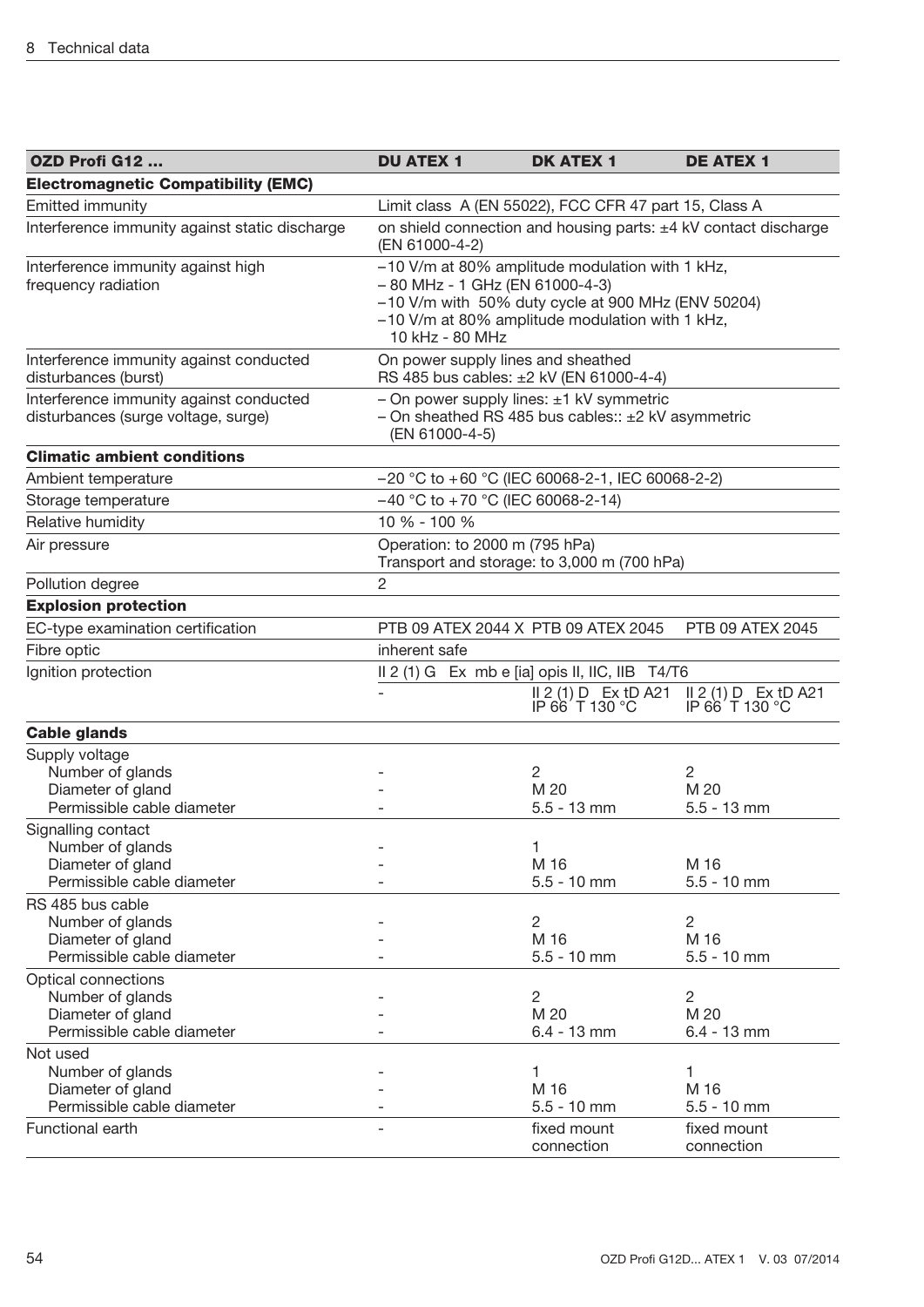| OZD Profi G12                                                                  | <b>DU ATEX 1</b>                                                                                                                                                                                                  | <b>DK ATEX 1</b>                                                           | <b>DE ATEX 1</b>          |  |
|--------------------------------------------------------------------------------|-------------------------------------------------------------------------------------------------------------------------------------------------------------------------------------------------------------------|----------------------------------------------------------------------------|---------------------------|--|
| <b>Electromagnetic Compatibility (EMC)</b>                                     |                                                                                                                                                                                                                   |                                                                            |                           |  |
| <b>Emitted immunity</b>                                                        | Limit class A (EN 55022), FCC CFR 47 part 15, Class A                                                                                                                                                             |                                                                            |                           |  |
| Interference immunity against static discharge                                 | on shield connection and housing parts: ±4 kV contact discharge<br>(EN 61000-4-2)                                                                                                                                 |                                                                            |                           |  |
| Interference immunity against high<br>frequency radiation                      | -10 V/m at 80% amplitude modulation with 1 kHz,<br>$-80$ MHz - 1 GHz (EN 61000-4-3)<br>$-10$ V/m with 50% duty cycle at 900 MHz (ENV 50204)<br>-10 V/m at 80% amplitude modulation with 1 kHz,<br>10 kHz - 80 MHz |                                                                            |                           |  |
| Interference immunity against conducted<br>disturbances (burst)                | On power supply lines and sheathed<br>RS 485 bus cables: ±2 kV (EN 61000-4-4)                                                                                                                                     |                                                                            |                           |  |
| Interference immunity against conducted<br>disturbances (surge voltage, surge) | - On power supply lines: ±1 kV symmetric<br>- On sheathed RS 485 bus cables:: ±2 kV asymmetric<br>(EN 61000-4-5)                                                                                                  |                                                                            |                           |  |
| <b>Climatic ambient conditions</b>                                             |                                                                                                                                                                                                                   |                                                                            |                           |  |
| Ambient temperature                                                            | $-20$ °C to $+60$ °C (IEC 60068-2-1, IEC 60068-2-2)                                                                                                                                                               |                                                                            |                           |  |
| Storage temperature                                                            | $-40$ °C to +70 °C (IEC 60068-2-14)                                                                                                                                                                               |                                                                            |                           |  |
| Relative humidity                                                              | 10 % - 100 %                                                                                                                                                                                                      |                                                                            |                           |  |
| Air pressure                                                                   | Operation: to 2000 m (795 hPa)<br>Transport and storage: to 3,000 m (700 hPa)                                                                                                                                     |                                                                            |                           |  |
| Pollution degree                                                               | 2                                                                                                                                                                                                                 |                                                                            |                           |  |
| <b>Explosion protection</b>                                                    |                                                                                                                                                                                                                   |                                                                            |                           |  |
| EC-type examination certification                                              | PTB 09 ATEX 2044 X PTB 09 ATEX 2045                                                                                                                                                                               |                                                                            | PTB 09 ATEX 2045          |  |
| Fibre optic                                                                    | inherent safe                                                                                                                                                                                                     |                                                                            |                           |  |
| Ignition protection                                                            | $II$ 2 (1) G Ex mb e [ia] opis II, IIC, IIB T4/T6                                                                                                                                                                 |                                                                            |                           |  |
|                                                                                |                                                                                                                                                                                                                   | II 2 (1) D Ex tD A21 II 2 (1) D Ex tD A21<br>IP 66 T 130 °C IP 66 T 130 °C |                           |  |
| <b>Cable glands</b>                                                            |                                                                                                                                                                                                                   |                                                                            |                           |  |
| Supply voltage                                                                 |                                                                                                                                                                                                                   |                                                                            |                           |  |
| Number of glands                                                               |                                                                                                                                                                                                                   | 2                                                                          | 2                         |  |
| Diameter of gland<br>Permissible cable diameter                                |                                                                                                                                                                                                                   | M 20<br>$5.5 - 13$ mm                                                      | M 20<br>$5.5 - 13$ mm     |  |
| Signalling contact                                                             |                                                                                                                                                                                                                   |                                                                            |                           |  |
| Number of glands                                                               |                                                                                                                                                                                                                   |                                                                            |                           |  |
| Diameter of gland                                                              |                                                                                                                                                                                                                   | M 16                                                                       | M 16                      |  |
| Permissible cable diameter                                                     |                                                                                                                                                                                                                   | $5.5 - 10$ mm                                                              | $5.5 - 10$ mm             |  |
| RS 485 bus cable                                                               |                                                                                                                                                                                                                   |                                                                            |                           |  |
| Number of glands                                                               |                                                                                                                                                                                                                   | 2                                                                          | 2                         |  |
| Diameter of gland<br>Permissible cable diameter                                |                                                                                                                                                                                                                   | M 16<br>$5.5 - 10$ mm                                                      | M 16<br>$5.5 - 10$ mm     |  |
| Optical connections                                                            |                                                                                                                                                                                                                   |                                                                            |                           |  |
| Number of glands                                                               |                                                                                                                                                                                                                   | 2                                                                          | 2                         |  |
| Diameter of gland                                                              |                                                                                                                                                                                                                   | M 20                                                                       | M 20                      |  |
| Permissible cable diameter                                                     |                                                                                                                                                                                                                   | $6.4 - 13$ mm                                                              | $6.4 - 13$ mm             |  |
| Not used                                                                       |                                                                                                                                                                                                                   |                                                                            |                           |  |
| Number of glands                                                               |                                                                                                                                                                                                                   | 1                                                                          | 1                         |  |
| Diameter of gland<br>Permissible cable diameter                                |                                                                                                                                                                                                                   | M 16                                                                       | M 16                      |  |
|                                                                                |                                                                                                                                                                                                                   | $5.5 - 10$ mm                                                              | $5.5 - 10$ mm             |  |
| Functional earth                                                               |                                                                                                                                                                                                                   | fixed mount<br>connection                                                  | fixed mount<br>connection |  |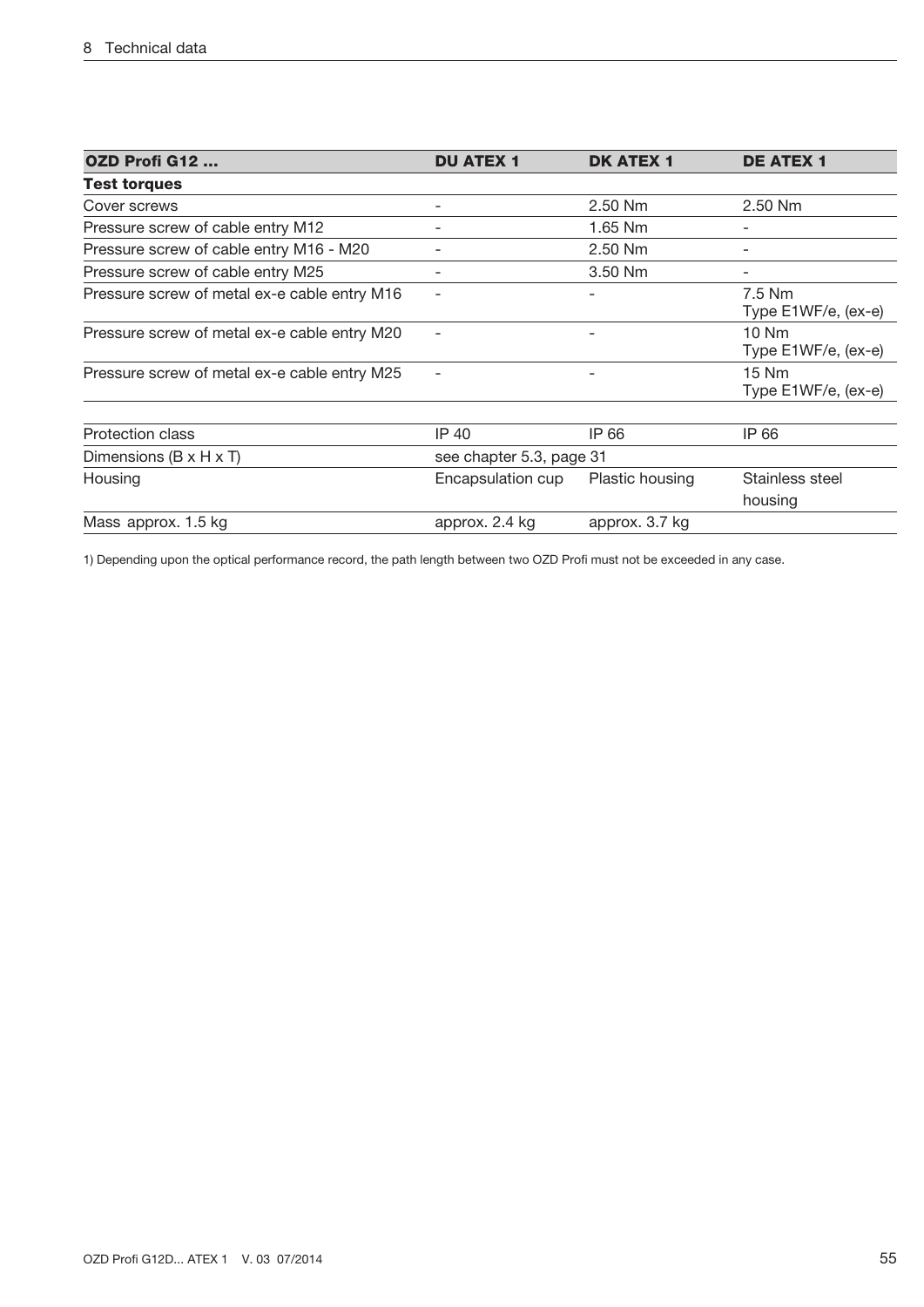| OZD Profi G12                                | <b>DU ATEX 1</b>         | <b>DK ATEX 1</b> | <b>DE ATEX 1</b>              |  |
|----------------------------------------------|--------------------------|------------------|-------------------------------|--|
| <b>Test torques</b>                          |                          |                  |                               |  |
| Cover screws                                 | $\overline{\phantom{a}}$ | $2.50$ Nm        | $2.50$ Nm                     |  |
| Pressure screw of cable entry M12            |                          | 1.65 Nm          |                               |  |
| Pressure screw of cable entry M16 - M20      |                          | $2.50$ Nm        |                               |  |
| Pressure screw of cable entry M25            |                          | 3.50 Nm          |                               |  |
| Pressure screw of metal ex-e cable entry M16 | -                        |                  | 7.5 Nm<br>Type E1WF/e, (ex-e) |  |
| Pressure screw of metal ex-e cable entry M20 | $\overline{\phantom{a}}$ |                  | 10 Nm<br>Type E1WF/e, (ex-e)  |  |
| Pressure screw of metal ex-e cable entry M25 | ۰                        |                  | 15 Nm<br>Type E1WF/e, (ex-e)  |  |
|                                              |                          |                  |                               |  |
| Protection class                             | IP 40                    | IP 66            | IP 66                         |  |
| Dimensions ( $B \times H \times T$ )         | see chapter 5.3, page 31 |                  |                               |  |
| Housing                                      | Encapsulation cup        | Plastic housing  | Stainless steel               |  |
|                                              |                          |                  | housing                       |  |
| Mass approx. 1.5 kg                          | approx. 2.4 kg           | approx. 3.7 kg   |                               |  |

1) Depending upon the optical performance record, the path length between two OZD Profi must not be exceeded in any case.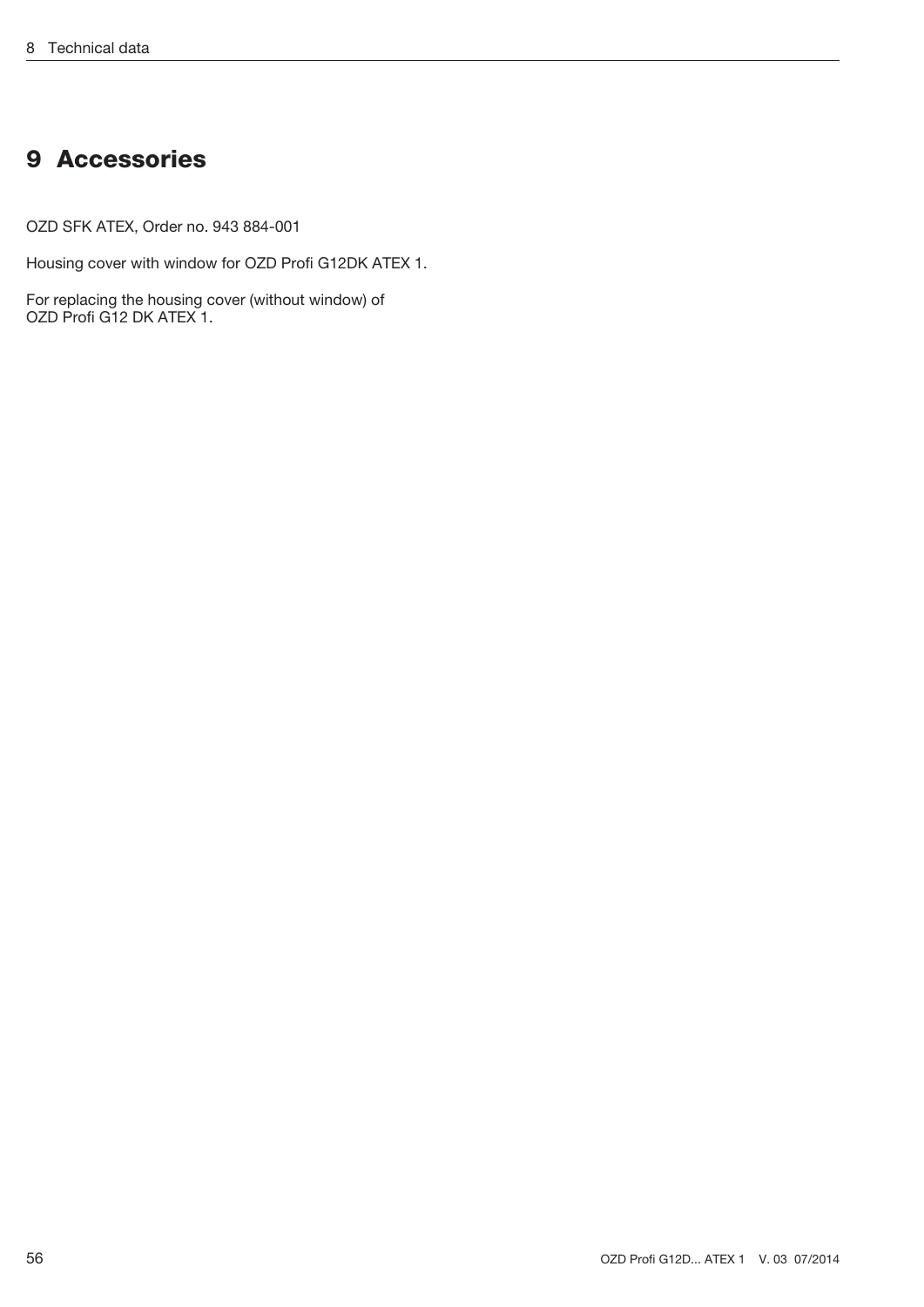# **9 Accessories**

OZD SFK ATEX, Order no. 943 884-001

Housing cover with window for OZD Profi G12DK ATEX 1.

For replacing the housing cover (without window) of OZD Profi G12 DK ATEX 1.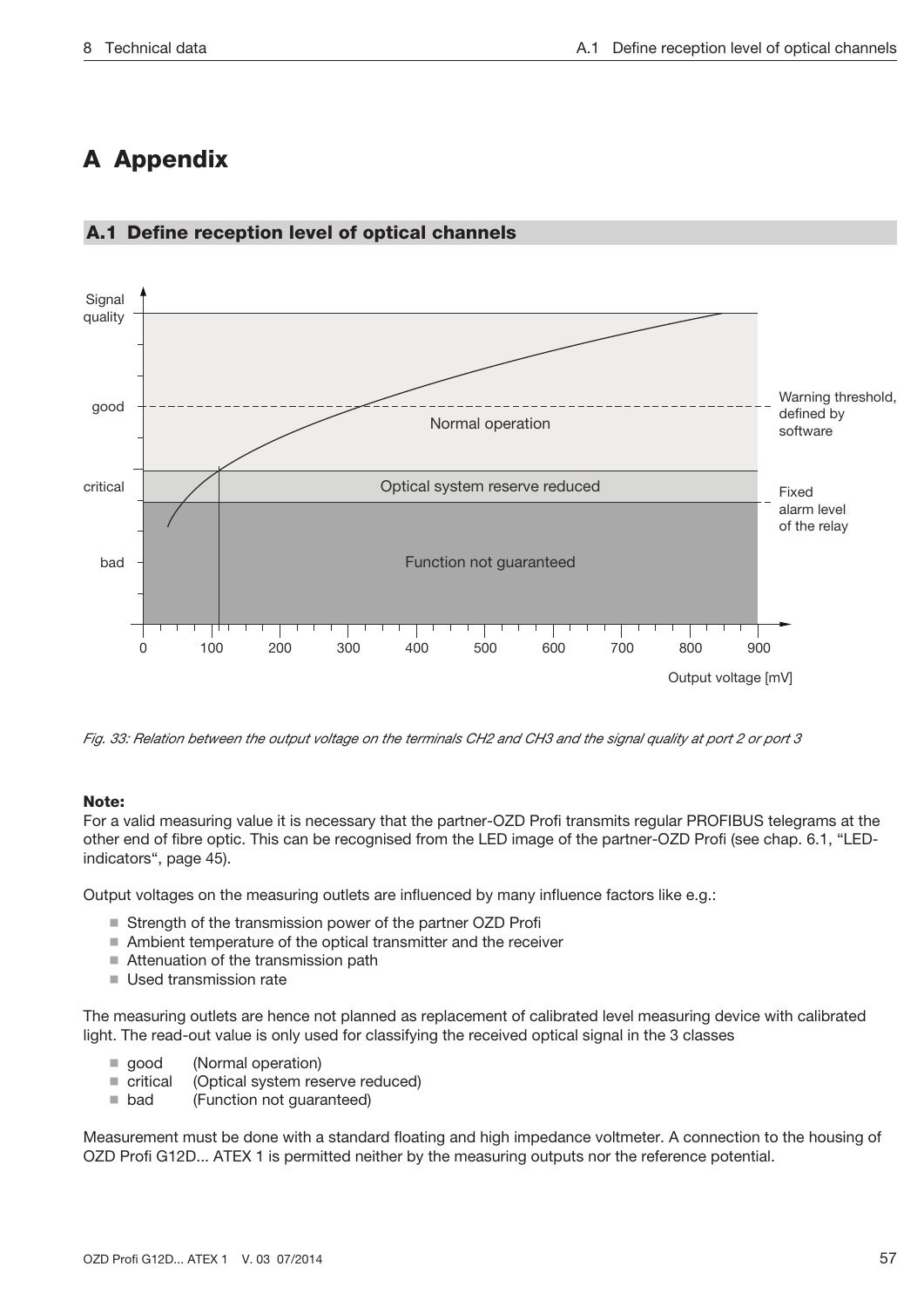# **A Appendix**



# **A.1 Define reception level of optical channels**

*Fig. 33: Relation between the output voltage on the terminals CH2 and CH3 and the signal quality at port 2 or port 3*

# **Note:**

For a valid measuring value it is necessary that the partner-OZD Profi transmits regular PROFIBUS telegrams at the other end of fibre optic. This can be recognised from the LED image of the partner-OZD Profi (see chap. 6.1, "LEDindicators", page 45).

Output voltages on the measuring outlets are influenced by many influence factors like e.g.:

- Strength of the transmission power of the partner OZD Profi
- Ambient temperature of the optical transmitter and the receiver
- Attenuation of the transmission path
- Used transmission rate

The measuring outlets are hence not planned as replacement of calibrated level measuring device with calibrated light. The read-out value is only used for classifying the received optical signal in the 3 classes

- qood (Normal operation)
- critical (Optical system reserve reduced)
- bad (Function not guaranteed)

Measurement must be done with a standard floating and high impedance voltmeter. A connection to the housing of OZD Profi G12D... ATEX 1 is permitted neither by the measuring outputs nor the reference potential.